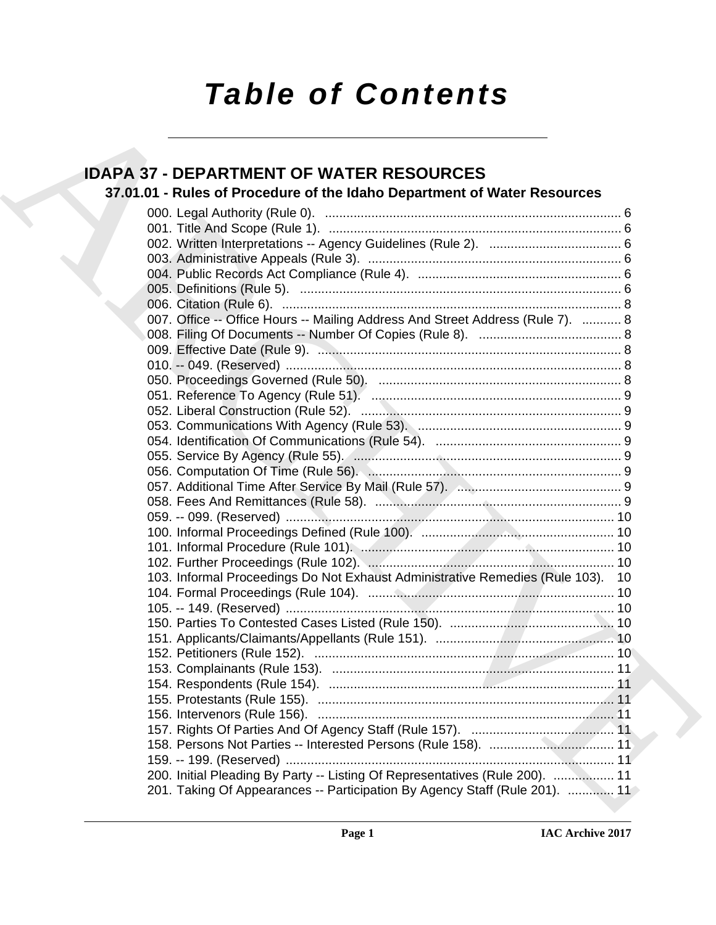# *Table of Contents*

## **IDAPA 37 - DEPARTMENT OF WATER RESOURCES**

## **37.01.01 - Rules of Procedure of the Idaho Department of Water Resources**

| <b>IDAPA 37 - DEPARTMENT OF WATER RESOURCES</b>                                 |
|---------------------------------------------------------------------------------|
| 37.01.01 - Rules of Procedure of the Idaho Department of Water Resources        |
|                                                                                 |
|                                                                                 |
|                                                                                 |
|                                                                                 |
|                                                                                 |
|                                                                                 |
|                                                                                 |
| 007. Office -- Office Hours -- Mailing Address And Street Address (Rule 7).  8  |
|                                                                                 |
|                                                                                 |
|                                                                                 |
|                                                                                 |
|                                                                                 |
|                                                                                 |
|                                                                                 |
|                                                                                 |
|                                                                                 |
|                                                                                 |
|                                                                                 |
|                                                                                 |
|                                                                                 |
|                                                                                 |
|                                                                                 |
|                                                                                 |
| 103. Informal Proceedings Do Not Exhaust Administrative Remedies (Rule 103). 10 |
|                                                                                 |
|                                                                                 |
|                                                                                 |
|                                                                                 |
|                                                                                 |
|                                                                                 |
|                                                                                 |
|                                                                                 |
|                                                                                 |
|                                                                                 |
|                                                                                 |
|                                                                                 |
| 200. Initial Pleading By Party -- Listing Of Representatives (Rule 200).  11    |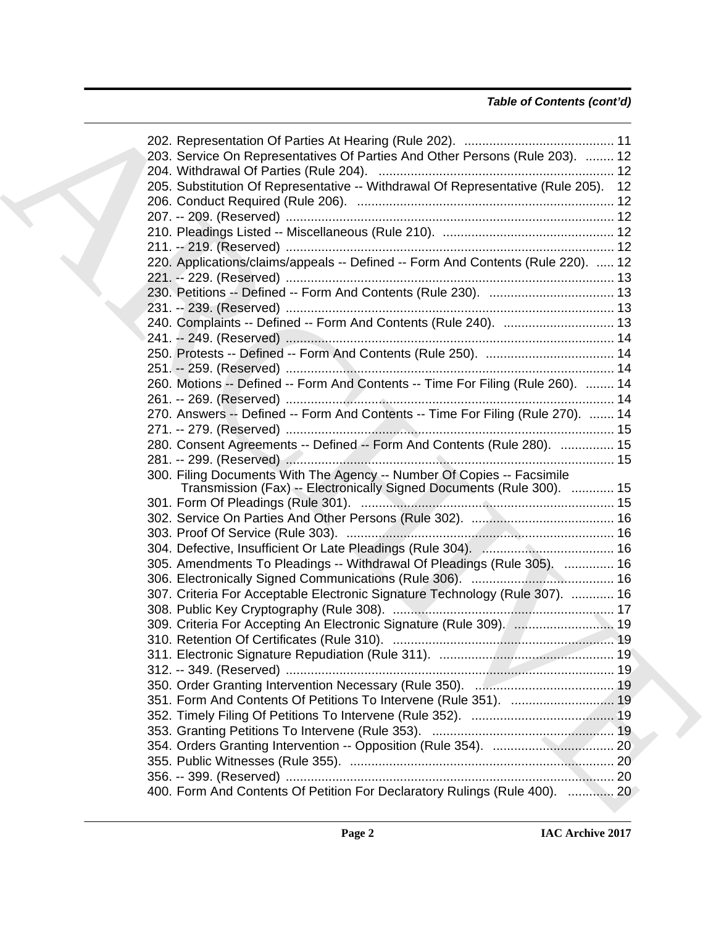| 203. Service On Representatives Of Parties And Other Persons (Rule 203).  12       |  |
|------------------------------------------------------------------------------------|--|
|                                                                                    |  |
| 205. Substitution Of Representative -- Withdrawal Of Representative (Rule 205). 12 |  |
|                                                                                    |  |
|                                                                                    |  |
|                                                                                    |  |
|                                                                                    |  |
| 220. Applications/claims/appeals -- Defined -- Form And Contents (Rule 220).  12   |  |
|                                                                                    |  |
|                                                                                    |  |
|                                                                                    |  |
| 240. Complaints -- Defined -- Form And Contents (Rule 240).  13                    |  |
|                                                                                    |  |
|                                                                                    |  |
|                                                                                    |  |
| 260. Motions -- Defined -- Form And Contents -- Time For Filing (Rule 260).  14    |  |
|                                                                                    |  |
| 270. Answers -- Defined -- Form And Contents -- Time For Filing (Rule 270).  14    |  |
|                                                                                    |  |
| 280. Consent Agreements -- Defined -- Form And Contents (Rule 280).  15            |  |
|                                                                                    |  |
| 300. Filing Documents With The Agency -- Number Of Copies -- Facsimile             |  |
| Transmission (Fax) -- Electronically Signed Documents (Rule 300).  15              |  |
|                                                                                    |  |
|                                                                                    |  |
|                                                                                    |  |
|                                                                                    |  |
| 305. Amendments To Pleadings -- Withdrawal Of Pleadings (Rule 305).  16            |  |
|                                                                                    |  |
| 307. Criteria For Acceptable Electronic Signature Technology (Rule 307).  16       |  |
|                                                                                    |  |
| 309. Criteria For Accepting An Electronic Signature (Rule 309). [ 19               |  |
|                                                                                    |  |
|                                                                                    |  |
|                                                                                    |  |
|                                                                                    |  |
| 351. Form And Contents Of Petitions To Intervene (Rule 351).  19                   |  |
|                                                                                    |  |
|                                                                                    |  |
|                                                                                    |  |
|                                                                                    |  |
|                                                                                    |  |
| 400. Form And Contents Of Petition For Declaratory Rulings (Rule 400).  20         |  |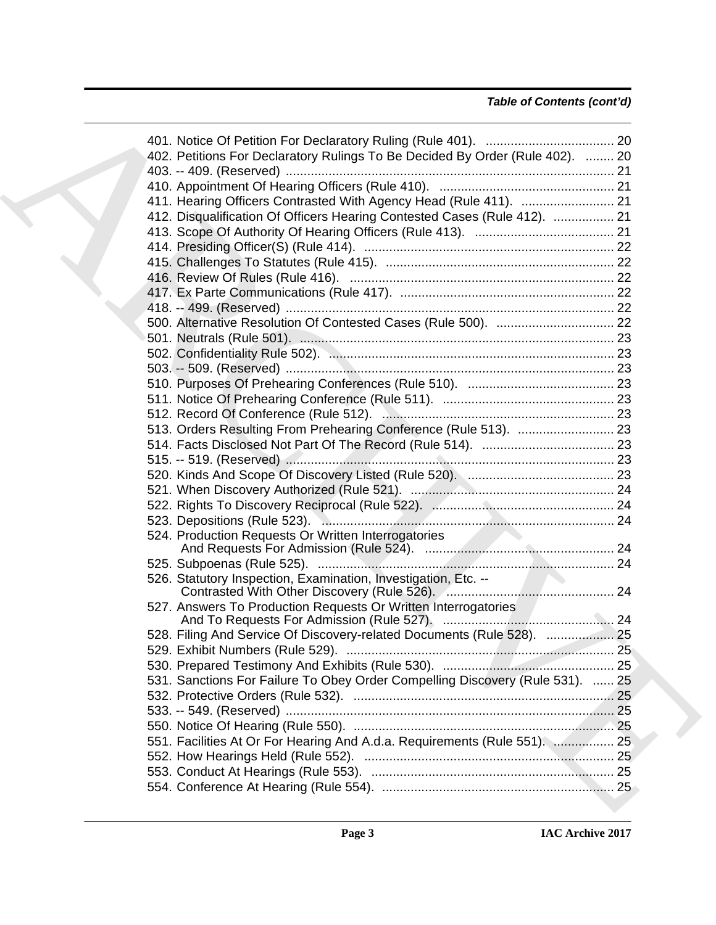| 402. Petitions For Declaratory Rulings To Be Decided By Order (Rule 402).  20 |  |
|-------------------------------------------------------------------------------|--|
|                                                                               |  |
|                                                                               |  |
|                                                                               |  |
| 412. Disqualification Of Officers Hearing Contested Cases (Rule 412).  21     |  |
|                                                                               |  |
|                                                                               |  |
|                                                                               |  |
|                                                                               |  |
|                                                                               |  |
|                                                                               |  |
|                                                                               |  |
|                                                                               |  |
|                                                                               |  |
|                                                                               |  |
|                                                                               |  |
|                                                                               |  |
|                                                                               |  |
|                                                                               |  |
| 513. Orders Resulting From Prehearing Conference (Rule 513).  23              |  |
|                                                                               |  |
|                                                                               |  |
|                                                                               |  |
|                                                                               |  |
|                                                                               |  |
|                                                                               |  |
|                                                                               |  |
| 524. Production Requests Or Written Interrogatories                           |  |
|                                                                               |  |
| 526. Statutory Inspection, Examination, Investigation, Etc. --                |  |
|                                                                               |  |
| 527. Answers To Production Requests Or Written Interrogatories                |  |
| 528. Filing And Service Of Discovery-related Documents (Rule 528).  25        |  |
|                                                                               |  |
|                                                                               |  |
| 531. Sanctions For Failure To Obey Order Compelling Discovery (Rule 531).  25 |  |
|                                                                               |  |
|                                                                               |  |
|                                                                               |  |
| 551. Facilities At Or For Hearing And A.d.a. Requirements (Rule 551).  25     |  |
|                                                                               |  |
|                                                                               |  |
|                                                                               |  |
|                                                                               |  |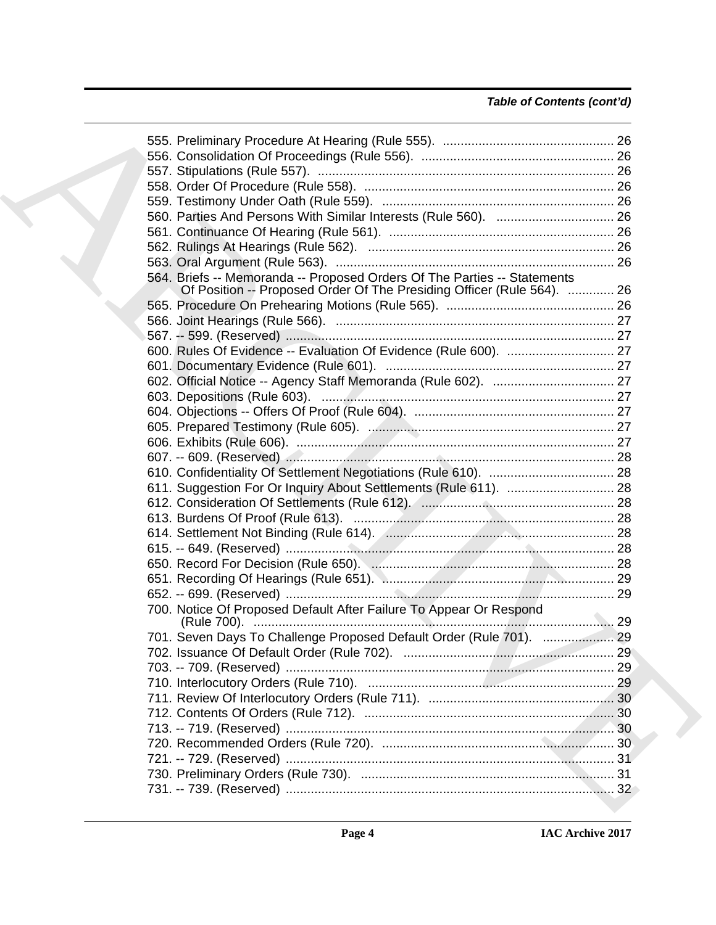| 564. Briefs -- Memoranda -- Proposed Orders Of The Parties -- Statements<br>Of Position -- Proposed Order Of The Presiding Officer (Rule 564).  26 |  |
|----------------------------------------------------------------------------------------------------------------------------------------------------|--|
|                                                                                                                                                    |  |
|                                                                                                                                                    |  |
|                                                                                                                                                    |  |
|                                                                                                                                                    |  |
|                                                                                                                                                    |  |
|                                                                                                                                                    |  |
|                                                                                                                                                    |  |
|                                                                                                                                                    |  |
|                                                                                                                                                    |  |
|                                                                                                                                                    |  |
|                                                                                                                                                    |  |
|                                                                                                                                                    |  |
|                                                                                                                                                    |  |
|                                                                                                                                                    |  |
|                                                                                                                                                    |  |
|                                                                                                                                                    |  |
|                                                                                                                                                    |  |
|                                                                                                                                                    |  |
|                                                                                                                                                    |  |
|                                                                                                                                                    |  |
| 700. Notice Of Proposed Default After Failure To Appear Or Respond                                                                                 |  |
| 701. Seven Days To Challenge Proposed Default Order (Rule 701).  29                                                                                |  |
|                                                                                                                                                    |  |
|                                                                                                                                                    |  |
|                                                                                                                                                    |  |
|                                                                                                                                                    |  |
|                                                                                                                                                    |  |
|                                                                                                                                                    |  |
|                                                                                                                                                    |  |
|                                                                                                                                                    |  |
|                                                                                                                                                    |  |
|                                                                                                                                                    |  |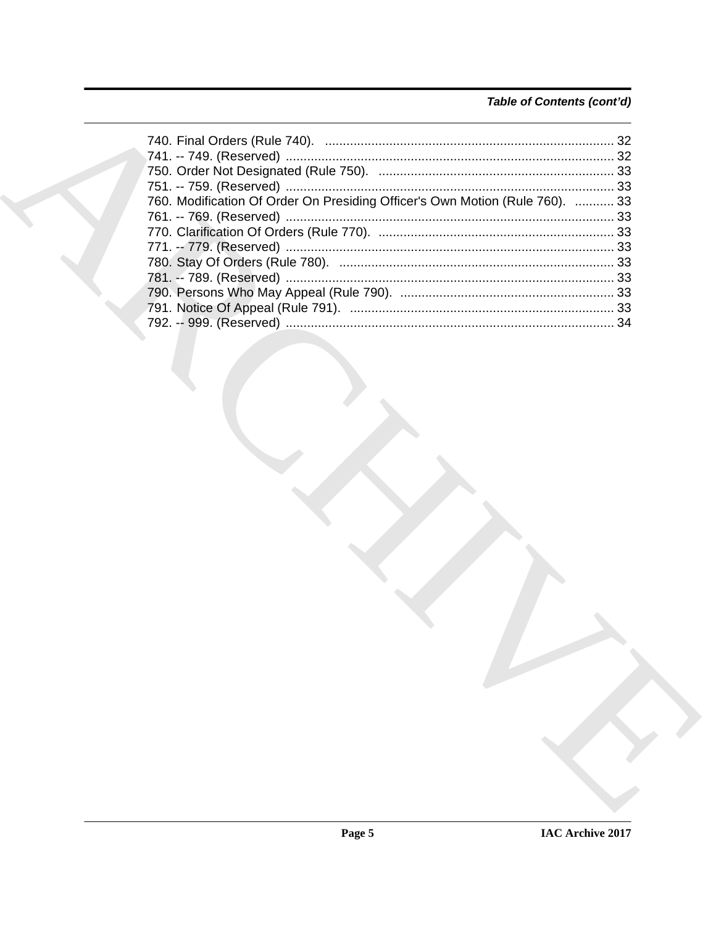## Table of Contents (cont'd)

| 760. Modification Of Order On Presiding Officer's Own Motion (Rule 760).  33 |  |
|------------------------------------------------------------------------------|--|
|                                                                              |  |
|                                                                              |  |
|                                                                              |  |
|                                                                              |  |
|                                                                              |  |
|                                                                              |  |
|                                                                              |  |
|                                                                              |  |
|                                                                              |  |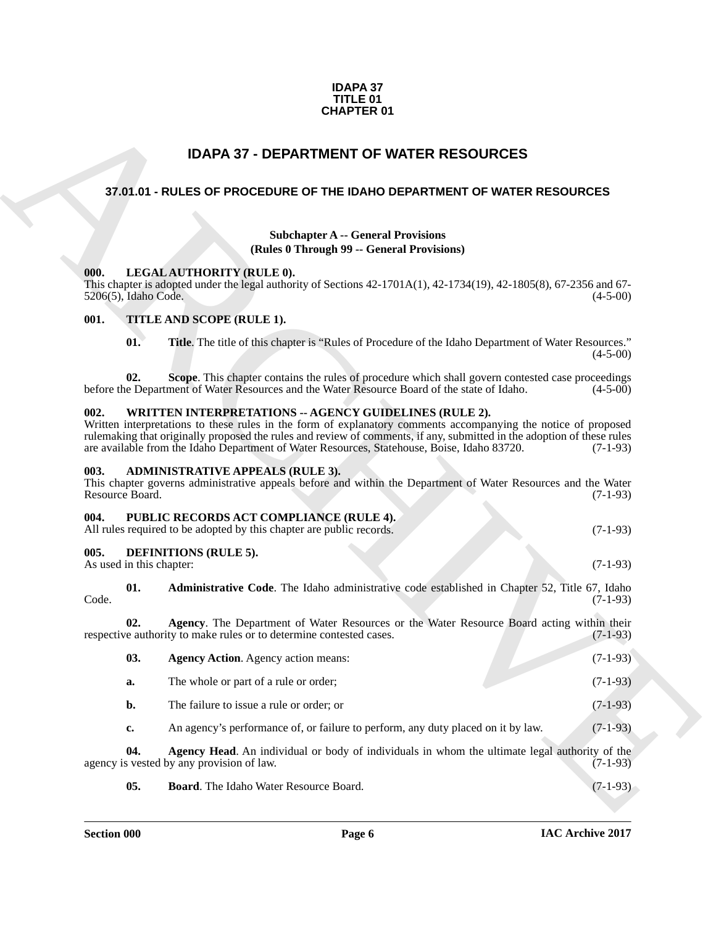### **IDAPA 37 TITLE 01 CHAPTER 01**

## **IDAPA 37 - DEPARTMENT OF WATER RESOURCES**

## <span id="page-5-1"></span><span id="page-5-0"></span>**37.01.01 - RULES OF PROCEDURE OF THE IDAHO DEPARTMENT OF WATER RESOURCES**

## **Subchapter A -- General Provisions (Rules 0 Through 99 -- General Provisions)**

## <span id="page-5-2"></span>**000. LEGAL AUTHORITY (RULE 0).**

## <span id="page-5-3"></span>**001. TITLE AND SCOPE (RULE 1).**

## <span id="page-5-4"></span>**002. WRITTEN INTERPRETATIONS -- AGENCY GUIDELINES (RULE 2).**

### <span id="page-5-5"></span>**003. ADMINISTRATIVE APPEALS (RULE 3).**

| This chapter governs administrative appeals before and within the Department of Water Resources and the Water |  |            |
|---------------------------------------------------------------------------------------------------------------|--|------------|
| Resource Board.                                                                                               |  | $(7-1-93)$ |

#### <span id="page-5-6"></span>**004. PUBLIC RECORDS ACT COMPLIANCE (RULE 4).** All rules required to be adopted by this chapter are public records. (7-1-93)

## <span id="page-5-13"></span><span id="page-5-12"></span><span id="page-5-11"></span><span id="page-5-10"></span><span id="page-5-9"></span><span id="page-5-8"></span><span id="page-5-7"></span>**005. DEFINITIONS (RULE 5).**

|       | <b>CHAPTER 01</b>        |                                                                                                                                                                                                                                                                                                                                                                                                   |            |  |  |
|-------|--------------------------|---------------------------------------------------------------------------------------------------------------------------------------------------------------------------------------------------------------------------------------------------------------------------------------------------------------------------------------------------------------------------------------------------|------------|--|--|
|       |                          | <b>IDAPA 37 - DEPARTMENT OF WATER RESOURCES</b>                                                                                                                                                                                                                                                                                                                                                   |            |  |  |
|       |                          | 37.01.01 - RULES OF PROCEDURE OF THE IDAHO DEPARTMENT OF WATER RESOURCES                                                                                                                                                                                                                                                                                                                          |            |  |  |
|       |                          |                                                                                                                                                                                                                                                                                                                                                                                                   |            |  |  |
|       |                          | <b>Subchapter A -- General Provisions</b><br>(Rules 0 Through 99 -- General Provisions)                                                                                                                                                                                                                                                                                                           |            |  |  |
| 000.  | 5206(5), Idaho Code.     | LEGAL AUTHORITY (RULE 0).<br>This chapter is adopted under the legal authority of Sections $42-1701A(1)$ , $42-1734(19)$ , $42-1805(8)$ , $67-2356$ and $67-$                                                                                                                                                                                                                                     | $(4-5-00)$ |  |  |
| 001.  |                          | TITLE AND SCOPE (RULE 1).                                                                                                                                                                                                                                                                                                                                                                         |            |  |  |
|       | 01.                      | <b>Title.</b> The title of this chapter is "Rules of Procedure of the Idaho Department of Water Resources."                                                                                                                                                                                                                                                                                       | $(4-5-00)$ |  |  |
|       | 02.                      | Scope. This chapter contains the rules of procedure which shall govern contested case proceedings<br>before the Department of Water Resources and the Water Resource Board of the state of Idaho.                                                                                                                                                                                                 | $(4-5-00)$ |  |  |
| 002.  |                          | WRITTEN INTERPRETATIONS -- AGENCY GUIDELINES (RULE 2).<br>Written interpretations to these rules in the form of explanatory comments accompanying the notice of proposed<br>rulemaking that originally proposed the rules and review of comments, if any, submitted in the adoption of these rules<br>are available from the Idaho Department of Water Resources, Statehouse, Boise, Idaho 83720. | $(7-1-93)$ |  |  |
| 003.  | Resource Board.          | <b>ADMINISTRATIVE APPEALS (RULE 3).</b><br>This chapter governs administrative appeals before and within the Department of Water Resources and the Water                                                                                                                                                                                                                                          | $(7-1-93)$ |  |  |
| 004.  |                          | PUBLIC RECORDS ACT COMPLIANCE (RULE 4).<br>All rules required to be adopted by this chapter are public records.                                                                                                                                                                                                                                                                                   | $(7-1-93)$ |  |  |
| 005.  | As used in this chapter: | <b>DEFINITIONS (RULE 5).</b>                                                                                                                                                                                                                                                                                                                                                                      | $(7-1-93)$ |  |  |
| Code. | 01.                      | Administrative Code. The Idaho administrative code established in Chapter 52, Title 67, Idaho                                                                                                                                                                                                                                                                                                     | $(7-1-93)$ |  |  |
|       | 02.                      | Agency. The Department of Water Resources or the Water Resource Board acting within their<br>respective authority to make rules or to determine contested cases.                                                                                                                                                                                                                                  | $(7-1-93)$ |  |  |
|       | 03.                      | <b>Agency Action.</b> Agency action means:                                                                                                                                                                                                                                                                                                                                                        | $(7-1-93)$ |  |  |
|       | a.                       | The whole or part of a rule or order;                                                                                                                                                                                                                                                                                                                                                             | $(7-1-93)$ |  |  |
|       | b.                       | The failure to issue a rule or order; or                                                                                                                                                                                                                                                                                                                                                          | $(7-1-93)$ |  |  |
|       | c.                       | An agency's performance of, or failure to perform, any duty placed on it by law.                                                                                                                                                                                                                                                                                                                  | $(7-1-93)$ |  |  |
|       | 04.                      | Agency Head. An individual or body of individuals in whom the ultimate legal authority of the<br>agency is vested by any provision of law.                                                                                                                                                                                                                                                        | $(7-1-93)$ |  |  |
|       | 05.                      | Board. The Idaho Water Resource Board.                                                                                                                                                                                                                                                                                                                                                            | $(7-1-93)$ |  |  |
|       |                          |                                                                                                                                                                                                                                                                                                                                                                                                   |            |  |  |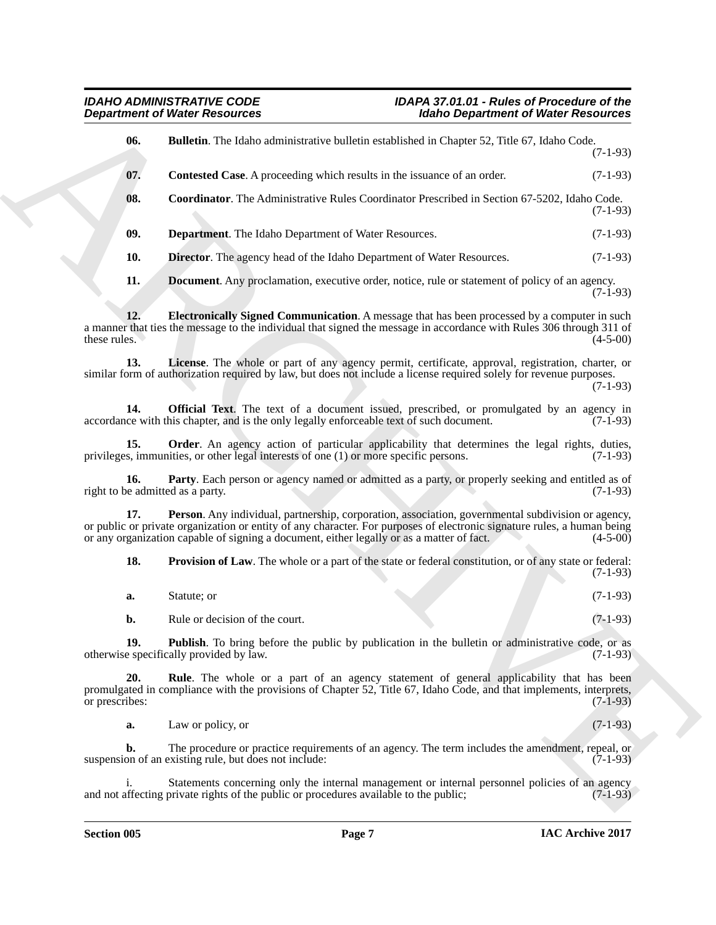<span id="page-6-1"></span><span id="page-6-0"></span>**Department of Weight Resolution**<br> **U.S. Contested Cont. A providing since the higher department of Weight Resolution<br>
<b>U.S. Contested Cont. A providing which makes that the higher start of the start of the Contest Contes 06. Bulletin**. The Idaho administrative bulletin established in Chapter 52, Title 67, Idaho Code. (7-1-93) **07. Contested Case**. A proceeding which results in the issuance of an order. (7-1-93) **08. Coordinator**. The Administrative Rules Coordinator Prescribed in Section 67-5202, Idaho Code. (7-1-93) **09. Department**. The Idaho Department of Water Resources. (7-1-93) **10. Director**. The agency head of the Idaho Department of Water Resources. (7-1-93) **11. Document**. Any proclamation, executive order, notice, rule or statement of policy of an agency.  $(7-1-93)$ **12. Electronically Signed Communication**. A message that has been processed by a computer in such

<span id="page-6-6"></span><span id="page-6-5"></span><span id="page-6-4"></span><span id="page-6-3"></span><span id="page-6-2"></span>a manner that ties the message to the individual that signed the message in accordance with Rules 306 through 311 of these rules. (4-5-00) these rules.  $(4-5-00)$ 

<span id="page-6-7"></span>**13. License**. The whole or part of any agency permit, certificate, approval, registration, charter, or similar form of authorization required by law, but does not include a license required solely for revenue purposes. (7-1-93)

<span id="page-6-8"></span>**14. Official Text**. The text of a document issued, prescribed, or promulgated by an agency in accordance with this chapter, and is the only legally enforceable text of such document. (7-1-93)

<span id="page-6-9"></span>**15. Order**. An agency action of particular applicability that determines the legal rights, duties, s, immunities, or other legal interests of one (1) or more specific persons. (7-1-93) privileges, immunities, or other legal interests of one  $(1)$  or more specific persons.

<span id="page-6-10"></span>**16. Party**. Each person or agency named or admitted as a party, or properly seeking and entitled as of eedmitted as a party. (7-1-93) right to be admitted as a party.

**Person**. Any individual, partnership, corporation, association, governmental subdivision or agency, or public or private organization or entity of any character. For purposes of electronic signature rules, a human being<br>or any organization capable of signing a document, either legally or as a matter of fact. (4-5-00) or any organization capable of signing a document, either legally or as a matter of fact.

<span id="page-6-12"></span><span id="page-6-11"></span>**18. Provision of Law**. The whole or a part of the state or federal constitution, or of any state or federal: (7-1-93)

<span id="page-6-13"></span>**a.** Statute; or (7-1-93) **b.** Rule or decision of the court. (7-1-93)

**19. Publish**. To bring before the public by publication in the bulletin or administrative code, or as e specifically provided by law. (7-1-93) otherwise specifically provided by law.

**20. Rule**. The whole or a part of an agency statement of general applicability that has been promulgated in compliance with the provisions of Chapter 52, Title 67, Idaho Code, and that implements, interprets, or prescribes: (7-1-93) or prescribes: (7-1-93)

<span id="page-6-14"></span>**a.** Law or policy, or (7-1-93)

**b.** The procedure or practice requirements of an agency. The term includes the amendment, repeal, or on of an existing rule, but does not include: (7-1-93) suspension of an existing rule, but does not include:

Statements concerning only the internal management or internal personnel policies of an agency<br>private rights of the public or procedures available to the public: (7-1-93) and not affecting private rights of the public or procedures available to the public;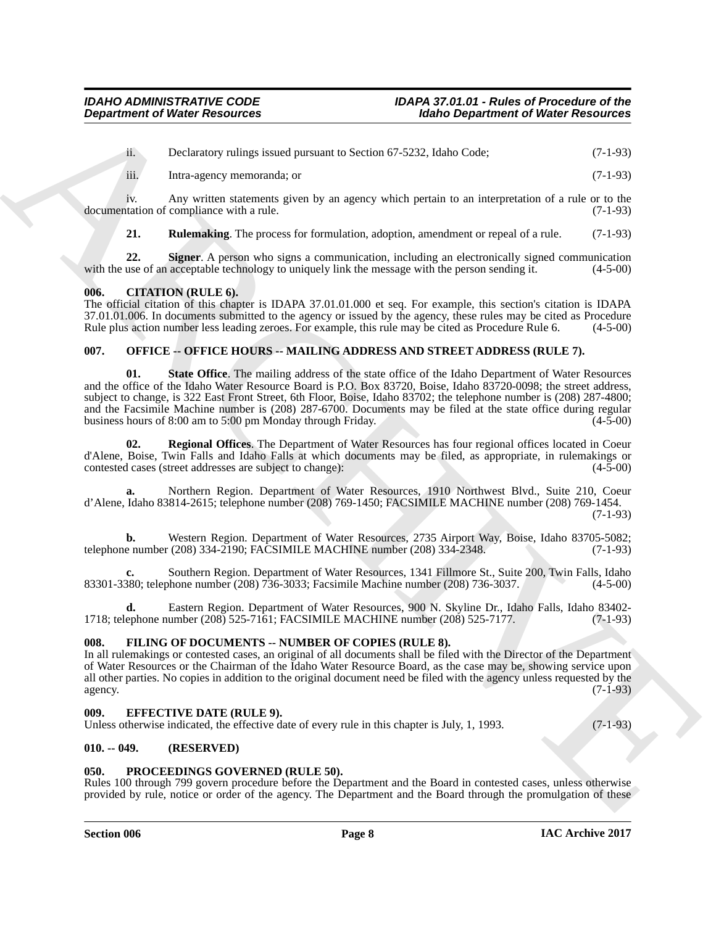ii. Declaratory rulings issued pursuant to Section 67-5232, Idaho Code; (7-1-93)

iii. Intra-agency memoranda; or (7-1-93)

iv. Any written statements given by an agency which pertain to an interpretation of a rule or to the tation of compliance with a rule. (7-1-93) documentation of compliance with a rule.

<span id="page-7-7"></span><span id="page-7-6"></span>**21. Rulemaking**. The process for formulation, adoption, amendment or repeal of a rule. (7-1-93)

**22.** Signer. A person who signs a communication, including an electronically signed communication use of an acceptable technology to uniquely link the message with the person sending it.  $(4-5-00)$ with the use of an acceptable technology to uniquely link the message with the person sending it.

## <span id="page-7-0"></span>**006. CITATION (RULE 6).**

The official citation of this chapter is IDAPA 37.01.01.000 et seq. For example, this section's citation is IDAPA 37.01.01.006. In documents submitted to the agency or issued by the agency, these rules may be cited as Procedure Rule 6. (4-5-00) Rule plus action number less leading zeroes. For example, this rule may be cited as Procedure Rule 6.

## <span id="page-7-1"></span>**007. OFFICE -- OFFICE HOURS -- MAILING ADDRESS AND STREET ADDRESS (RULE 7).**

**Department of Worker Research 2011**<br> **ARCHIVE RESORTED AND DESCRIPTION AND DESCRIPTION CONTROL (2013)**<br> **ARCHIVE RESORTED AND INTERFERENCE (2013)**<br> **ARCHIVE ARCHIVE DESCRIPTION** (2014)<br> **ARCHIVE ARCHIVE DESCRIPTION** (201 **01. State Office**. The mailing address of the state office of the Idaho Department of Water Resources and the office of the Idaho Water Resource Board is P.O. Box 83720, Boise, Idaho 83720-0098; the street address, subject to change, is 322 East Front Street, 6th Floor, Boise, Idaho 83702; the telephone number is (208) 287-4800; and the Facsimile Machine number is (208) 287-6700. Documents may be filed at the state office during regular business hours of 8:00 am to 5:00 pm Monday through Friday. (4-5-00)

**02. Regional Offices**. The Department of Water Resources has four regional offices located in Coeur d'Alene, Boise, Twin Falls and Idaho Falls at which documents may be filed, as appropriate, in rulemakings or contested cases (street addresses are subject to change): (4-5-00)

**a.** Northern Region. Department of Water Resources, 1910 Northwest Blvd., Suite 210, Coeur d'Alene, Idaho 83814-2615; telephone number (208) 769-1450; FACSIMILE MACHINE number (208) 769-1454. (7-1-93)

**b.** Western Region. Department of Water Resources, 2735 Airport Way, Boise, Idaho 83705-5082;<br>e number (208) 334-2190; FACSIMILE MACHINE number (208) 334-2348. (7-1-93) telephone number (208) 334-2190; FACSIMILE MACHINE number (208) 334-2348.

**c.** Southern Region. Department of Water Resources, 1341 Fillmore St., Suite 200, Twin Falls, Idaho 83301-3380; telephone number (208) 736-3033; Facsimile Machine number (208) 736-3037. (4-5-00)

**d.** Eastern Region. Department of Water Resources, 900 N. Skyline Dr., Idaho Falls, Idaho 83402- 1718; telephone number (208) 525-7161; FACSIMILE MACHINE number (208) 525-7177. (7-1-93)

## <span id="page-7-8"></span><span id="page-7-2"></span>**008. FILING OF DOCUMENTS -- NUMBER OF COPIES (RULE 8).**

In all rulemakings or contested cases, an original of all documents shall be filed with the Director of the Department of Water Resources or the Chairman of the Idaho Water Resource Board, as the case may be, showing service upon all other parties. No copies in addition to the original document need be filed with the agency unless requested by the agency.  $(7-1-93)$ 

## <span id="page-7-3"></span>**009. EFFECTIVE DATE (RULE 9).**

Unless otherwise indicated, the effective date of every rule in this chapter is July, 1, 1993. (7-1-93)

## <span id="page-7-4"></span>**010. -- 049. (RESERVED)**

## <span id="page-7-9"></span><span id="page-7-5"></span>**050. PROCEEDINGS GOVERNED (RULE 50).**

Rules 100 through 799 govern procedure before the Department and the Board in contested cases, unless otherwise provided by rule, notice or order of the agency. The Department and the Board through the promulgation of these

### **Section 006 Page 8**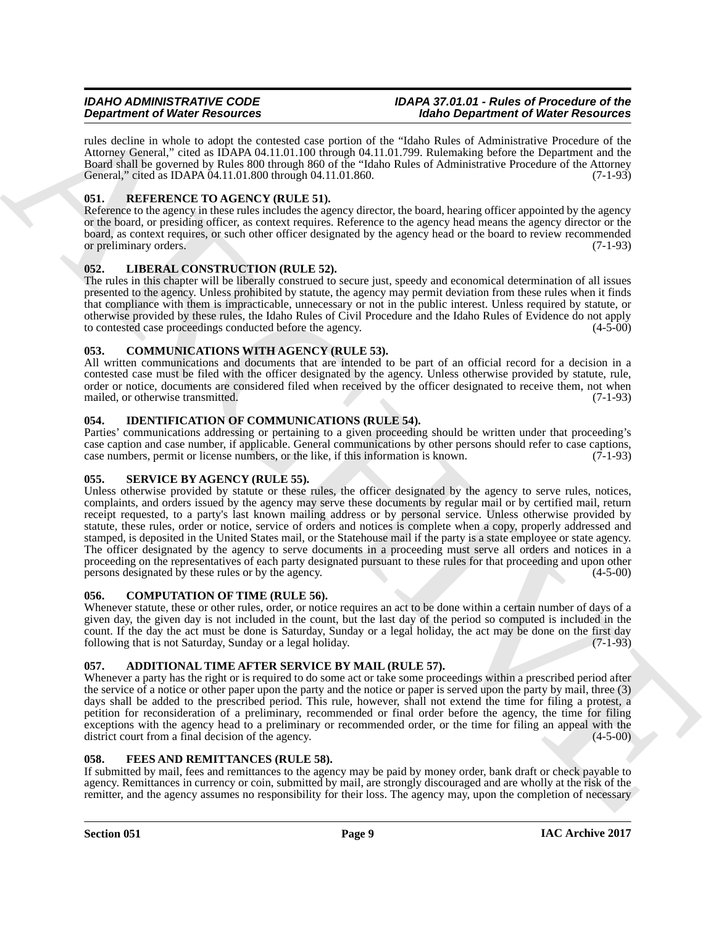rules decline in whole to adopt the contested case portion of the "Idaho Rules of Administrative Procedure of the Attorney General," cited as IDAPA 04.11.01.100 through 04.11.01.799. Rulemaking before the Department and the Board shall be governed by Rules 800 through 860 of the "Idaho Rules of Administrative Procedure of the Attorney General," cited as IDAPA 04.11.01.800 through 04.11.01.860. (7-1-93)

## <span id="page-8-14"></span><span id="page-8-0"></span>**051. REFERENCE TO AGENCY (RULE 51).**

Reference to the agency in these rules includes the agency director, the board, hearing officer appointed by the agency or the board, or presiding officer, as context requires. Reference to the agency head means the agency director or the board, as context requires, or such other officer designated by the agency head or the board to review recommended or preliminary orders. (7-1-93)

## <span id="page-8-13"></span><span id="page-8-1"></span>**052. LIBERAL CONSTRUCTION (RULE 52).**

The rules in this chapter will be liberally construed to secure just, speedy and economical determination of all issues presented to the agency. Unless prohibited by statute, the agency may permit deviation from these rules when it finds that compliance with them is impracticable, unnecessary or not in the public interest. Unless required by statute, or otherwise provided by these rules, the Idaho Rules of Civil Procedure and the Idaho Rules of Evidence do not apply to contested case proceedings conducted before the agency.

## <span id="page-8-9"></span><span id="page-8-2"></span>**053. COMMUNICATIONS WITH AGENCY (RULE 53).**

All written communications and documents that are intended to be part of an official record for a decision in a contested case must be filed with the officer designated by the agency. Unless otherwise provided by statute, rule, order or notice, documents are considered filed when received by the officer designated to receive them, not when mailed, or otherwise transmitted. (7-1-93)

## <span id="page-8-12"></span><span id="page-8-3"></span>**054. IDENTIFICATION OF COMMUNICATIONS (RULE 54).**

Parties' communications addressing or pertaining to a given proceeding should be written under that proceeding's case caption and case number, if applicable. General communications by other persons should refer to case captions, case numbers, permit or license numbers, or the like, if this information is known. (7-1-93)

## <span id="page-8-15"></span><span id="page-8-4"></span>**055. SERVICE BY AGENCY (RULE 55).**

**Dependent of West Resources**<br> **ARCHIVE Note that the state of the state of the state of the state of the state of the state Resources Christian Control in the state of the state of the state of the state of the state of** Unless otherwise provided by statute or these rules, the officer designated by the agency to serve rules, notices, complaints, and orders issued by the agency may serve these documents by regular mail or by certified mail, return receipt requested, to a party's last known mailing address or by personal service. Unless otherwise provided by statute, these rules, order or notice, service of orders and notices is complete when a copy, properly addressed and stamped, is deposited in the United States mail, or the Statehouse mail if the party is a state employee or state agency. The officer designated by the agency to serve documents in a proceeding must serve all orders and notices in a proceeding on the representatives of each party designated pursuant to these rules for that proceeding and upon other persons designated by these rules or by the agency. (4-5-00)

## <span id="page-8-10"></span><span id="page-8-5"></span>**056. COMPUTATION OF TIME (RULE 56).**

Whenever statute, these or other rules, order, or notice requires an act to be done within a certain number of days of a given day, the given day is not included in the count, but the last day of the period so computed is included in the count. If the day the act must be done is Saturday, Sunday or a legal holiday, the act may be done on the first day following that is not Saturday, Sunday or a legal holiday. (7-1-93)

## <span id="page-8-8"></span><span id="page-8-6"></span>**057. ADDITIONAL TIME AFTER SERVICE BY MAIL (RULE 57).**

Whenever a party has the right or is required to do some act or take some proceedings within a prescribed period after the service of a notice or other paper upon the party and the notice or paper is served upon the party by mail, three (3) days shall be added to the prescribed period. This rule, however, shall not extend the time for filing a protest, a petition for reconsideration of a preliminary, recommended or final order before the agency, the time for filing exceptions with the agency head to a preliminary or recommended order, or the time for filing an appeal with the district court from a final decision of the agency. (4-5-00) (4-5-00)

## <span id="page-8-11"></span><span id="page-8-7"></span>**058. FEES AND REMITTANCES (RULE 58).**

If submitted by mail, fees and remittances to the agency may be paid by money order, bank draft or check payable to agency. Remittances in currency or coin, submitted by mail, are strongly discouraged and are wholly at the risk of the remitter, and the agency assumes no responsibility for their loss. The agency may, upon the completion of necessary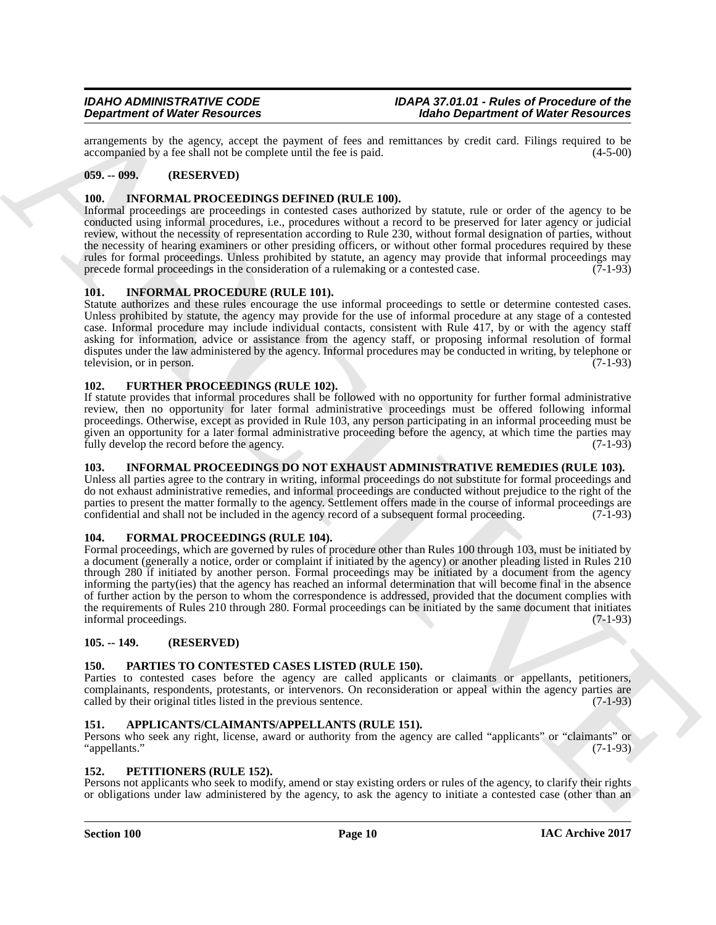arrangements by the agency, accept the payment of fees and remittances by credit card. Filings required to be accompanied by a fee shall not be complete until the fee is paid. (4-5-00) accompanied by a fee shall not be complete until the fee is paid.

## <span id="page-9-0"></span>**059. -- 099. (RESERVED)**

## <span id="page-9-14"></span><span id="page-9-1"></span>**100. INFORMAL PROCEEDINGS DEFINED (RULE 100).**

Informal proceedings are proceedings in contested cases authorized by statute, rule or order of the agency to be conducted using informal procedures, i.e., procedures without a record to be preserved for later agency or judicial review, without the necessity of representation according to Rule 230, without formal designation of parties, without the necessity of hearing examiners or other presiding officers, or without other formal procedures required by these rules for formal proceedings. Unless prohibited by statute, an agency may provide that informal proceedings may<br>precede formal proceedings in the consideration of a rulemaking or a contested case. (7-1-93) precede formal proceedings in the consideration of a rulemaking or a contested case.

## <span id="page-9-13"></span><span id="page-9-2"></span>**101. INFORMAL PROCEDURE (RULE 101).**

Statute authorizes and these rules encourage the use informal proceedings to settle or determine contested cases. Unless prohibited by statute, the agency may provide for the use of informal procedure at any stage of a contested case. Informal procedure may include individual contacts, consistent with Rule 417, by or with the agency staff asking for information, advice or assistance from the agency staff, or proposing informal resolution of formal disputes under the law administered by the agency. Informal procedures may be conducted in writing, by telephone or television, or in person. (7-1-93)

## <span id="page-9-12"></span><span id="page-9-3"></span>**102. FURTHER PROCEEDINGS (RULE 102).**

If statute provides that informal procedures shall be followed with no opportunity for further formal administrative review, then no opportunity for later formal administrative proceedings must be offered following informal proceedings. Otherwise, except as provided in Rule 103, any person participating in an informal proceeding must be given an opportunity for a later formal administrative proceeding before the agency, at which time the parties may fully develop the record before the agency.

## <span id="page-9-15"></span><span id="page-9-4"></span>**103. INFORMAL PROCEEDINGS DO NOT EXHAUST ADMINISTRATIVE REMEDIES (RULE 103).**

Unless all parties agree to the contrary in writing, informal proceedings do not substitute for formal proceedings and do not exhaust administrative remedies, and informal proceedings are conducted without prejudice to the right of the parties to present the matter formally to the agency. Settlement offers made in the course of informal proceedings are confidential and shall not be included in the agency record of a subsequent formal proceeding. (7-1-93) confidential and shall not be included in the agency record of a subsequent formal proceeding.

## <span id="page-9-11"></span><span id="page-9-5"></span>**104. FORMAL PROCEEDINGS (RULE 104).**

**Department of Water Resources the propose of the same state is an architecture of Water Resources constrained in the same state is a state of the same state is a state of the same state is a state of the same state is a** Formal proceedings, which are governed by rules of procedure other than Rules 100 through 103, must be initiated by a document (generally a notice, order or complaint if initiated by the agency) or another pleading listed in Rules 210 through 280 if initiated by another person. Formal proceedings may be initiated by a document from the agency informing the party(ies) that the agency has reached an informal determination that will become final in the absence of further action by the person to whom the correspondence is addressed, provided that the document complies with the requirements of Rules 210 through 280. Formal proceedings can be initiated by the same document that initiates informal proceedings. (7-1-93)

## <span id="page-9-6"></span>**105. -- 149. (RESERVED)**

## <span id="page-9-16"></span><span id="page-9-7"></span>**150. PARTIES TO CONTESTED CASES LISTED (RULE 150).**

Parties to contested cases before the agency are called applicants or claimants or appellants, petitioners, complainants, respondents, protestants, or intervenors. On reconsideration or appeal within the agency parties are called by their original titles listed in the previous sentence. (7-1-93)

## <span id="page-9-10"></span><span id="page-9-8"></span>**151. APPLICANTS/CLAIMANTS/APPELLANTS (RULE 151).**

Persons who seek any right, license, award or authority from the agency are called "applicants" or "claimants" or "appellants." (7-1-93)

### <span id="page-9-17"></span><span id="page-9-9"></span>**152. PETITIONERS (RULE 152).**

Persons not applicants who seek to modify, amend or stay existing orders or rules of the agency, to clarify their rights or obligations under law administered by the agency, to ask the agency to initiate a contested case (other than an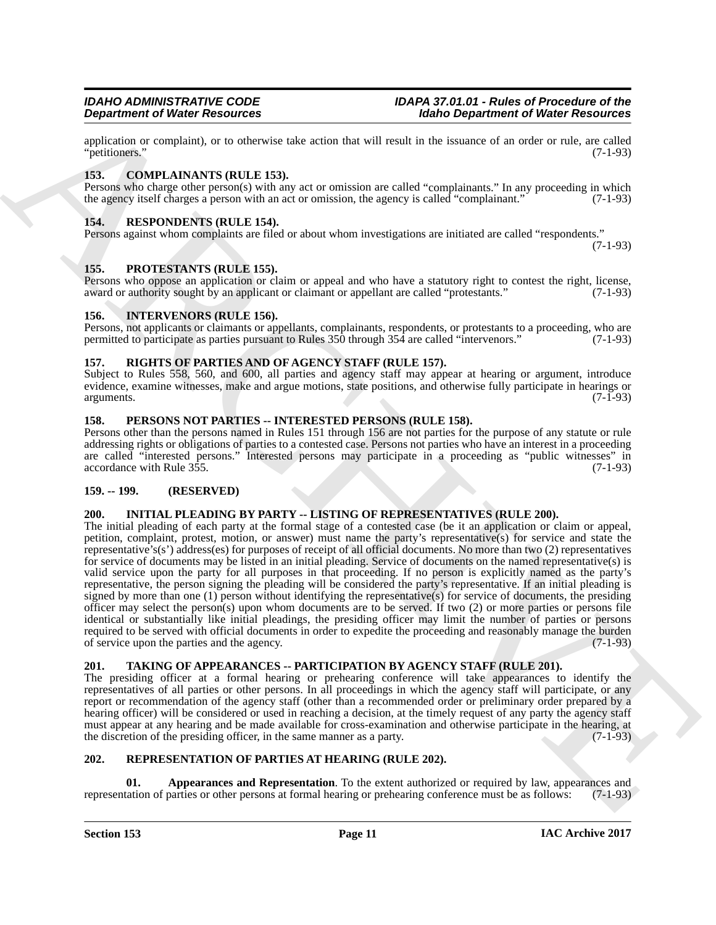application or complaint), or to otherwise take action that will result in the issuance of an order or rule, are called "petitioners."  $(7-1-93)$ "petitioners."

## <span id="page-10-10"></span><span id="page-10-0"></span>**153. COMPLAINANTS (RULE 153).**

Persons who charge other person(s) with any act or omission are called "complainants." In any proceeding in which the agency itself charges a person with an act or omission, the agency is called "complainant." (7-1-93)

## <span id="page-10-17"></span><span id="page-10-1"></span>**154. RESPONDENTS (RULE 154).**

Persons against whom complaints are filed or about whom investigations are initiated are called "respondents." (7-1-93)

## <span id="page-10-14"></span><span id="page-10-2"></span>**155. PROTESTANTS (RULE 155).**

Persons who oppose an application or claim or appeal and who have a statutory right to contest the right, license, award or authority sought by an applicant or claimant or appellant are called "protestants." (7-1-93)

### <span id="page-10-12"></span><span id="page-10-3"></span>**156. INTERVENORS (RULE 156).**

Persons, not applicants or claimants or appellants, complainants, respondents, or protestants to a proceeding, who are permitted to participate as parties pursuant to Rules 350 through 354 are called "intervenors." (7-1-93 permitted to participate as parties pursuant to Rules 350 through 354 are called "intervenors."

## <span id="page-10-18"></span><span id="page-10-4"></span>**157. RIGHTS OF PARTIES AND OF AGENCY STAFF (RULE 157).**

Subject to Rules 558, 560, and 600, all parties and agency staff may appear at hearing or argument, introduce evidence, examine witnesses, make and argue motions, state positions, and otherwise fully participate in hearings or arguments. (7-1-93) arguments. (7-1-93)

## <span id="page-10-13"></span><span id="page-10-5"></span>**158. PERSONS NOT PARTIES -- INTERESTED PERSONS (RULE 158).**

Persons other than the persons named in Rules 151 through 156 are not parties for the purpose of any statute or rule addressing rights or obligations of parties to a contested case. Persons not parties who have an interest in a proceeding are called "interested persons." Interested persons may participate in a proceeding as "public witnesses" in accordance with Rule 355. (7-1-93)

### <span id="page-10-6"></span>**159. -- 199. (RESERVED)**

## <span id="page-10-11"></span><span id="page-10-7"></span>**200. INITIAL PLEADING BY PARTY -- LISTING OF REPRESENTATIVES (RULE 200).**

**Experiment of Weiler Resolution**<br>
and looking the two behaviors are also wise that result in the issues of an other Resolution<br>
policing or consideration of the state of the state of the state of the state of the state o The initial pleading of each party at the formal stage of a contested case (be it an application or claim or appeal, petition, complaint, protest, motion, or answer) must name the party's representative(s) for service and state the representative's(s') address(es) for purposes of receipt of all official documents. No more than two (2) representatives for service of documents may be listed in an initial pleading. Service of documents on the named representative(s) is valid service upon the party for all purposes in that proceeding. If no person is explicitly named as the party's representative, the person signing the pleading will be considered the party's representative. If an initial pleading is signed by more than one (1) person without identifying the representative(s) for service of documents, the presiding officer may select the person(s) upon whom documents are to be served. If two (2) or more parties or persons file identical or substantially like initial pleadings, the presiding officer may limit the number of parties or persons required to be served with official documents in order to expedite the proceeding and reasonably manage the burden of service upon the parties and the agency. (7-1-93)

## <span id="page-10-19"></span><span id="page-10-8"></span>**201. TAKING OF APPEARANCES -- PARTICIPATION BY AGENCY STAFF (RULE 201).**

The presiding officer at a formal hearing or prehearing conference will take appearances to identify the representatives of all parties or other persons. In all proceedings in which the agency staff will participate, or any report or recommendation of the agency staff (other than a recommended order or preliminary order prepared by a hearing officer) will be considered or used in reaching a decision, at the timely request of any party the agency staff must appear at any hearing and be made available for cross-examination and otherwise participate in the hearing, at the discretion of the presiding officer, in the same manner as a party. (7-1-93)

## <span id="page-10-15"></span><span id="page-10-9"></span>**202. REPRESENTATION OF PARTIES AT HEARING (RULE 202).**

<span id="page-10-16"></span>**Appearances and Representation**. To the extent authorized or required by law, appearances and parties or other persons at formal hearing or prehearing conference must be as follows: (7-1-93) representation of parties or other persons at formal hearing or prehearing conference must be as follows: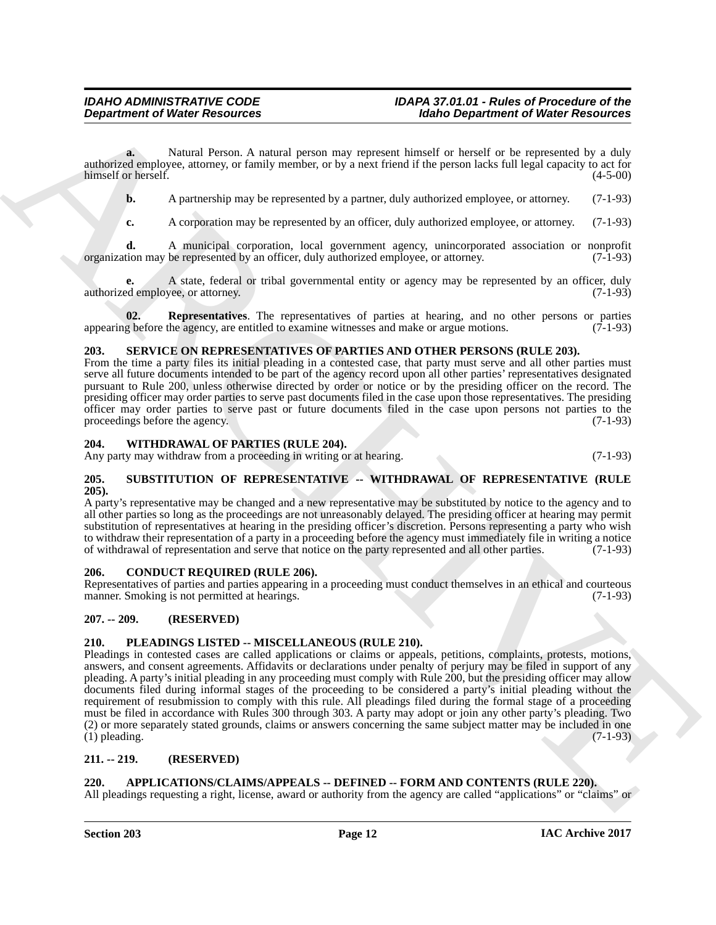**a.** Natural Person. A natural person may represent himself or herself or be represented by a duly authorized employee, attorney, or family member, or by a next friend if the person lacks full legal capacity to act for himself or herself. (4-5-00)

**b.** A partnership may be represented by a partner, duly authorized employee, or attorney. (7-1-93)

**c.** A corporation may be represented by an officer, duly authorized employee, or attorney. (7-1-93)

**d.** A municipal corporation, local government agency, unincorporated association or nonprofit tion may be represented by an officer, duly authorized employee, or attorney. (7-1-93) organization may be represented by an officer, duly authorized employee, or attorney.

**e.** A state, federal or tribal governmental entity or agency may be represented by an officer, duly ed employee, or attorney. (7-1-93) authorized employee, or attorney.

<span id="page-11-11"></span>**02. Representatives**. The representatives of parties at hearing, and no other persons or parties g before the agency, are entitled to examine witnesses and make or argue motions. (7-1-93) appearing before the agency, are entitled to examine witnesses and make or argue motions.

## <span id="page-11-12"></span><span id="page-11-0"></span>**203. SERVICE ON REPRESENTATIVES OF PARTIES AND OTHER PERSONS (RULE 203).**

From the time a party files its initial pleading in a contested case, that party must serve and all other parties must serve all future documents intended to be part of the agency record upon all other parties' representatives designated pursuant to Rule 200, unless otherwise directed by order or notice or by the presiding officer on the record. The presiding officer may order parties to serve past documents filed in the case upon those representatives. The presiding officer may order parties to serve past or future documents filed in the case upon persons not parties to the proceedings before the agency. (7-1-93)  $(7-1-93)$ 

## <span id="page-11-14"></span><span id="page-11-1"></span>**204. WITHDRAWAL OF PARTIES (RULE 204).**

Any party may withdraw from a proceeding in writing or at hearing. (7-1-93)

#### <span id="page-11-13"></span><span id="page-11-2"></span>**205. SUBSTITUTION OF REPRESENTATIVE -- WITHDRAWAL OF REPRESENTATIVE (RULE 205).**

A party's representative may be changed and a new representative may be substituted by notice to the agency and to all other parties so long as the proceedings are not unreasonably delayed. The presiding officer at hearing may permit substitution of representatives at hearing in the presiding officer's discretion. Persons representing a party who wish to withdraw their representation of a party in a proceeding before the agency must immediately file in writing a notice of withdrawal of representation and serve that notice on the party represented and all other parties. (7-1-93)

## <span id="page-11-9"></span><span id="page-11-3"></span>**206. CONDUCT REQUIRED (RULE 206).**

Representatives of parties and parties appearing in a proceeding must conduct themselves in an ethical and courteous manner. Smoking is not permitted at hearings. (7-1-93) manner. Smoking is not permitted at hearings.

## <span id="page-11-4"></span>**207. -- 209. (RESERVED)**

## <span id="page-11-10"></span><span id="page-11-5"></span>**210. PLEADINGS LISTED -- MISCELLANEOUS (RULE 210).**

**Department of Works Resolution**<br>
Engine the state of the state and person may regressed than the state of Works Resolution<br>
Engine the state and the state and the state of the state and the state and the best of the stat Pleadings in contested cases are called applications or claims or appeals, petitions, complaints, protests, motions, answers, and consent agreements. Affidavits or declarations under penalty of perjury may be filed in support of any pleading. A party's initial pleading in any proceeding must comply with Rule 200, but the presiding officer may allow documents filed during informal stages of the proceeding to be considered a party's initial pleading without the requirement of resubmission to comply with this rule. All pleadings filed during the formal stage of a proceeding must be filed in accordance with Rules 300 through 303. A party may adopt or join any other party's pleading. Two (2) or more separately stated grounds, claims or answers concerning the same subject matter may be included in one (1) pleading.  $(7-1-93)$ 

## <span id="page-11-6"></span>**211. -- 219. (RESERVED)**

## <span id="page-11-8"></span><span id="page-11-7"></span>**220. APPLICATIONS/CLAIMS/APPEALS -- DEFINED -- FORM AND CONTENTS (RULE 220).**

All pleadings requesting a right, license, award or authority from the agency are called "applications" or "claims" or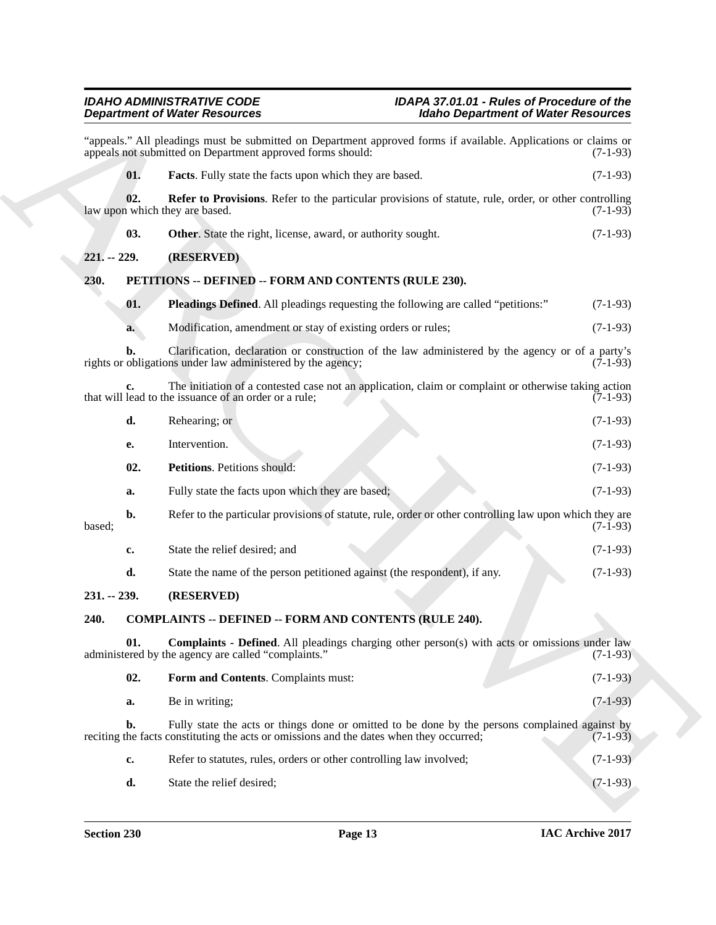<span id="page-12-9"></span><span id="page-12-8"></span><span id="page-12-7"></span><span id="page-12-6"></span><span id="page-12-5"></span><span id="page-12-4"></span><span id="page-12-3"></span><span id="page-12-2"></span><span id="page-12-1"></span><span id="page-12-0"></span>

|                 | <b>Department of Water Resources</b>                                                                                                                                                      | <b>Idaho Department of Water Resources</b> |  |
|-----------------|-------------------------------------------------------------------------------------------------------------------------------------------------------------------------------------------|--------------------------------------------|--|
|                 | "appeals." All pleadings must be submitted on Department approved forms if available. Applications or claims or<br>appeals not submitted on Department approved forms should:             | $(7-1-93)$                                 |  |
| 01.             | <b>Facts</b> . Fully state the facts upon which they are based.                                                                                                                           | $(7-1-93)$                                 |  |
| 02.             | Refer to Provisions. Refer to the particular provisions of statute, rule, order, or other controlling<br>law upon which they are based.                                                   | $(7-1-93)$                                 |  |
| 03.             | Other. State the right, license, award, or authority sought.                                                                                                                              | $(7-1-93)$                                 |  |
| $221. - 229.$   | (RESERVED)                                                                                                                                                                                |                                            |  |
| 230.            | PETITIONS -- DEFINED -- FORM AND CONTENTS (RULE 230).                                                                                                                                     |                                            |  |
| 01.             | <b>Pleadings Defined.</b> All pleadings requesting the following are called "petitions:"                                                                                                  | $(7-1-93)$                                 |  |
| a.              | Modification, amendment or stay of existing orders or rules;                                                                                                                              | $(7-1-93)$                                 |  |
| b.              | Clarification, declaration or construction of the law administered by the agency or of a party's<br>rights or obligations under law administered by the agency;                           | $(7-1-93)$                                 |  |
| c.              | The initiation of a contested case not an application, claim or complaint or otherwise taking action<br>that will lead to the issuance of an order or a rule;                             | $(7-1-93)$                                 |  |
| d.              | Rehearing; or                                                                                                                                                                             | $(7-1-93)$                                 |  |
| е.              | Intervention.                                                                                                                                                                             | $(7-1-93)$                                 |  |
| 02.             | Petitions. Petitions should:                                                                                                                                                              | $(7-1-93)$                                 |  |
| a.              | Fully state the facts upon which they are based;                                                                                                                                          | $(7-1-93)$                                 |  |
| $b$ .<br>based; | Refer to the particular provisions of statute, rule, order or other controlling law upon which they are                                                                                   | $(7-1-93)$                                 |  |
| c.              | State the relief desired; and                                                                                                                                                             | $(7-1-93)$                                 |  |
| d.              | State the name of the person petitioned against (the respondent), if any.                                                                                                                 | $(7-1-93)$                                 |  |
| $231. - 239.$   | (RESERVED)                                                                                                                                                                                |                                            |  |
| 240.            | <b>COMPLAINTS -- DEFINED -- FORM AND CONTENTS (RULE 240).</b>                                                                                                                             |                                            |  |
| 01.             | <b>Complaints - Defined.</b> All pleadings charging other person(s) with acts or omissions under law<br>administered by the agency are called "complaints."                               | $(7-1-93)$                                 |  |
| 02.             | Form and Contents. Complaints must:                                                                                                                                                       | $(7-1-93)$                                 |  |
| a.              | Be in writing;                                                                                                                                                                            | $(7-1-93)$                                 |  |
| b.              | Fully state the acts or things done or omitted to be done by the persons complained against by<br>reciting the facts constituting the acts or omissions and the dates when they occurred; | $(7-1-93)$                                 |  |
| c.              | Refer to statutes, rules, orders or other controlling law involved;                                                                                                                       | $(7-1-93)$                                 |  |
|                 |                                                                                                                                                                                           |                                            |  |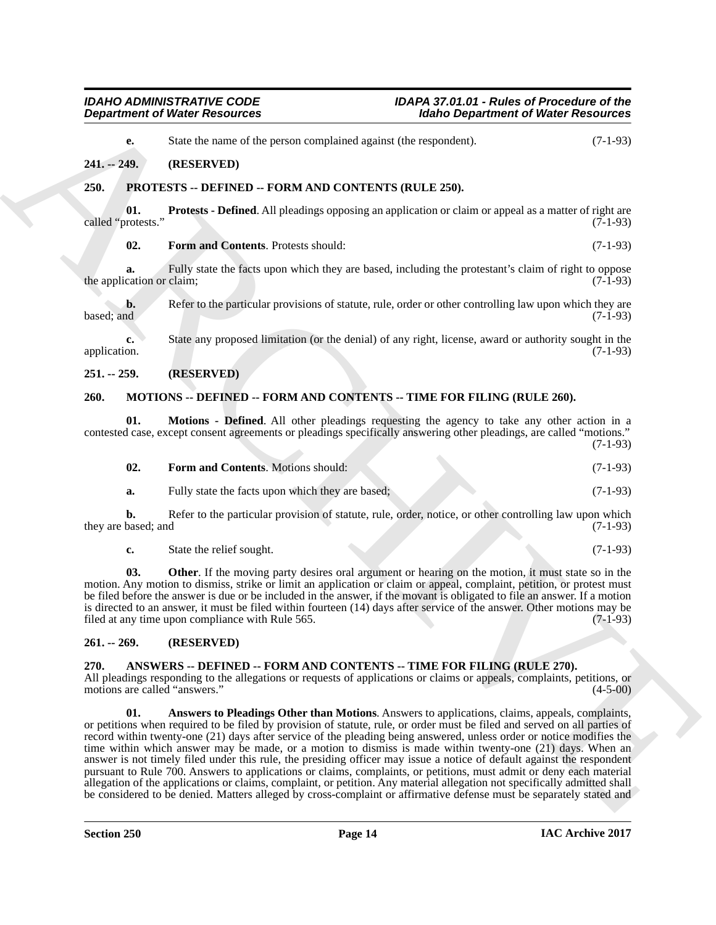<span id="page-13-14"></span><span id="page-13-12"></span><span id="page-13-1"></span><span id="page-13-0"></span>

|                                       | <b>Department of Water Resources</b>                                                                                                                                                                                                                                                                                                                                                                                                                                                                                                                                                                                                                                                                                                                                                                                                           | <b>Idaho Department of Water Resources</b> |
|---------------------------------------|------------------------------------------------------------------------------------------------------------------------------------------------------------------------------------------------------------------------------------------------------------------------------------------------------------------------------------------------------------------------------------------------------------------------------------------------------------------------------------------------------------------------------------------------------------------------------------------------------------------------------------------------------------------------------------------------------------------------------------------------------------------------------------------------------------------------------------------------|--------------------------------------------|
| e.                                    | State the name of the person complained against (the respondent).                                                                                                                                                                                                                                                                                                                                                                                                                                                                                                                                                                                                                                                                                                                                                                              | $(7-1-93)$                                 |
| $241. - 249.$                         | (RESERVED)                                                                                                                                                                                                                                                                                                                                                                                                                                                                                                                                                                                                                                                                                                                                                                                                                                     |                                            |
| 250.                                  | PROTESTS -- DEFINED -- FORM AND CONTENTS (RULE 250).                                                                                                                                                                                                                                                                                                                                                                                                                                                                                                                                                                                                                                                                                                                                                                                           |                                            |
| 01.<br>called "protests."             | <b>Protests - Defined.</b> All pleadings opposing an application or claim or appeal as a matter of right are                                                                                                                                                                                                                                                                                                                                                                                                                                                                                                                                                                                                                                                                                                                                   | $(7-1-93)$                                 |
| 02.                                   | Form and Contents. Protests should:                                                                                                                                                                                                                                                                                                                                                                                                                                                                                                                                                                                                                                                                                                                                                                                                            | $(7-1-93)$                                 |
| a.<br>the application or claim;       | Fully state the facts upon which they are based, including the protestant's claim of right to oppose                                                                                                                                                                                                                                                                                                                                                                                                                                                                                                                                                                                                                                                                                                                                           | $(7-1-93)$                                 |
| b.<br>based; and                      | Refer to the particular provisions of statute, rule, order or other controlling law upon which they are                                                                                                                                                                                                                                                                                                                                                                                                                                                                                                                                                                                                                                                                                                                                        | $(7-1-93)$                                 |
| c.<br>application.                    | State any proposed limitation (or the denial) of any right, license, award or authority sought in the                                                                                                                                                                                                                                                                                                                                                                                                                                                                                                                                                                                                                                                                                                                                          | $(7-1-93)$                                 |
| $251. - 259.$                         | (RESERVED)                                                                                                                                                                                                                                                                                                                                                                                                                                                                                                                                                                                                                                                                                                                                                                                                                                     |                                            |
| 260.                                  | MOTIONS -- DEFINED -- FORM AND CONTENTS -- TIME FOR FILING (RULE 260).                                                                                                                                                                                                                                                                                                                                                                                                                                                                                                                                                                                                                                                                                                                                                                         |                                            |
| 01.                                   | Motions - Defined. All other pleadings requesting the agency to take any other action in a<br>contested case, except consent agreements or pleadings specifically answering other pleadings, are called "motions."                                                                                                                                                                                                                                                                                                                                                                                                                                                                                                                                                                                                                             | $(7-1-93)$                                 |
| 02.                                   | Form and Contents. Motions should:                                                                                                                                                                                                                                                                                                                                                                                                                                                                                                                                                                                                                                                                                                                                                                                                             | $(7-1-93)$                                 |
| a.                                    | Fully state the facts upon which they are based;                                                                                                                                                                                                                                                                                                                                                                                                                                                                                                                                                                                                                                                                                                                                                                                               | $(7-1-93)$                                 |
| b.<br>they are based; and             | Refer to the particular provision of statute, rule, order, notice, or other controlling law upon which                                                                                                                                                                                                                                                                                                                                                                                                                                                                                                                                                                                                                                                                                                                                         | $(7-1-93)$                                 |
| c.                                    | State the relief sought.                                                                                                                                                                                                                                                                                                                                                                                                                                                                                                                                                                                                                                                                                                                                                                                                                       | $(7-1-93)$                                 |
| 03.                                   | <b>Other</b> . If the moving party desires oral argument or hearing on the motion, it must state so in the<br>motion. Any motion to dismiss, strike or limit an application or claim or appeal, complaint, petition, or protest must<br>be filed before the answer is due or be included in the answer, if the movant is obligated to file an answer. If a motion<br>is directed to an answer, it must be filed within fourteen (14) days after service of the answer. Other motions may be<br>filed at any time upon compliance with Rule 565.                                                                                                                                                                                                                                                                                                | $(7-1-93)$                                 |
| $261. - 269.$                         | (RESERVED)                                                                                                                                                                                                                                                                                                                                                                                                                                                                                                                                                                                                                                                                                                                                                                                                                                     |                                            |
| 270.<br>motions are called "answers." | ANSWERS -- DEFINED -- FORM AND CONTENTS -- TIME FOR FILING (RULE 270).<br>All pleadings responding to the allegations or requests of applications or claims or appeals, complaints, petitions, or                                                                                                                                                                                                                                                                                                                                                                                                                                                                                                                                                                                                                                              | $(4-5-00)$                                 |
| 01.                                   | Answers to Pleadings Other than Motions. Answers to applications, claims, appeals, complaints,<br>or petitions when required to be filed by provision of statute, rule, or order must be filed and served on all parties of<br>record within twenty-one (21) days after service of the pleading being answered, unless order or notice modifies the<br>time within which answer may be made, or a motion to dismiss is made within twenty-one (21) days. When an<br>answer is not timely filed under this rule, the presiding officer may issue a notice of default against the respondent<br>pursuant to Rule 700. Answers to applications or claims, complaints, or petitions, must admit or deny each material<br>allegation of the applications or claims, complaint, or petition. Any material allegation not specifically admitted shall |                                            |

## <span id="page-13-13"></span><span id="page-13-2"></span>**251. -- 259. (RESERVED)**

## <span id="page-13-8"></span><span id="page-13-3"></span>**260. MOTIONS -- DEFINED -- FORM AND CONTENTS -- TIME FOR FILING (RULE 260).**

<span id="page-13-11"></span><span id="page-13-10"></span><span id="page-13-9"></span>

| 02. | <b>Form and Contents.</b> Motions should:        | $(7-1-93)$ |
|-----|--------------------------------------------------|------------|
|     | Fully state the facts upon which they are based: | $(7-1-93)$ |

## <span id="page-13-4"></span>**261. -- 269. (RESERVED)**

## <span id="page-13-7"></span><span id="page-13-6"></span><span id="page-13-5"></span>**270. ANSWERS -- DEFINED -- FORM AND CONTENTS -- TIME FOR FILING (RULE 270).**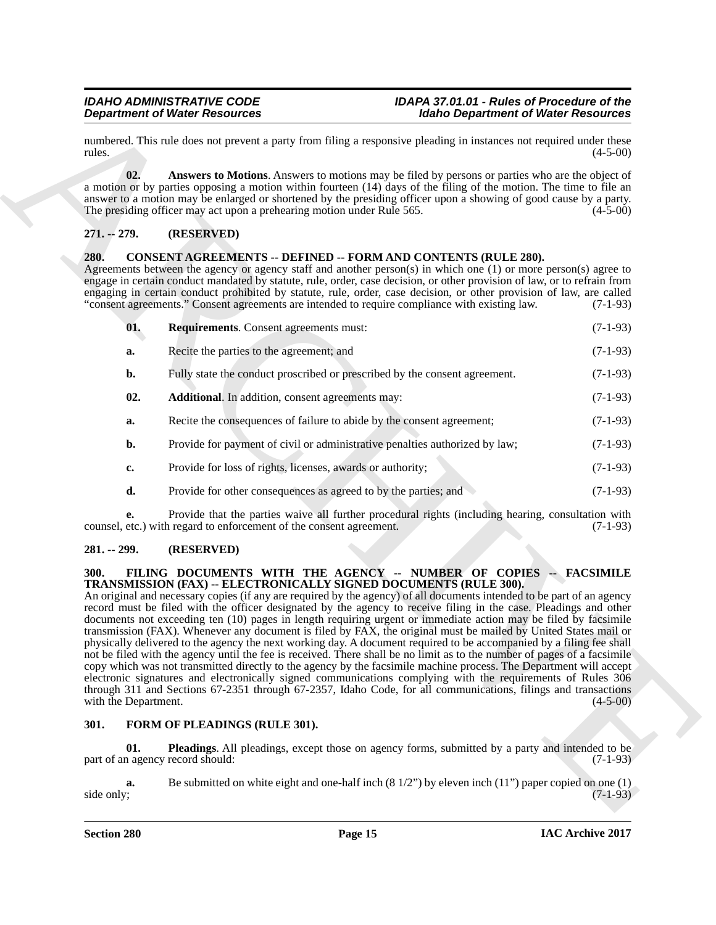## <span id="page-14-5"></span><span id="page-14-0"></span>**271. -- 279. (RESERVED)**

## <span id="page-14-8"></span><span id="page-14-7"></span><span id="page-14-6"></span><span id="page-14-1"></span>**280. CONSENT AGREEMENTS -- DEFINED -- FORM AND CONTENTS (RULE 280).**

|                              | <b>Department of Water Resources</b>                                                                                                                                                                                                                                                                                                                                                                                                                                                                                                                                                                                                                                                                                                                                                                                                                                                                                                                                                                                                                                                                                                                                                                                                   | <b>Idaho Department of Water Resources</b>                                                                           |
|------------------------------|----------------------------------------------------------------------------------------------------------------------------------------------------------------------------------------------------------------------------------------------------------------------------------------------------------------------------------------------------------------------------------------------------------------------------------------------------------------------------------------------------------------------------------------------------------------------------------------------------------------------------------------------------------------------------------------------------------------------------------------------------------------------------------------------------------------------------------------------------------------------------------------------------------------------------------------------------------------------------------------------------------------------------------------------------------------------------------------------------------------------------------------------------------------------------------------------------------------------------------------|----------------------------------------------------------------------------------------------------------------------|
| rules.                       | numbered. This rule does not prevent a party from filing a responsive pleading in instances not required under these                                                                                                                                                                                                                                                                                                                                                                                                                                                                                                                                                                                                                                                                                                                                                                                                                                                                                                                                                                                                                                                                                                                   | $(4-5-00)$                                                                                                           |
| 02.                          | a motion or by parties opposing a motion within fourteen (14) days of the filing of the motion. The time to file an<br>answer to a motion may be enlarged or shortened by the presiding officer upon a showing of good cause by a party.<br>The presiding officer may act upon a prehearing motion under Rule 565.                                                                                                                                                                                                                                                                                                                                                                                                                                                                                                                                                                                                                                                                                                                                                                                                                                                                                                                     | Answers to Motions. Answers to motions may be filed by persons or parties who are the object of<br>$(4-5-00)$        |
| $271. - 279.$                | (RESERVED)                                                                                                                                                                                                                                                                                                                                                                                                                                                                                                                                                                                                                                                                                                                                                                                                                                                                                                                                                                                                                                                                                                                                                                                                                             |                                                                                                                      |
| 280.                         | <b>CONSENT AGREEMENTS -- DEFINED -- FORM AND CONTENTS (RULE 280).</b><br>Agreements between the agency or agency staff and another person(s) in which one (1) or more person(s) agree to<br>engage in certain conduct mandated by statute, rule, order, case decision, or other provision of law, or to refrain from<br>engaging in certain conduct prohibited by statute, rule, order, case decision, or other provision of law, are called<br>"consent agreements." Consent agreements are intended to require compliance with existing law.                                                                                                                                                                                                                                                                                                                                                                                                                                                                                                                                                                                                                                                                                         | $(7-1-93)$                                                                                                           |
| 01.                          | <b>Requirements.</b> Consent agreements must:                                                                                                                                                                                                                                                                                                                                                                                                                                                                                                                                                                                                                                                                                                                                                                                                                                                                                                                                                                                                                                                                                                                                                                                          | $(7-1-93)$                                                                                                           |
| a.                           | Recite the parties to the agreement; and                                                                                                                                                                                                                                                                                                                                                                                                                                                                                                                                                                                                                                                                                                                                                                                                                                                                                                                                                                                                                                                                                                                                                                                               | $(7-1-93)$                                                                                                           |
| b.                           | Fully state the conduct proscribed or prescribed by the consent agreement.                                                                                                                                                                                                                                                                                                                                                                                                                                                                                                                                                                                                                                                                                                                                                                                                                                                                                                                                                                                                                                                                                                                                                             | $(7-1-93)$                                                                                                           |
| 02.                          | Additional. In addition, consent agreements may:                                                                                                                                                                                                                                                                                                                                                                                                                                                                                                                                                                                                                                                                                                                                                                                                                                                                                                                                                                                                                                                                                                                                                                                       | $(7-1-93)$                                                                                                           |
| a.                           | Recite the consequences of failure to abide by the consent agreement;                                                                                                                                                                                                                                                                                                                                                                                                                                                                                                                                                                                                                                                                                                                                                                                                                                                                                                                                                                                                                                                                                                                                                                  | $(7-1-93)$                                                                                                           |
| b.                           | Provide for payment of civil or administrative penalties authorized by law;                                                                                                                                                                                                                                                                                                                                                                                                                                                                                                                                                                                                                                                                                                                                                                                                                                                                                                                                                                                                                                                                                                                                                            | $(7-1-93)$                                                                                                           |
| c.                           | Provide for loss of rights, licenses, awards or authority;                                                                                                                                                                                                                                                                                                                                                                                                                                                                                                                                                                                                                                                                                                                                                                                                                                                                                                                                                                                                                                                                                                                                                                             | $(7-1-93)$                                                                                                           |
| d.                           | Provide for other consequences as agreed to by the parties; and                                                                                                                                                                                                                                                                                                                                                                                                                                                                                                                                                                                                                                                                                                                                                                                                                                                                                                                                                                                                                                                                                                                                                                        | $(7-1-93)$                                                                                                           |
| e.                           | counsel, etc.) with regard to enforcement of the consent agreement.                                                                                                                                                                                                                                                                                                                                                                                                                                                                                                                                                                                                                                                                                                                                                                                                                                                                                                                                                                                                                                                                                                                                                                    | Provide that the parties waive all further procedural rights (including hearing, consultation with<br>$(7-1-93)$     |
| $281. - 299.$                | (RESERVED)                                                                                                                                                                                                                                                                                                                                                                                                                                                                                                                                                                                                                                                                                                                                                                                                                                                                                                                                                                                                                                                                                                                                                                                                                             |                                                                                                                      |
| 300.<br>with the Department. | FILING DOCUMENTS WITH THE AGENCY -- NUMBER OF COPIES -- FACSIMILE<br>TRANSMISSION (FAX) -- ELECTRONICALLY SIGNED DOCUMENTS (RULE 300).<br>An original and necessary copies (if any are required by the agency) of all documents intended to be part of an agency<br>record must be filed with the officer designated by the agency to receive filing in the case. Pleadings and other<br>documents not exceeding ten (10) pages in length requiring urgent or immediate action may be filed by facsimile<br>transmission (FAX). Whenever any document is filed by FAX, the original must be mailed by United States mail or<br>physically delivered to the agency the next working day. A document required to be accompanied by a filing fee shall<br>not be filed with the agency until the fee is received. There shall be no limit as to the number of pages of a facsimile<br>copy which was not transmitted directly to the agency by the facsimile machine process. The Department will accept<br>electronic signatures and electronically signed communications complying with the requirements of Rules 306<br>through 311 and Sections 67-2351 through 67-2357, Idaho Code, for all communications, filings and transactions | $(4 - 5 - 00)$                                                                                                       |
|                              | FORM OF PLEADINGS (RULE 301).                                                                                                                                                                                                                                                                                                                                                                                                                                                                                                                                                                                                                                                                                                                                                                                                                                                                                                                                                                                                                                                                                                                                                                                                          |                                                                                                                      |
| 301.                         |                                                                                                                                                                                                                                                                                                                                                                                                                                                                                                                                                                                                                                                                                                                                                                                                                                                                                                                                                                                                                                                                                                                                                                                                                                        |                                                                                                                      |
| 01.                          | part of an agency record should:                                                                                                                                                                                                                                                                                                                                                                                                                                                                                                                                                                                                                                                                                                                                                                                                                                                                                                                                                                                                                                                                                                                                                                                                       | <b>Pleadings.</b> All pleadings, except those on agency forms, submitted by a party and intended to be<br>$(7-1-93)$ |

## <span id="page-14-2"></span>**281. -- 299. (RESERVED)**

## <span id="page-14-9"></span><span id="page-14-3"></span>**300. FILING DOCUMENTS WITH THE AGENCY -- NUMBER OF COPIES -- FACSIMILE TRANSMISSION (FAX) -- ELECTRONICALLY SIGNED DOCUMENTS (RULE 300).**

## <span id="page-14-11"></span><span id="page-14-10"></span><span id="page-14-4"></span>**301. FORM OF PLEADINGS (RULE 301).**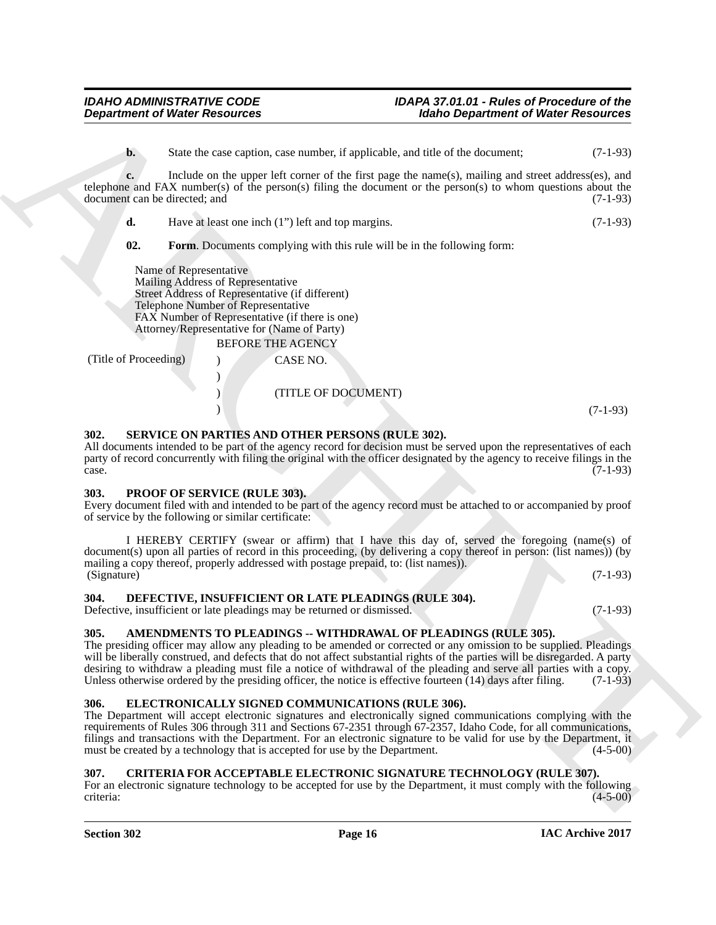**b.** State the case caption, case number, if applicable, and title of the document; (7-1-93)

**c.** Include on the upper left corner of the first page the name(s), mailing and street address(es), and telephone and FAX number(s) of the person(s) filing the document or the person(s) to whom questions about the document can be directed; and (7-1-93)

| d. | Have at least one inch (1") left and top margins. | $(7-1-93)$ |
|----|---------------------------------------------------|------------|
|----|---------------------------------------------------|------------|

<span id="page-15-10"></span>**02. Form**. Documents complying with this rule will be in the following form:

Name of Representative Mailing Address of Representative Street Address of Representative (if different) Telephone Number of Representative FAX Number of Representative (if there is one) Attorney/Representative for (Name of Party)

)

BEFORE THE AGENCY (Title of Proceeding) ) CASE NO. ) (TITLE OF DOCUMENT)

 $(7-1-93)$ 

### <span id="page-15-12"></span><span id="page-15-0"></span>**302. SERVICE ON PARTIES AND OTHER PERSONS (RULE 302).**

All documents intended to be part of the agency record for decision must be served upon the representatives of each party of record concurrently with filing the original with the officer designated by the agency to receive filings in the  $\alpha$  case.  $(7-1-93)$ 

### <span id="page-15-11"></span><span id="page-15-1"></span>**303. PROOF OF SERVICE (RULE 303).**

Every document filed with and intended to be part of the agency record must be attached to or accompanied by proof of service by the following or similar certificate:

I HEREBY CERTIFY (swear or affirm) that I have this day of, served the foregoing (name(s) of document(s) upon all parties of record in this proceeding, (by delivering a copy thereof in person: (list names)) (by mailing a copy thereof, properly addressed with postage prepaid, to: (list names)). (Signature) (7-1-93)

<span id="page-15-8"></span><span id="page-15-2"></span>**304. DEFECTIVE, INSUFFICIENT OR LATE PLEADINGS (RULE 304).**

Defective, insufficient or late pleadings may be returned or dismissed. (7-1-93)

### <span id="page-15-6"></span><span id="page-15-3"></span>**305. AMENDMENTS TO PLEADINGS -- WITHDRAWAL OF PLEADINGS (RULE 305).**

The presiding officer may allow any pleading to be amended or corrected or any omission to be supplied. Pleadings will be liberally construed, and defects that do not affect substantial rights of the parties will be disregarded. A party desiring to withdraw a pleading must file a notice of withdrawal of the pleading and serve all parties with a copy. Unless otherwise ordered by the presiding officer, the notice is effective fourteen  $(14)$  days after filing.  $(7-1-93)$ 

## <span id="page-15-9"></span><span id="page-15-4"></span>**306. ELECTRONICALLY SIGNED COMMUNICATIONS (RULE 306).**

**Department of Weiser Research Community of Harbor Department of Weiser Research 2014<br>
Under the main term of the Europe sixtensity of the Europe Schwarzh and the Color Archives and Europe Schwarzh and Europe Schwarzh and** The Department will accept electronic signatures and electronically signed communications complying with the requirements of Rules 306 through 311 and Sections 67-2351 through 67-2357, Idaho Code, for all communications, filings and transactions with the Department. For an electronic signature to be valid for use by the Department, it must be created by a technology that is accepted for use by the Department. (4-5-00)

## <span id="page-15-7"></span><span id="page-15-5"></span>**307. CRITERIA FOR ACCEPTABLE ELECTRONIC SIGNATURE TECHNOLOGY (RULE 307).**

For an electronic signature technology to be accepted for use by the Department, it must comply with the following criteria: (4-5-00) criteria: (4-5-00)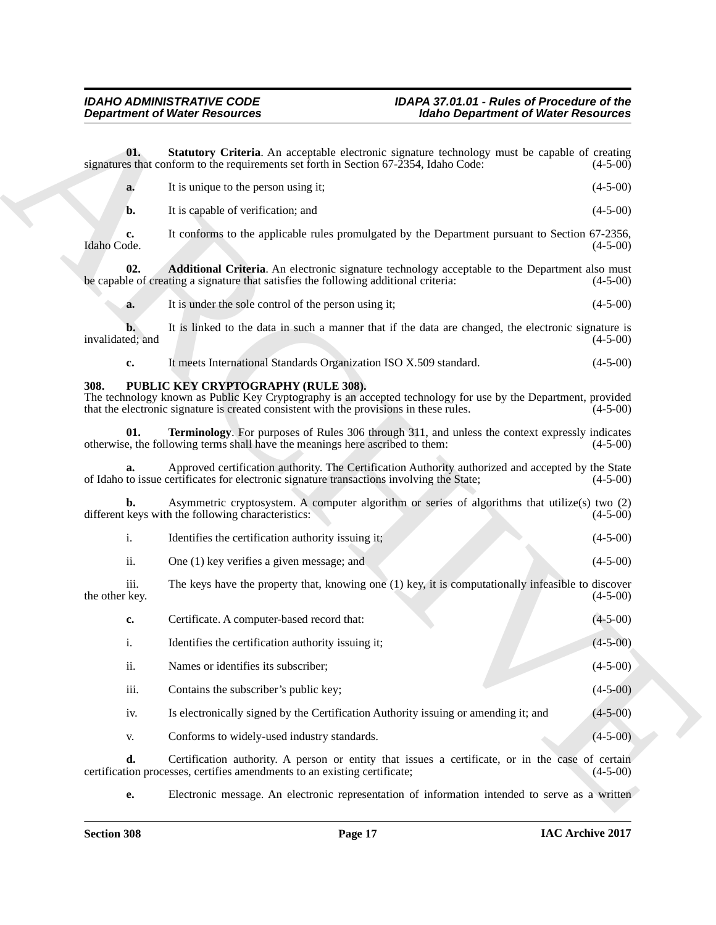<span id="page-16-4"></span><span id="page-16-3"></span><span id="page-16-2"></span><span id="page-16-1"></span><span id="page-16-0"></span>

|                        | <b>Department of Water Resources</b>                                                                                                                                                                                                            | <b>Idaho Department of Water Resources</b> |
|------------------------|-------------------------------------------------------------------------------------------------------------------------------------------------------------------------------------------------------------------------------------------------|--------------------------------------------|
| 01.                    | Statutory Criteria. An acceptable electronic signature technology must be capable of creating<br>signatures that conform to the requirements set forth in Section 67-2354, Idaho Code:                                                          | $(4-5-00)$                                 |
| a.                     | It is unique to the person using it;                                                                                                                                                                                                            | $(4-5-00)$                                 |
| b.                     | It is capable of verification; and                                                                                                                                                                                                              | $(4-5-00)$                                 |
| c.<br>Idaho Code.      | It conforms to the applicable rules promulgated by the Department pursuant to Section 67-2356,                                                                                                                                                  | $(4-5-00)$                                 |
| 02.                    | <b>Additional Criteria</b> . An electronic signature technology acceptable to the Department also must<br>be capable of creating a signature that satisfies the following additional criteria:                                                  | $(4-5-00)$                                 |
| a.                     | It is under the sole control of the person using it;                                                                                                                                                                                            | $(4-5-00)$                                 |
| invalidated; and       | It is linked to the data in such a manner that if the data are changed, the electronic signature is                                                                                                                                             | $(4-5-00)$                                 |
| c.                     | It meets International Standards Organization ISO X.509 standard.                                                                                                                                                                               | $(4-5-00)$                                 |
| 308.                   | PUBLIC KEY CRYPTOGRAPHY (RULE 308).<br>The technology known as Public Key Cryptography is an accepted technology for use by the Department, provided<br>that the electronic signature is created consistent with the provisions in these rules. | $(4-5-00)$                                 |
| 01.                    | Terminology. For purposes of Rules 306 through 311, and unless the context expressly indicates<br>otherwise, the following terms shall have the meanings here ascribed to them:                                                                 | $(4-5-00)$                                 |
|                        | Approved certification authority. The Certification Authority authorized and accepted by the State<br>of Idaho to issue certificates for electronic signature transactions involving the State;                                                 | $(4-5-00)$                                 |
| b.                     | Asymmetric cryptosystem. A computer algorithm or series of algorithms that utilize(s) two (2)<br>different keys with the following characteristics:                                                                                             | $(4-5-00)$                                 |
| i.                     | Identifies the certification authority issuing it;                                                                                                                                                                                              | $(4-5-00)$                                 |
| ii.                    | One (1) key verifies a given message; and                                                                                                                                                                                                       | $(4-5-00)$                                 |
| iii.<br>the other key. | The keys have the property that, knowing one (1) key, it is computationally infeasible to discover                                                                                                                                              | $(4-5-00)$                                 |
| c.                     | Certificate. A computer-based record that:                                                                                                                                                                                                      | $(4 - 5 - 00)$                             |
| i.                     | Identifies the certification authority issuing it;                                                                                                                                                                                              | $(4 - 5 - 00)$                             |
| ii.                    | Names or identifies its subscriber;                                                                                                                                                                                                             | $(4-5-00)$                                 |
| iii.                   | Contains the subscriber's public key;                                                                                                                                                                                                           | $(4-5-00)$                                 |
| iv.                    | Is electronically signed by the Certification Authority issuing or amending it; and                                                                                                                                                             | $(4-5-00)$                                 |
| V.                     | Conforms to widely-used industry standards.                                                                                                                                                                                                     | $(4-5-00)$                                 |
| d.                     | Certification authority. A person or entity that issues a certificate, or in the case of certain<br>certification processes, certifies amendments to an existing certificate;                                                                   | $(4-5-00)$                                 |
| e.                     | Electronic message. An electronic representation of information intended to serve as a written                                                                                                                                                  |                                            |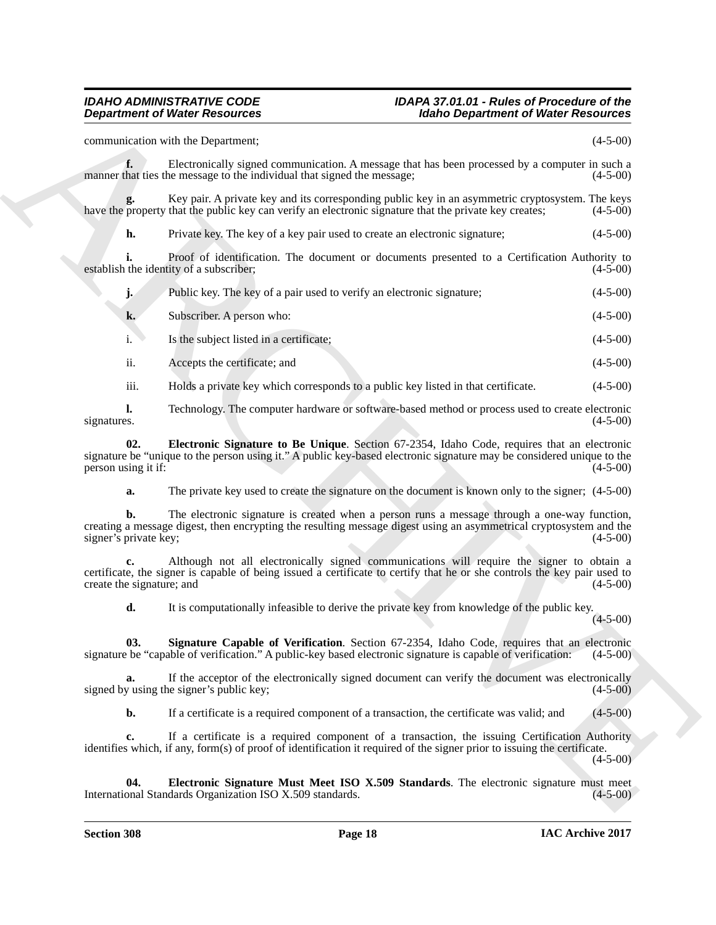**Department of Weiler Resources**<br>
Scaling Superintent of Weiler Resources<br>
Commutistics with the Department of Weiler Resources<br>
Commutistics with the Department of the Superintent of the Superintent of the Superintent of communication with the Department; (4-5-00) **f.** Electronically signed communication. A message that has been processed by a computer in such a hat ties the message to the individual that signed the message: (4-5-00) manner that ties the message to the individual that signed the message; Key pair. A private key and its corresponding public key in an asymmetric cryptosystem. The keys that the public key can verify an electronic signature that the private key creates; (4-5-00) have the property that the public key can verify an electronic signature that the private key creates; **h.** Private key. The key of a key pair used to create an electronic signature; (4-5-00) **i.** Proof of identification. The document or documents presented to a Certification Authority to the identity of a subscriber; (4-5-00) establish the identity of a subscriber; **j.** Public key. The key of a pair used to verify an electronic signature; (4-5-00) **k.** Subscriber. A person who: (4-5-00) i. Is the subject listed in a certificate; (4-5-00) ii. Accepts the certificate; and (4-5-00) iii. Holds a private key which corresponds to a public key listed in that certificate. (4-5-00) **l.** Technology. The computer hardware or software-based method or process used to create electronic signatures.  $(4-5-00)$ signatures. (4-5-00)

**02. Electronic Signature to Be Unique**. Section 67-2354, Idaho Code, requires that an electronic signature be "unique to the person using it." A public key-based electronic signature may be considered unique to the person using it if: (4-5-00)

<span id="page-17-1"></span>**a.** The private key used to create the signature on the document is known only to the signer;  $(4-5-00)$ 

**b.** The electronic signature is created when a person runs a message through a one-way function, creating a message digest, then encrypting the resulting message digest using an asymmetrical cryptosystem and the signer's private key;

**c.** Although not all electronically signed communications will require the signer to obtain a certificate, the signer is capable of being issued a certificate to certify that he or she controls the key pair used to create the signature; and

<span id="page-17-2"></span>**d.** It is computationally infeasible to derive the private key from knowledge of the public key.

 $(4 - 5 - 00)$ 

**03.** Signature Capable of Verification. Section 67-2354, Idaho Code, requires that an electronic be "capable of verification." A public-key based electronic signature is capable of verification: (4-5-00) signature be "capable of verification." A public-key based electronic signature is capable of verification:

**a.** If the acceptor of the electronically signed document can verify the document was electronically signed by using the signer's public key; (4-5-00)

<span id="page-17-0"></span>**b.** If a certificate is a required component of a transaction, the certificate was valid; and (4-5-00)

**c.** If a certificate is a required component of a transaction, the issuing Certification Authority identifies which, if any, form(s) of proof of identification it required of the signer prior to issuing the certificate.

 $(4-5-00)$ 

**04. Electronic Signature Must Meet ISO X.509 Standards**. The electronic signature must meet onal Standards Organization ISO X.509 standards. (4-5-00) International Standards Organization ISO X.509 standards.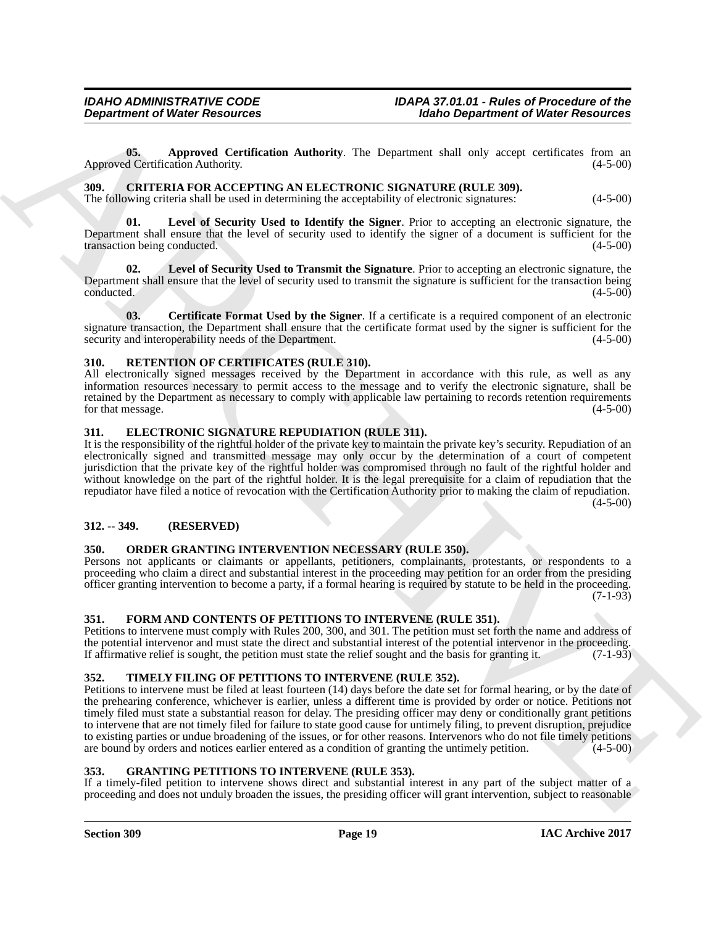<span id="page-18-16"></span>**05. Approved Certification Authority**. The Department shall only accept certificates from an d Certification Authority. (4-5-00) Approved Certification Authority.

<span id="page-18-8"></span><span id="page-18-0"></span>**309. CRITERIA FOR ACCEPTING AN ELECTRONIC SIGNATURE (RULE 309).** The following criteria shall be used in determining the acceptability of electronic signatures: (4-5-00)

<span id="page-18-10"></span>**01. Level of Security Used to Identify the Signer**. Prior to accepting an electronic signature, the Department shall ensure that the level of security used to identify the signer of a document is sufficient for the transaction being conducted. (4-5-00)

<span id="page-18-11"></span>**02. Level of Security Used to Transmit the Signature**. Prior to accepting an electronic signature, the Department shall ensure that the level of security used to transmit the signature is sufficient for the transaction being conducted. (4-5-00)

<span id="page-18-9"></span>**03. Certificate Format Used by the Signer**. If a certificate is a required component of an electronic signature transaction, the Department shall ensure that the certificate format used by the signer is sufficient for the security and interoperability needs of the Department. (4-5-00) security and interoperability needs of the Department.

## <span id="page-18-17"></span><span id="page-18-1"></span>**310. RETENTION OF CERTIFICATES (RULE 310).**

All electronically signed messages received by the Department in accordance with this rule, as well as any information resources necessary to permit access to the message and to verify the electronic signature, shall be retained by the Department as necessary to comply with applicable law pertaining to records retention requirements for that message. (4-5-00)

## <span id="page-18-12"></span><span id="page-18-2"></span>**311. ELECTRONIC SIGNATURE REPUDIATION (RULE 311).**

It is the responsibility of the rightful holder of the private key to maintain the private key's security. Repudiation of an electronically signed and transmitted message may only occur by the determination of a court of competent jurisdiction that the private key of the rightful holder was compromised through no fault of the rightful holder and without knowledge on the part of the rightful holder. It is the legal prerequisite for a claim of repudiation that the repudiator have filed a notice of revocation with the Certification Authority prior to making the claim of repudiation.  $(4-5-00)$ 

## <span id="page-18-3"></span>**312. -- 349. (RESERVED)**

## <span id="page-18-15"></span><span id="page-18-4"></span>**350. ORDER GRANTING INTERVENTION NECESSARY (RULE 350).**

Persons not applicants or claimants or appellants, petitioners, complainants, protestants, or respondents to a proceeding who claim a direct and substantial interest in the proceeding may petition for an order from the presiding officer granting intervention to become a party, if a formal hearing is required by statute to be held in the proceeding.  $(7-1-93)$ 

### <span id="page-18-13"></span><span id="page-18-5"></span>**351. FORM AND CONTENTS OF PETITIONS TO INTERVENE (RULE 351).**

Petitions to intervene must comply with Rules 200, 300, and 301. The petition must set forth the name and address of the potential intervenor and must state the direct and substantial interest of the potential intervenor in the proceeding.<br>If affirmative relief is sought, the petition must state the relief sought and the basis for granti If affirmative relief is sought, the petition must state the relief sought and the basis for granting it.

## <span id="page-18-18"></span><span id="page-18-6"></span>**352. TIMELY FILING OF PETITIONS TO INTERVENE (RULE 352).**

**Department of Weiler Research Commutation**<br> **ARCHIVES RESOLVENCES**<br> **ARCHIVES ARCHIVES ARCHIVES (THE DESTREMENT OF PROPERTIES)**<br> **ARCHIVES ARCHIVES ARCHIVES ARCHIVES ARCHIVES ARCHIVES ARCHIVES ARCHIVES ARCHIVES ARCHIVES** Petitions to intervene must be filed at least fourteen (14) days before the date set for formal hearing, or by the date of the prehearing conference, whichever is earlier, unless a different time is provided by order or notice. Petitions not timely filed must state a substantial reason for delay. The presiding officer may deny or conditionally grant petitions to intervene that are not timely filed for failure to state good cause for untimely filing, to prevent disruption, prejudice to existing parties or undue broadening of the issues, or for other reasons. Intervenors who do not file timely petitions are bound by orders and notices earlier entered as a condition of granting the untimely petition. (4-5-00)

## <span id="page-18-14"></span><span id="page-18-7"></span>**353. GRANTING PETITIONS TO INTERVENE (RULE 353).**

If a timely-filed petition to intervene shows direct and substantial interest in any part of the subject matter of a proceeding and does not unduly broaden the issues, the presiding officer will grant intervention, subject to reasonable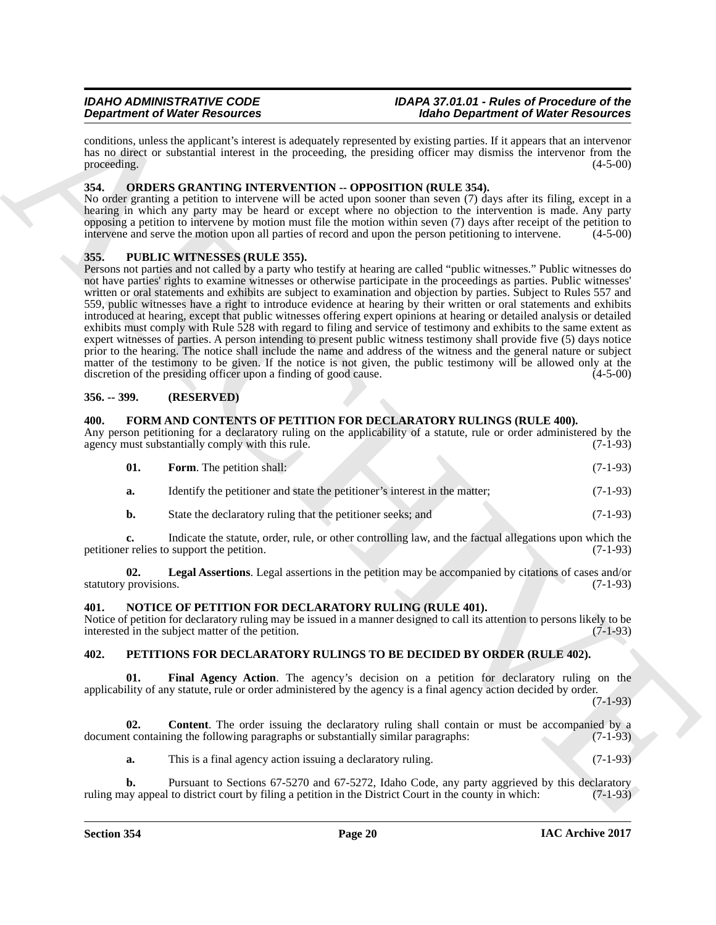conditions, unless the applicant's interest is adequately represented by existing parties. If it appears that an intervenor has no direct or substantial interest in the proceeding, the presiding officer may dismiss the intervenor from the proceeding. (4-5-00) proceeding.  $(4-5-00)$ 

## <span id="page-19-10"></span><span id="page-19-0"></span>**354. ORDERS GRANTING INTERVENTION -- OPPOSITION (RULE 354).**

No order granting a petition to intervene will be acted upon sooner than seven (7) days after its filing, except in a hearing in which any party may be heard or except where no objection to the intervention is made. Any party opposing a petition to intervene by motion must file the motion within seven (7) days after receipt of the petition to intervene and serve the motion upon all parties of record and upon the person petitioning to intervene. (4-5-00)

## <span id="page-19-14"></span><span id="page-19-1"></span>**355. PUBLIC WITNESSES (RULE 355).**

**Dependent of Website Scholars (assumption and the scholar of the scholar of Website Results (assumption and the scholar of the scholar of Website Results (assumption and the scholar of the scholar of Website Results (ass** Persons not parties and not called by a party who testify at hearing are called "public witnesses." Public witnesses do not have parties' rights to examine witnesses or otherwise participate in the proceedings as parties. Public witnesses' written or oral statements and exhibits are subject to examination and objection by parties. Subject to Rules 557 and 559, public witnesses have a right to introduce evidence at hearing by their written or oral statements and exhibits introduced at hearing, except that public witnesses offering expert opinions at hearing or detailed analysis or detailed exhibits must comply with Rule 528 with regard to filing and service of testimony and exhibits to the same extent as expert witnesses of parties. A person intending to present public witness testimony shall provide five (5) days notice prior to the hearing. The notice shall include the name and address of the witness and the general nature or subject matter of the testimony to be given. If the notice is not given, the public testimony will be allowed only at the discretion of the presiding officer upon a finding of good cause.  $(4-5-00)$ discretion of the presiding officer upon a finding of good cause.

## <span id="page-19-2"></span>**356. -- 399. (RESERVED)**

## <span id="page-19-6"></span><span id="page-19-3"></span>**400. FORM AND CONTENTS OF PETITION FOR DECLARATORY RULINGS (RULE 400).**

Any person petitioning for a declaratory ruling on the applicability of a statute, rule or order administered by the agency must substantially comply with this rule. (7-1-93) agency must substantially comply with this rule.

<span id="page-19-7"></span>

| 01. | <b>Form.</b> The petition shall:                                           | $(7-1-93)$ |
|-----|----------------------------------------------------------------------------|------------|
| а.  | Identify the petitioner and state the petitioner's interest in the matter; | $(7-1-93)$ |

<span id="page-19-8"></span>**b.** State the declaratory ruling that the petitioner seeks; and (7-1-93)

**c.** Indicate the statute, order, rule, or other controlling law, and the factual allegations upon which the relies to support the petition. (7-1-93) petitioner relies to support the petition.

**02.** Legal Assertions. Legal assertions in the petition may be accompanied by citations of cases and/or provisions. (7-1-93) statutory provisions.

## <span id="page-19-9"></span><span id="page-19-4"></span>**401. NOTICE OF PETITION FOR DECLARATORY RULING (RULE 401).**

Notice of petition for declaratory ruling may be issued in a manner designed to call its attention to persons likely to be interested in the subject matter of the petition. (7-1-93)

## <span id="page-19-11"></span><span id="page-19-5"></span>**402. PETITIONS FOR DECLARATORY RULINGS TO BE DECIDED BY ORDER (RULE 402).**

<span id="page-19-13"></span>**01. Final Agency Action**. The agency's decision on a petition for declaratory ruling on the applicability of any statute, rule or order administered by the agency is a final agency action decided by order.

(7-1-93)

**02. Content**. The order issuing the declaratory ruling shall contain or must be accompanied by a document containing the following paragraphs or substantially similar paragraphs: (7-1-93)

<span id="page-19-12"></span>**a.** This is a final agency action issuing a declaratory ruling. (7-1-93)

**b.** Pursuant to Sections 67-5270 and 67-5272, Idaho Code, any party aggrieved by this declaratory ay appeal to district court by filing a petition in the District Court in the county in which: (7-1-93) ruling may appeal to district court by filing a petition in the District Court in the county in which: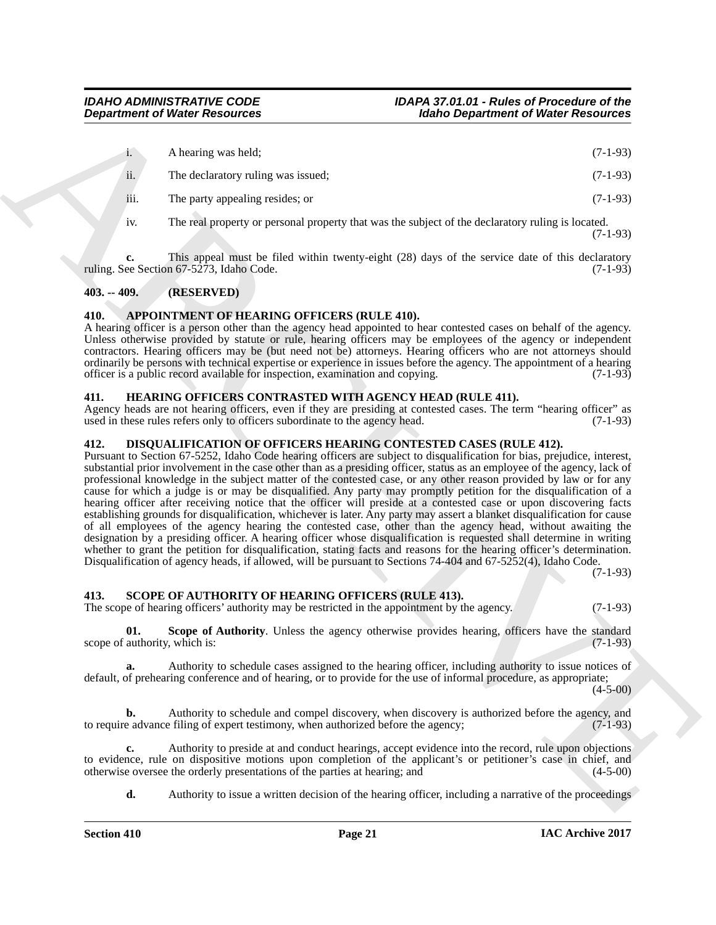|      | A hearing was held;                                                                               | $(7-1-93)$ |
|------|---------------------------------------------------------------------------------------------------|------------|
| ii.  | The declaratory ruling was issued;                                                                | $(7-1-93)$ |
| iii. | The party appealing resides; or                                                                   | $(7-1-93)$ |
| 1V.  | The real property or personal property that was the subject of the declaratory ruling is located. |            |

**c.** This appeal must be filed within twenty-eight (28) days of the service date of this declaratory ee Section 67-5273, Idaho Code. (7-1-93) ruling. See Section  $67-5273$ , Idaho Code.

## <span id="page-20-0"></span>**403. -- 409. (RESERVED)**

## <span id="page-20-5"></span><span id="page-20-1"></span>**410. APPOINTMENT OF HEARING OFFICERS (RULE 410).**

A hearing officer is a person other than the agency head appointed to hear contested cases on behalf of the agency. Unless otherwise provided by statute or rule, hearing officers may be employees of the agency or independent contractors. Hearing officers may be (but need not be) attorneys. Hearing officers who are not attorneys should ordinarily be persons with technical expertise or experience in issues before the agency. The appointment of a hearing officer is a public record available for inspection, examination and copying. (7-1-93) officer is a public record available for inspection, examination and copying.

## <span id="page-20-7"></span><span id="page-20-2"></span>**411. HEARING OFFICERS CONTRASTED WITH AGENCY HEAD (RULE 411).**

Agency heads are not hearing officers, even if they are presiding at contested cases. The term "hearing officer" as used in these rules refers only to officers subordinate to the agency head. (7-1-93)

## <span id="page-20-6"></span><span id="page-20-3"></span>**412. DISQUALIFICATION OF OFFICERS HEARING CONTESTED CASES (RULE 412).**

**Expansion of Worker Researches**<br>
1. A contract on the state and the state of the state of the state of the state of the state of the state of the state of the state of the state of the state of the state of the state of Pursuant to Section 67-5252, Idaho Code hearing officers are subject to disqualification for bias, prejudice, interest, substantial prior involvement in the case other than as a presiding officer, status as an employee of the agency, lack of professional knowledge in the subject matter of the contested case, or any other reason provided by law or for any cause for which a judge is or may be disqualified. Any party may promptly petition for the disqualification of a hearing officer after receiving notice that the officer will preside at a contested case or upon discovering facts establishing grounds for disqualification, whichever is later. Any party may assert a blanket disqualification for cause of all employees of the agency hearing the contested case, other than the agency head, without awaiting the designation by a presiding officer. A hearing officer whose disqualification is requested shall determine in writing whether to grant the petition for disqualification, stating facts and reasons for the hearing officer's determination. Disqualification of agency heads, if allowed, will be pursuant to Sections 74-404 and 67-5252(4), Idaho Code.

(7-1-93)

(7-1-93)

## <span id="page-20-8"></span><span id="page-20-4"></span>**413. SCOPE OF AUTHORITY OF HEARING OFFICERS (RULE 413).**

The scope of hearing officers' authority may be restricted in the appointment by the agency. (7-1-93)

<span id="page-20-9"></span>**01.** Scope of Authority. Unless the agency otherwise provides hearing, officers have the standard authority, which is: (7-1-93) scope of authority, which is:

**a.** Authority to schedule cases assigned to the hearing officer, including authority to issue notices of default, of prehearing conference and of hearing, or to provide for the use of informal procedure, as appropriate;

 $(4-5-00)$ 

**b.** Authority to schedule and compel discovery, when discovery is authorized before the agency, and e advance filing of expert testimony, when authorized before the agency: (7-1-93) to require advance filing of expert testimony, when authorized before the agency;

**c.** Authority to preside at and conduct hearings, accept evidence into the record, rule upon objections to evidence, rule on dispositive motions upon completion of the applicant's or petitioner's case in chief, and otherwise oversee the orderly presentations of the parties at hearing; and (4-5-00) otherwise oversee the orderly presentations of the parties at hearing; and

**d.** Authority to issue a written decision of the hearing officer, including a narrative of the proceedings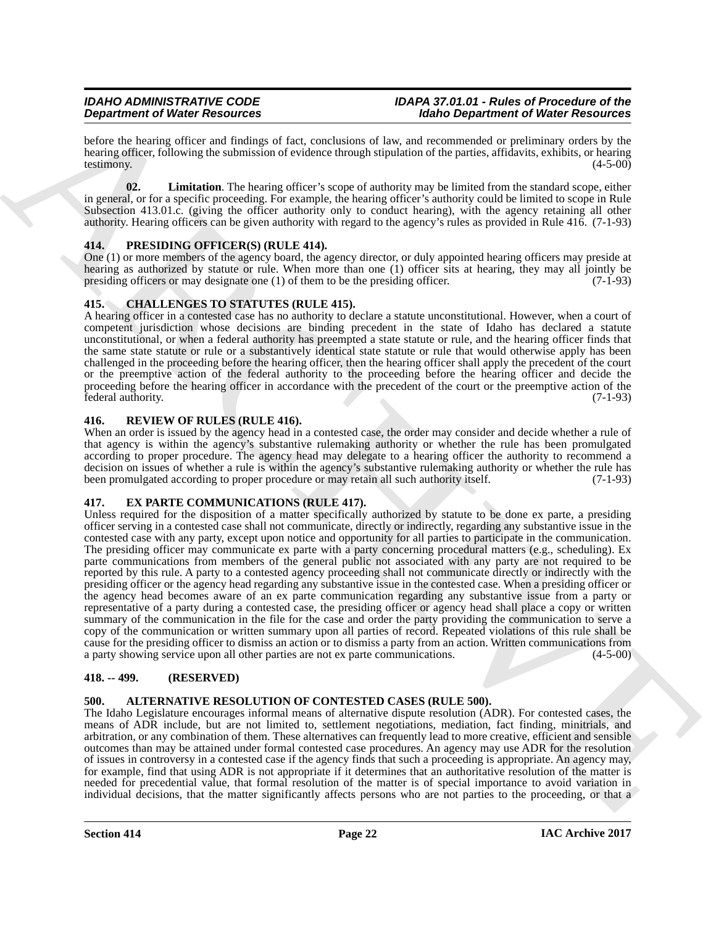before the hearing officer and findings of fact, conclusions of law, and recommended or preliminary orders by the hearing officer, following the submission of evidence through stipulation of the parties, affidavits, exhibits, or hearing testimony. (4-5-00) testimony. (4-5-00)

<span id="page-21-11"></span>**02. Limitation**. The hearing officer's scope of authority may be limited from the standard scope, either in general, or for a specific proceeding. For example, the hearing officer's authority could be limited to scope in Rule Subsection 413.01.c. (giving the officer authority only to conduct hearing), with the agency retaining all other authority. Hearing officers can be given authority with regard to the agency's rules as provided in Rule 416. (7-1-93)

## <span id="page-21-9"></span><span id="page-21-0"></span>**414. PRESIDING OFFICER(S) (RULE 414).**

One (1) or more members of the agency board, the agency director, or duly appointed hearing officers may preside at hearing as authorized by statute or rule. When more than one (1) officer sits at hearing, they may all jointly be presiding officers or may designate one (1) of them to be the presiding officer.  $(7-1-93)$ presiding officers or may designate one  $(1)$  of them to be the presiding officer.

## <span id="page-21-7"></span><span id="page-21-1"></span>**415. CHALLENGES TO STATUTES (RULE 415).**

A hearing officer in a contested case has no authority to declare a statute unconstitutional. However, when a court of competent jurisdiction whose decisions are binding precedent in the state of Idaho has declared a statute unconstitutional, or when a federal authority has preempted a state statute or rule, and the hearing officer finds that the same state statute or rule or a substantively identical state statute or rule that would otherwise apply has been challenged in the proceeding before the hearing officer, then the hearing officer shall apply the precedent of the court or the preemptive action of the federal authority to the proceeding before the hearing officer and decide the proceeding before the hearing officer in accordance with the precedent of the court or the preemptive action of the federal authority. (7-1-93)

## <span id="page-21-10"></span><span id="page-21-2"></span>**416. REVIEW OF RULES (RULE 416).**

When an order is issued by the agency head in a contested case, the order may consider and decide whether a rule of that agency is within the agency's substantive rulemaking authority or whether the rule has been promulgated according to proper procedure. The agency head may delegate to a hearing officer the authority to recommend a decision on issues of whether a rule is within the agency's substantive rulemaking authority or whether the rule has been promulgated according to proper procedure or may retain all such authority itself. (7-1-93)

## <span id="page-21-8"></span><span id="page-21-3"></span>**417. EX PARTE COMMUNICATIONS (RULE 417).**

**Dependent of Weier Resources**<br>
Solution (a) Finding statistics of the statistics of the statistics of the dependent of Weier Resources<br>
Solution (a) Finding statistics of the statistics of the statistics of the pair of t Unless required for the disposition of a matter specifically authorized by statute to be done ex parte, a presiding officer serving in a contested case shall not communicate, directly or indirectly, regarding any substantive issue in the contested case with any party, except upon notice and opportunity for all parties to participate in the communication. The presiding officer may communicate ex parte with a party concerning procedural matters (e.g., scheduling). Ex parte communications from members of the general public not associated with any party are not required to be reported by this rule. A party to a contested agency proceeding shall not communicate directly or indirectly with the presiding officer or the agency head regarding any substantive issue in the contested case. When a presiding officer or the agency head becomes aware of an ex parte communication regarding any substantive issue from a party or representative of a party during a contested case, the presiding officer or agency head shall place a copy or written summary of the communication in the file for the case and order the party providing the communication to serve a copy of the communication or written summary upon all parties of record. Repeated violations of this rule shall be cause for the presiding officer to dismiss an action or to dismiss a party from an action. Written communications from a party showing service upon all other parties are not ex parte communications.  $(4-5-00)$ a party showing service upon all other parties are not ex parte communications.

## <span id="page-21-4"></span>**418. -- 499. (RESERVED)**

## <span id="page-21-6"></span><span id="page-21-5"></span>**500. ALTERNATIVE RESOLUTION OF CONTESTED CASES (RULE 500).**

The Idaho Legislature encourages informal means of alternative dispute resolution (ADR). For contested cases, the means of ADR include, but are not limited to, settlement negotiations, mediation, fact finding, minitrials, and arbitration, or any combination of them. These alternatives can frequently lead to more creative, efficient and sensible outcomes than may be attained under formal contested case procedures. An agency may use ADR for the resolution of issues in controversy in a contested case if the agency finds that such a proceeding is appropriate. An agency may, for example, find that using ADR is not appropriate if it determines that an authoritative resolution of the matter is needed for precedential value, that formal resolution of the matter is of special importance to avoid variation in individual decisions, that the matter significantly affects persons who are not parties to the proceeding, or that a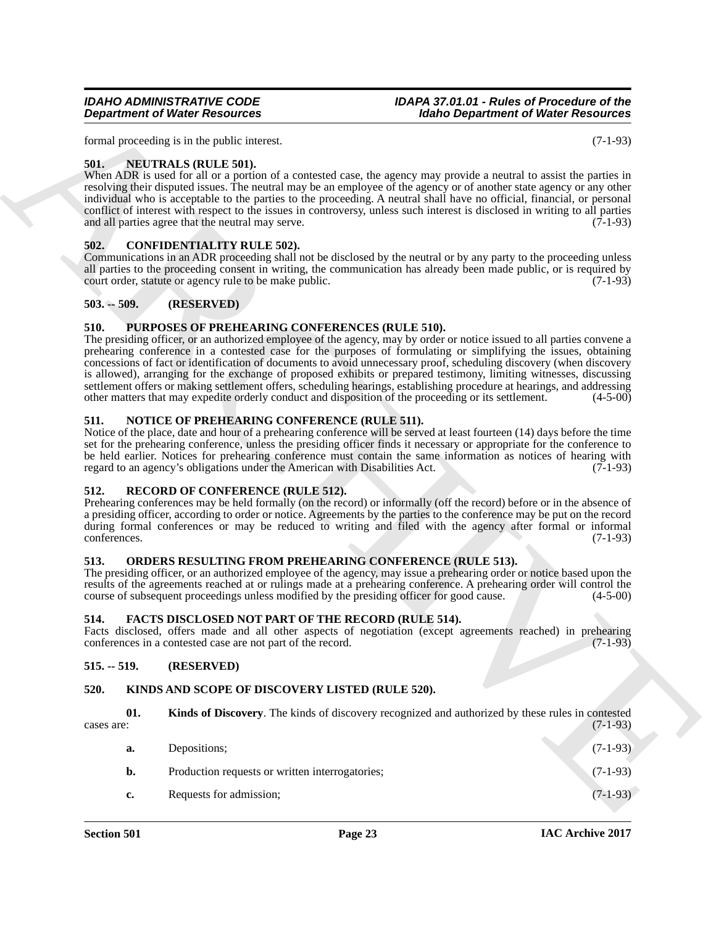**Section 501 Page 23**

## <span id="page-22-11"></span><span id="page-22-7"></span>**514. FACTS DISCLOSED NOT PART OF THE RECORD (RULE 514).**

Facts disclosed, offers made and all other aspects of negotiation (except agreements reached) in prehearing conferences in a contested case are not part of the record. (7-1-93) conferences in a contested case are not part of the record.

### <span id="page-22-8"></span>**515. -- 519. (RESERVED)**

## <span id="page-22-12"></span><span id="page-22-9"></span>**520. KINDS AND SCOPE OF DISCOVERY LISTED (RULE 520).**

**01.** Kinds of Discovery. The kinds of discovery recognized and authorized by these rules in contested cases are: (7-1-93)  $\alpha$  cases are:  $(7-1-93)$ 

<span id="page-22-13"></span>**a.** Depositions; (7-1-93)

**b.** Production requests or written interrogatories; (7-1-93) **c.** Requests for admission; (7-1-93)

#### <span id="page-22-6"></span>**513. ORDERS RESULTING FROM PREHEARING CONFERENCE (RULE 513).** The presiding officer, or an authorized employee of the agency, may issue a prehearing order or notice based upon the

<span id="page-22-18"></span><span id="page-22-5"></span>**512. RECORD OF CONFERENCE (RULE 512).** Prehearing conferences may be held formally (on the record) or informally (off the record) before or in the absence of a presiding officer, according to order or notice. Agreements by the parties to the conference may be put on the record during formal conferences or may be reduced to writing and filed with the agency after formal or informal conferences. (7-1-93)

## <span id="page-22-10"></span><span id="page-22-1"></span>**502. CONFIDENTIALITY RULE 502).**

Communications in an ADR proceeding shall not be disclosed by the neutral or by any party to the proceeding unless all parties to the proceeding consent in writing, the communication has already been made public, or is required by court order, statute or agency rule to be make public. (7-1-93) court order, statute or agency rule to be make public.

## <span id="page-22-2"></span>**503. -- 509. (RESERVED)**

## <span id="page-22-3"></span>**510. PURPOSES OF PREHEARING CONFERENCES (RULE 510).**

**Department of Weiler Resources**<br>
Maine Department of Weiler Resources<br>
Main procedure is the profession and the same and yield a media to the same and the same and the same is the same<br>
While different into the professio The presiding officer, or an authorized employee of the agency, may by order or notice issued to all parties convene a prehearing conference in a contested case for the purposes of formulating or simplifying the issues, obtaining concessions of fact or identification of documents to avoid unnecessary proof, scheduling discovery (when discovery is allowed), arranging for the exchange of proposed exhibits or prepared testimony, limiting witnesses, discussing settlement offers or making settlement offers, scheduling hearings, establishing procedure at hearings, and addressing other matters that may expedite orderly conduct and disposition of the proceeding or its settlement. (4-5-00)

## <span id="page-22-15"></span><span id="page-22-4"></span>**511. NOTICE OF PREHEARING CONFERENCE (RULE 511).**

Notice of the place, date and hour of a prehearing conference will be served at least fourteen (14) days before the time set for the prehearing conference, unless the presiding officer finds it necessary or appropriate for the conference to be held earlier. Notices for prehearing conference must contain the same information as notices of hearing with regard to an agency's obligations under the American with Disabilities Act. (7-1-93)

results of the agreements reached at or rulings made at a prehearing conference. A prehearing order will control the course of subsequent proceedings unless modified by the presiding officer for good cause.  $(4-5-00)$ course of subsequent proceedings unless modified by the presiding officer for good cause.

<span id="page-22-16"></span>

conferences. (7-1-93)

<span id="page-22-17"></span>

## <span id="page-22-14"></span><span id="page-22-0"></span>**501. NEUTRALS (RULE 501).**

When ADR is used for all or a portion of a contested case, the agency may provide a neutral to assist the parties in resolving their disputed issues. The neutral may be an employee of the agency or of another state agency or any other individual who is acceptable to the parties to the proceeding. A neutral shall have no official, financial, or personal conflict of interest with respect to the issues in controversy, unless such interest is disclosed in writing to all parties and all parties agree that the neutral may serve.  $(7-1-93)$ 

*IDAHO ADMINISTRATIVE CODE IDAPA 37.01.01 - Rules of Procedure of the*

*Department of Water Resources Idaho Department of Water Resources* formal proceeding is in the public interest. (7-1-93)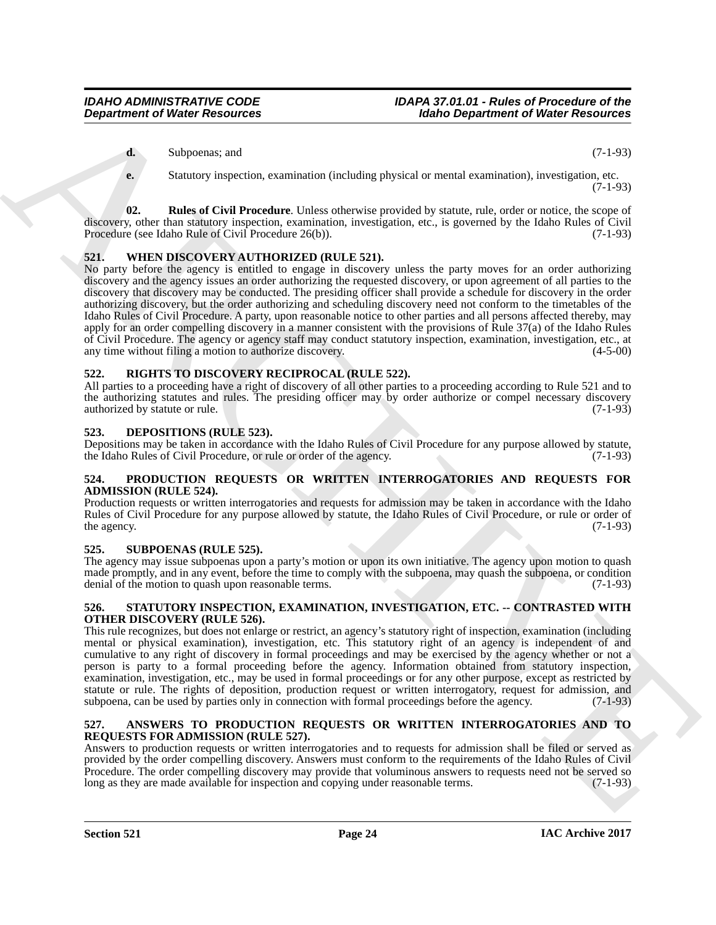**d.** Subpoenas; and (7-1-93)

<span id="page-23-9"></span>**e.** Statutory inspection, examination (including physical or mental examination), investigation, etc. (7-1-93)

**02. Rules of Civil Procedure**. Unless otherwise provided by statute, rule, order or notice, the scope of discovery, other than statutory inspection, examination, investigation, etc., is governed by the Idaho Rules of Civil Procedure (see Idaho Rule of Civil Procedure 26(b)).

## <span id="page-23-14"></span><span id="page-23-0"></span>**521. WHEN DISCOVERY AUTHORIZED (RULE 521).**

**Department of Water Research 1988**<br>
4. Samples and the state in the state of the state of the state of the state of the state of the state of the state of the state of the state of the state of the state of the state of No party before the agency is entitled to engage in discovery unless the party moves for an order authorizing discovery and the agency issues an order authorizing the requested discovery, or upon agreement of all parties to the discovery that discovery may be conducted. The presiding officer shall provide a schedule for discovery in the order authorizing discovery, but the order authorizing and scheduling discovery need not conform to the timetables of the Idaho Rules of Civil Procedure. A party, upon reasonable notice to other parties and all persons affected thereby, may apply for an order compelling discovery in a manner consistent with the provisions of Rule 37(a) of the Idaho Rules of Civil Procedure. The agency or agency staff may conduct statutory inspection, examination, investigation, etc., at any time without filing a motion to authorize discovery. (4-5-00)

## <span id="page-23-11"></span><span id="page-23-1"></span>**522. RIGHTS TO DISCOVERY RECIPROCAL (RULE 522).**

All parties to a proceeding have a right of discovery of all other parties to a proceeding according to Rule 521 and to the authorizing statutes and rules. The presiding officer may by order authorize or compel necessary discovery authorized by statute or rule. (7-1-93)

## <span id="page-23-8"></span><span id="page-23-2"></span>**523. DEPOSITIONS (RULE 523).**

Depositions may be taken in accordance with the Idaho Rules of Civil Procedure for any purpose allowed by statute, the Idaho Rules of Civil Procedure, or rule or order of the agency. (7-1-93)

### <span id="page-23-10"></span><span id="page-23-3"></span>**524. PRODUCTION REQUESTS OR WRITTEN INTERROGATORIES AND REQUESTS FOR ADMISSION (RULE 524).**

Production requests or written interrogatories and requests for admission may be taken in accordance with the Idaho Rules of Civil Procedure for any purpose allowed by statute, the Idaho Rules of Civil Procedure, or rule or order of the agency. (7-1-93) the agency.  $(7-1-93)$ 

## <span id="page-23-13"></span><span id="page-23-4"></span>**525. SUBPOENAS (RULE 525).**

The agency may issue subpoenas upon a party's motion or upon its own initiative. The agency upon motion to quash made promptly, and in any event, before the time to comply with the subpoena, may quash the subpoena, or condition denial of the motion to quash upon reasonable terms. (7-1-93)

## <span id="page-23-12"></span><span id="page-23-5"></span>**526. STATUTORY INSPECTION, EXAMINATION, INVESTIGATION, ETC. -- CONTRASTED WITH OTHER DISCOVERY (RULE 526).**

This rule recognizes, but does not enlarge or restrict, an agency's statutory right of inspection, examination (including mental or physical examination), investigation, etc. This statutory right of an agency is independent of and cumulative to any right of discovery in formal proceedings and may be exercised by the agency whether or not a person is party to a formal proceeding before the agency. Information obtained from statutory inspection, examination, investigation, etc., may be used in formal proceedings or for any other purpose, except as restricted by statute or rule. The rights of deposition, production request or written interrogatory, request for admission, and subpoena, can be used by parties only in connection with formal proceedings before the agency. (7-1-93) subpoena, can be used by parties only in connection with formal proceedings before the agency.

## <span id="page-23-7"></span><span id="page-23-6"></span>**527. ANSWERS TO PRODUCTION REQUESTS OR WRITTEN INTERROGATORIES AND TO REQUESTS FOR ADMISSION (RULE 527).**

Answers to production requests or written interrogatories and to requests for admission shall be filed or served as provided by the order compelling discovery. Answers must conform to the requirements of the Idaho Rules of Civil Procedure. The order compelling discovery may provide that voluminous answers to requests need not be served so long as they are made available for inspection and copying under reasonable terms. (7-1-93) long as they are made available for inspection and copying under reasonable terms.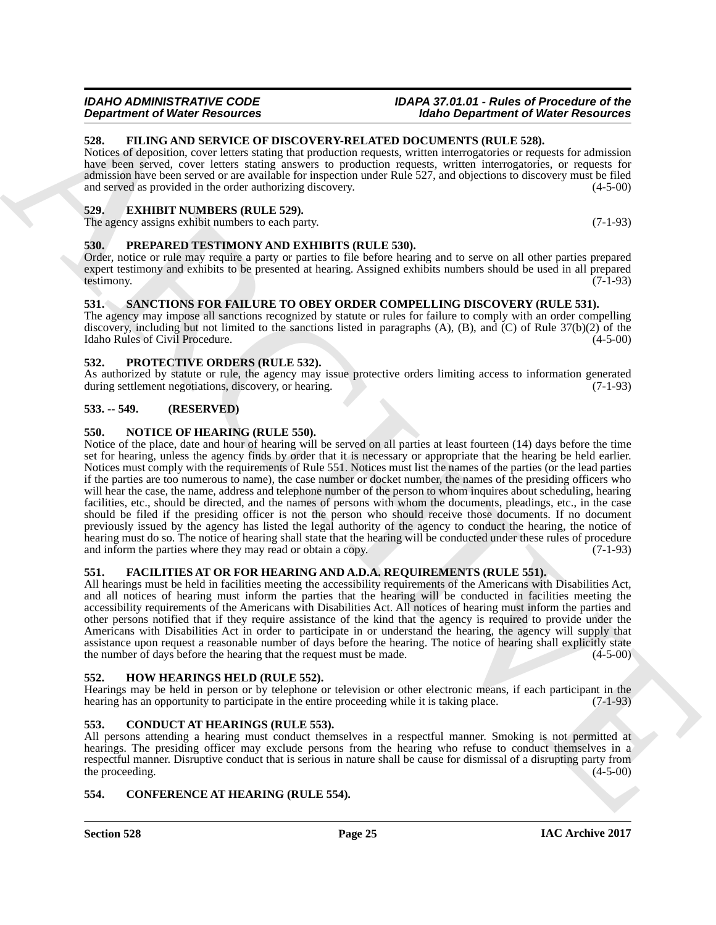## <span id="page-24-19"></span><span id="page-24-4"></span>**532. PROTECTIVE ORDERS (RULE 532).**

As authorized by statute or rule, the agency may issue protective orders limiting access to information generated during settlement negotiations, discovery or hearing. (7-1-93) during settlement negotiations, discovery, or hearing.

## <span id="page-24-5"></span>**533. -- 549. (RESERVED)**

## <span id="page-24-17"></span><span id="page-24-6"></span>**550. NOTICE OF HEARING (RULE 550).**

**EXAMPERIES OF MESSIONER CONSULTS AND ARCHIVE CONSULTS (WAS Dependent of Web Resources<br>
SER. FILING AND SERVICE OF DISCOVERY-RELATED PROCREMENTS INC. THE RESOURCES SERVICE IN THE RESOURCE CONSULTS (WAS DESCRIPTION TO A CO** Notice of the place, date and hour of hearing will be served on all parties at least fourteen (14) days before the time set for hearing, unless the agency finds by order that it is necessary or appropriate that the hearing be held earlier. Notices must comply with the requirements of Rule 551. Notices must list the names of the parties (or the lead parties if the parties are too numerous to name), the case number or docket number, the names of the presiding officers who will hear the case, the name, address and telephone number of the person to whom inquires about scheduling, hearing facilities, etc., should be directed, and the names of persons with whom the documents, pleadings, etc., in the case should be filed if the presiding officer is not the person who should receive those documents. If no document previously issued by the agency has listed the legal authority of the agency to conduct the hearing, the notice of hearing must do so. The notice of hearing shall state that the hearing will be conducted under these rules of procedure and inform the parties where they may read or obtain a copy. (7-1-93) and inform the parties where they may read or obtain a copy.

## <span id="page-24-14"></span><span id="page-24-7"></span>**551. FACILITIES AT OR FOR HEARING AND A.D.A. REQUIREMENTS (RULE 551).**

All hearings must be held in facilities meeting the accessibility requirements of the Americans with Disabilities Act, and all notices of hearing must inform the parties that the hearing will be conducted in facilities meeting the accessibility requirements of the Americans with Disabilities Act. All notices of hearing must inform the parties and other persons notified that if they require assistance of the kind that the agency is required to provide under the Americans with Disabilities Act in order to participate in or understand the hearing, the agency will supply that assistance upon request a reasonable number of days before the hearing. The notice of hearing shall explicitly state the number of days before the hearing that the request must be made.  $(4-5-00)$ the number of days before the hearing that the request must be made.

## <span id="page-24-16"></span><span id="page-24-8"></span>**552. HOW HEARINGS HELD (RULE 552).**

Hearings may be held in person or by telephone or television or other electronic means, if each participant in the hearing has an opportunity to participate in the entire proceeding while it is taking place. (7-1-93)

## <span id="page-24-11"></span><span id="page-24-9"></span>**553. CONDUCT AT HEARINGS (RULE 553).**

All persons attending a hearing must conduct themselves in a respectful manner. Smoking is not permitted at hearings. The presiding officer may exclude persons from the hearing who refuse to conduct themselves in a respectful manner. Disruptive conduct that is serious in nature shall be cause for dismissal of a disrupting party from the proceeding. (4-5-00) the proceeding.

## <span id="page-24-12"></span><span id="page-24-10"></span>**554. CONFERENCE AT HEARING (RULE 554).**

## <span id="page-24-15"></span><span id="page-24-0"></span>**528. FILING AND SERVICE OF DISCOVERY-RELATED DOCUMENTS (RULE 528).**

Notices of deposition, cover letters stating that production requests, written interrogatories or requests for admission have been served, cover letters stating answers to production requests, written interrogatories, or requests for admission have been served or are available for inspection under Rule 527, and objections to discovery must be filed and served as provided in the order authorizing discovery. (4-5-00)

## <span id="page-24-13"></span><span id="page-24-1"></span>**529. EXHIBIT NUMBERS (RULE 529).**

The agency assigns exhibit numbers to each party. (7-1-93)

## <span id="page-24-18"></span><span id="page-24-2"></span>**530. PREPARED TESTIMONY AND EXHIBITS (RULE 530).**

Order, notice or rule may require a party or parties to file before hearing and to serve on all other parties prepared expert testimony and exhibits to be presented at hearing. Assigned exhibits numbers should be used in all prepared testimony. testimony. (7-1-93)

## <span id="page-24-20"></span><span id="page-24-3"></span>**531. SANCTIONS FOR FAILURE TO OBEY ORDER COMPELLING DISCOVERY (RULE 531).**

The agency may impose all sanctions recognized by statute or rules for failure to comply with an order compelling discovery, including but not limited to the sanctions listed in paragraphs (A), (B), and (C) of Rule  $37(b)(2)$  of the Idaho Rules of Civil Procedure. (4-5-00) Idaho Rules of Civil Procedure.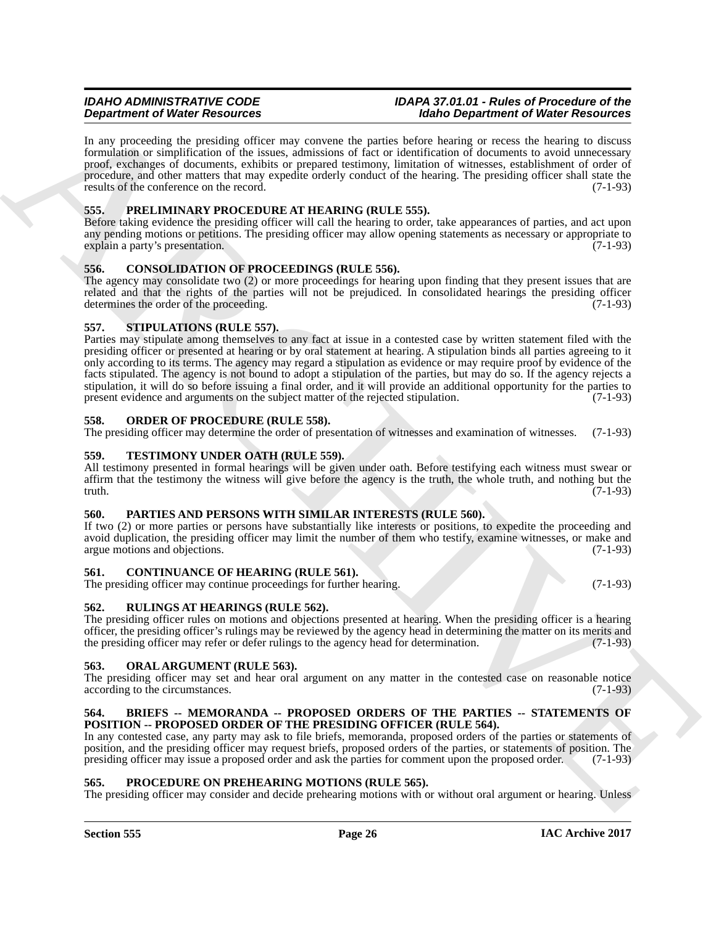In any proceeding the presiding officer may convene the parties before hearing or recess the hearing to discuss formulation or simplification of the issues, admissions of fact or identification of documents to avoid unnecessary proof, exchanges of documents, exhibits or prepared testimony, limitation of witnesses, establishment of order of procedure, and other matters that may expedite orderly conduct of the hearing. The presiding officer shall state the results of the conference on the record.  $(7-1-93)$ 

## <span id="page-25-17"></span><span id="page-25-0"></span>**555. PRELIMINARY PROCEDURE AT HEARING (RULE 555).**

Before taking evidence the presiding officer will call the hearing to order, take appearances of parties, and act upon any pending motions or petitions. The presiding officer may allow opening statements as necessary or appropriate to explain a party's presentation. (7-1-93)

## <span id="page-25-12"></span><span id="page-25-1"></span>**556. CONSOLIDATION OF PROCEEDINGS (RULE 556).**

The agency may consolidate two (2) or more proceedings for hearing upon finding that they present issues that are related and that the rights of the parties will not be prejudiced. In consolidated hearings the presiding officer determines the order of the proceeding. (7-1-93)

## <span id="page-25-20"></span><span id="page-25-2"></span>**557. STIPULATIONS (RULE 557).**

**Dependent of Weier Resolution**<br>
Learn procedure (New Resolution Chine and New Resolution Chine China (New York) China (New York) China (New York)<br>
Learn procedure and all the special states and neutral of the special sta Parties may stipulate among themselves to any fact at issue in a contested case by written statement filed with the presiding officer or presented at hearing or by oral statement at hearing. A stipulation binds all parties agreeing to it only according to its terms. The agency may regard a stipulation as evidence or may require proof by evidence of the facts stipulated. The agency is not bound to adopt a stipulation of the parties, but may do so. If the agency rejects a stipulation, it will do so before issuing a final order, and it will provide an additional opportunity for the parties to present evidence and arguments on the subject matter of the rejected stipulation. (7-1-93) present evidence and arguments on the subject matter of the rejected stipulation.

## <span id="page-25-15"></span><span id="page-25-3"></span>**558. ORDER OF PROCEDURE (RULE 558).**

The presiding officer may determine the order of presentation of witnesses and examination of witnesses. (7-1-93)

## <span id="page-25-21"></span><span id="page-25-4"></span>**559. TESTIMONY UNDER OATH (RULE 559).**

All testimony presented in formal hearings will be given under oath. Before testifying each witness must swear or affirm that the testimony the witness will give before the agency is the truth, the whole truth, and nothing but the truth.  $(7-1-93)$ truth.  $(7-1-93)$ 

## <span id="page-25-16"></span><span id="page-25-5"></span>**560. PARTIES AND PERSONS WITH SIMILAR INTERESTS (RULE 560).**

If two (2) or more parties or persons have substantially like interests or positions, to expedite the proceeding and avoid duplication, the presiding officer may limit the number of them who testify, examine witnesses, or make and argue motions and objections. (7-1-93) argue motions and objections.

## <span id="page-25-13"></span><span id="page-25-6"></span>**561. CONTINUANCE OF HEARING (RULE 561).**

The presiding officer may continue proceedings for further hearing. (7-1-93)

## <span id="page-25-19"></span><span id="page-25-7"></span>**562. RULINGS AT HEARINGS (RULE 562).**

The presiding officer rules on motions and objections presented at hearing. When the presiding officer is a hearing officer, the presiding officer's rulings may be reviewed by the agency head in determining the matter on its merits and the presiding officer may refer or defer rulings to the agency head for determination. (7-1-93)

## <span id="page-25-14"></span><span id="page-25-8"></span>**563. ORAL ARGUMENT (RULE 563).**

The presiding officer may set and hear oral argument on any matter in the contested case on reasonable notice according to the circumstances. (7-1-93)

## <span id="page-25-11"></span><span id="page-25-9"></span>**564. BRIEFS -- MEMORANDA -- PROPOSED ORDERS OF THE PARTIES -- STATEMENTS OF POSITION -- PROPOSED ORDER OF THE PRESIDING OFFICER (RULE 564).**

In any contested case, any party may ask to file briefs, memoranda, proposed orders of the parties or statements of position, and the presiding officer may request briefs, proposed orders of the parties, or statements of position. The presiding officer may issue a proposed order and ask the parties for comment upon the proposed order. (7-1-93)

## <span id="page-25-18"></span><span id="page-25-10"></span>**565. PROCEDURE ON PREHEARING MOTIONS (RULE 565).**

The presiding officer may consider and decide prehearing motions with or without oral argument or hearing. Unless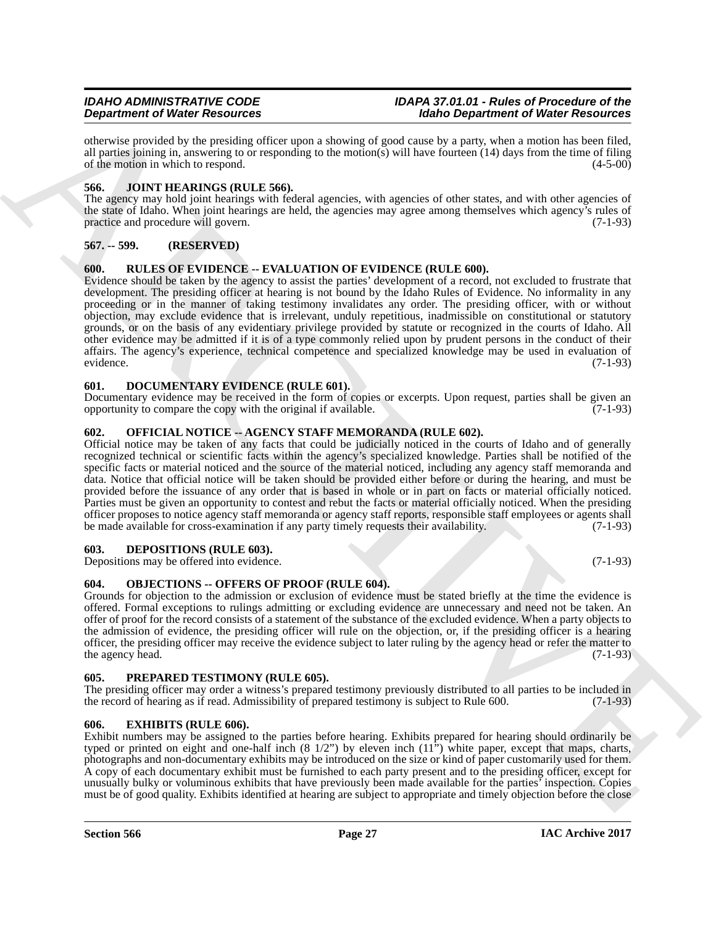otherwise provided by the presiding officer upon a showing of good cause by a party, when a motion has been filed, all parties joining in, answering to or responding to the motion(s) will have fourteen  $(14)$  days from the time of filing of the motion in which to respond. (4-5-00)

## <span id="page-26-12"></span><span id="page-26-0"></span>**566. JOINT HEARINGS (RULE 566).**

The agency may hold joint hearings with federal agencies, with agencies of other states, and with other agencies of the state of Idaho. When joint hearings are held, the agencies may agree among themselves which agency's rules of practice and procedure will govern. (7-1-93)

## <span id="page-26-1"></span>**567. -- 599. (RESERVED)**

## <span id="page-26-16"></span><span id="page-26-2"></span>**600. RULES OF EVIDENCE -- EVALUATION OF EVIDENCE (RULE 600).**

**Dependent of Weiler Resources** of the proposition of the state of Weiler Resources of the Resources of the School of the School of the School of the School of the School of the School of the School of the School of the S Evidence should be taken by the agency to assist the parties' development of a record, not excluded to frustrate that development. The presiding officer at hearing is not bound by the Idaho Rules of Evidence. No informality in any proceeding or in the manner of taking testimony invalidates any order. The presiding officer, with or without objection, may exclude evidence that is irrelevant, unduly repetitious, inadmissible on constitutional or statutory grounds, or on the basis of any evidentiary privilege provided by statute or recognized in the courts of Idaho. All other evidence may be admitted if it is of a type commonly relied upon by prudent persons in the conduct of their affairs. The agency's experience, technical competence and specialized knowledge may be used in evaluation of evidence. (7-1-93)

## <span id="page-26-10"></span><span id="page-26-3"></span>**601. DOCUMENTARY EVIDENCE (RULE 601).**

Documentary evidence may be received in the form of copies or excerpts. Upon request, parties shall be given an opportunity to compare the copy with the original if available. (7-1-93)

## <span id="page-26-14"></span><span id="page-26-4"></span>**602. OFFICIAL NOTICE -- AGENCY STAFF MEMORANDA (RULE 602).**

Official notice may be taken of any facts that could be judicially noticed in the courts of Idaho and of generally recognized technical or scientific facts within the agency's specialized knowledge. Parties shall be notified of the specific facts or material noticed and the source of the material noticed, including any agency staff memoranda and data. Notice that official notice will be taken should be provided either before or during the hearing, and must be provided before the issuance of any order that is based in whole or in part on facts or material officially noticed. Parties must be given an opportunity to contest and rebut the facts or material officially noticed. When the presiding officer proposes to notice agency staff memoranda or agency staff reports, responsible staff employees or agents shall be made available for cross-examination if any party timely requests their availability. (7-1-93)

## <span id="page-26-9"></span><span id="page-26-5"></span>**603. DEPOSITIONS (RULE 603).**

Depositions may be offered into evidence. (7-1-93)

## <span id="page-26-13"></span><span id="page-26-6"></span>**604. OBJECTIONS -- OFFERS OF PROOF (RULE 604).**

Grounds for objection to the admission or exclusion of evidence must be stated briefly at the time the evidence is offered. Formal exceptions to rulings admitting or excluding evidence are unnecessary and need not be taken. An offer of proof for the record consists of a statement of the substance of the excluded evidence. When a party objects to the admission of evidence, the presiding officer will rule on the objection, or, if the presiding officer is a hearing officer, the presiding officer may receive the evidence subject to later ruling by the agency head or refer the matter to the agency head.  $(7-1-93)$ 

## <span id="page-26-15"></span><span id="page-26-7"></span>**605. PREPARED TESTIMONY (RULE 605).**

The presiding officer may order a witness's prepared testimony previously distributed to all parties to be included in the record of hearing as if read. Admissibility of prepared testimony is subject to Rule 600. (7-1-93)

## <span id="page-26-11"></span><span id="page-26-8"></span>**606. EXHIBITS (RULE 606).**

Exhibit numbers may be assigned to the parties before hearing. Exhibits prepared for hearing should ordinarily be typed or printed on eight and one-half inch  $(8\frac{1}{2})$  by eleven inch  $(11")$  white paper, except that maps, charts, photographs and non-documentary exhibits may be introduced on the size or kind of paper customarily used for them. A copy of each documentary exhibit must be furnished to each party present and to the presiding officer, except for unusually bulky or voluminous exhibits that have previously been made available for the parties' inspection. Copies must be of good quality. Exhibits identified at hearing are subject to appropriate and timely objection before the close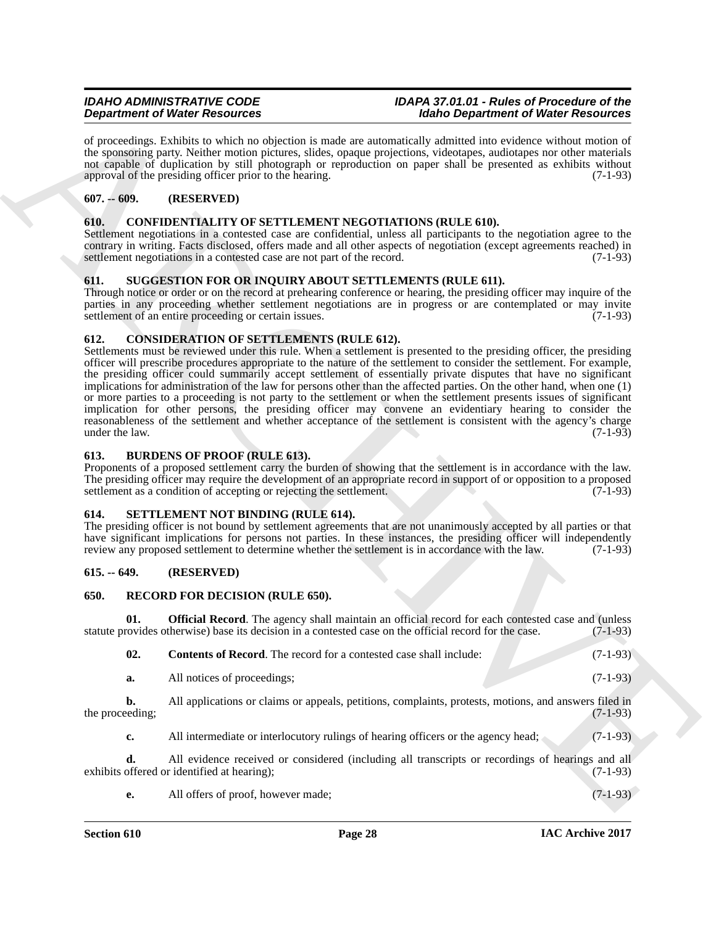of proceedings. Exhibits to which no objection is made are automatically admitted into evidence without motion of the sponsoring party. Neither motion pictures, slides, opaque projections, videotapes, audiotapes nor other materials not capable of duplication by still photograph or reproduction on paper shall be presented as exhibits without approval of the presiding officer prior to the hearing. (7-1-93)

## <span id="page-27-0"></span>**607. -- 609. (RESERVED)**

## <span id="page-27-9"></span><span id="page-27-1"></span>**610. CONFIDENTIALITY OF SETTLEMENT NEGOTIATIONS (RULE 610).**

Settlement negotiations in a contested case are confidential, unless all participants to the negotiation agree to the contrary in writing. Facts disclosed, offers made and all other aspects of negotiation (except agreements reached) in settlement negotiations in a contested case are not part of the record. (7-1-93) settlement negotiations in a contested case are not part of the record.

## <span id="page-27-15"></span><span id="page-27-2"></span>**611. SUGGESTION FOR OR INQUIRY ABOUT SETTLEMENTS (RULE 611).**

Through notice or order or on the record at prehearing conference or hearing, the presiding officer may inquire of the parties in any proceeding whether settlement negotiations are in progress or are contemplated or may invite settlement of an entire proceeding or certain issues. (7-1-93) settlement of an entire proceeding or certain issues.

## <span id="page-27-10"></span><span id="page-27-3"></span>**612. CONSIDERATION OF SETTLEMENTS (RULE 612).**

**Dependent of Weier Resolution**<br>
of a sympathenial Subskin is paid, as unique the following the simulation of Weier Resolution<br>
all sympaths in the simulation of the simulation of Weier Resolution (Subscribes) and the Res Settlements must be reviewed under this rule. When a settlement is presented to the presiding officer, the presiding officer will prescribe procedures appropriate to the nature of the settlement to consider the settlement. For example, the presiding officer could summarily accept settlement of essentially private disputes that have no significant implications for administration of the law for persons other than the affected parties. On the other hand, when one (1) or more parties to a proceeding is not party to the settlement or when the settlement presents issues of significant implication for other persons, the presiding officer may convene an evidentiary hearing to consider the reasonableness of the settlement and whether acceptance of the settlement is consistent with the agency's charge under the law. (7-1-93) under the law.  $(7-1-93)$ 

## <span id="page-27-8"></span><span id="page-27-4"></span>**613. BURDENS OF PROOF (RULE 613).**

Proponents of a proposed settlement carry the burden of showing that the settlement is in accordance with the law. The presiding officer may require the development of an appropriate record in support of or opposition to a proposed settlement as a condition of accepting or rejecting the settlement. (7-1-93) settlement as a condition of accepting or rejecting the settlement.

## <span id="page-27-14"></span><span id="page-27-5"></span>**614. SETTLEMENT NOT BINDING (RULE 614).**

The presiding officer is not bound by settlement agreements that are not unanimously accepted by all parties or that have significant implications for persons not parties. In these instances, the presiding officer will independently review any proposed settlement to determine whether the settlement is in accordance with the law. (7-1-93)

## <span id="page-27-6"></span>**615. -- 649. (RESERVED)**

## <span id="page-27-11"></span><span id="page-27-7"></span>**650. RECORD FOR DECISION (RULE 650).**

**01. Official Record**. The agency shall maintain an official record for each contested case and (unless statute provides otherwise) base its decision in a contested case on the official record for the case. (7-1-93)

<span id="page-27-13"></span><span id="page-27-12"></span>

| 02. | <b>Contents of Record.</b> The record for a contested case shall include: | $(7-1-93)$ |
|-----|---------------------------------------------------------------------------|------------|
|     | All notices of proceedings;                                               | $(7-1-93)$ |

**b.** All applications or claims or appeals, petitions, complaints, protests, motions, and answers filed in eachly (7-1-93) the proceeding;

**c.** All intermediate or interlocutory rulings of hearing officers or the agency head; (7-1-93)

**d.** All evidence received or considered (including all transcripts or recordings of hearings and all offered or identified at hearing); (7-1-93) exhibits offered or identified at hearing);

**e.** All offers of proof, however made; (7-1-93)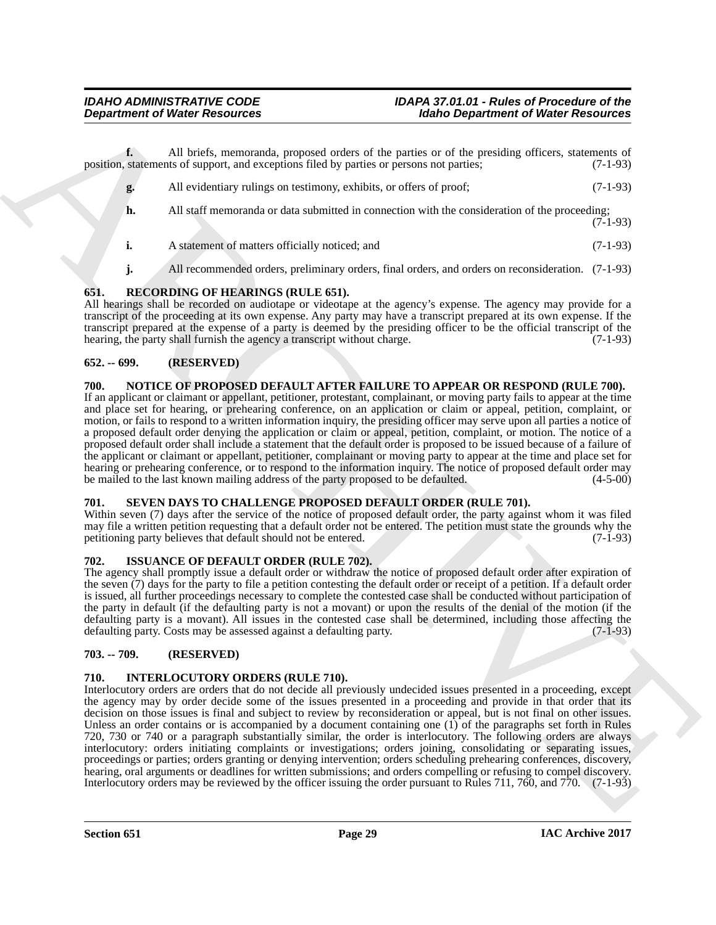**f.** All briefs, memoranda, proposed orders of the parties or of the presiding officers, statements of position, statements of support, and exceptions filed by parties or persons not parties; (7-1-93)

- **g.** All evidentiary rulings on testimony, exhibits, or offers of proof; (7-1-93) **h.** All staff memoranda or data submitted in connection with the consideration of the proceeding;  $(7-1-93)$
- **i.** A statement of matters officially noticed; and  $(7-1-93)$
- <span id="page-28-10"></span>**j.** All recommended orders, preliminary orders, final orders, and orders on reconsideration. (7-1-93)

## <span id="page-28-0"></span>**651. RECORDING OF HEARINGS (RULE 651).**

All hearings shall be recorded on audiotape or videotape at the agency's expense. The agency may provide for a transcript of the proceeding at its own expense. Any party may have a transcript prepared at its own expense. If the transcript prepared at the expense of a party is deemed by the presiding officer to be the official transcript of the hearing, the party shall furnish the agency a transcript without charge. (7-1-93) hearing, the party shall furnish the agency a transcript without charge.

## <span id="page-28-1"></span>**652. -- 699. (RESERVED)**

## <span id="page-28-9"></span><span id="page-28-2"></span>**700. NOTICE OF PROPOSED DEFAULT AFTER FAILURE TO APPEAR OR RESPOND (RULE 700).**

If an applicant or claimant or appellant, petitioner, protestant, complainant, or moving party fails to appear at the time and place set for hearing, or prehearing conference, on an application or claim or appeal, petition, complaint, or motion, or fails to respond to a written information inquiry, the presiding officer may serve upon all parties a notice of a proposed default order denying the application or claim or appeal, petition, complaint, or motion. The notice of a proposed default order shall include a statement that the default order is proposed to be issued because of a failure of the applicant or claimant or appellant, petitioner, complainant or moving party to appear at the time and place set for hearing or prehearing conference, or to respond to the information inquiry. The notice of proposed default order may<br>be mailed to the last known mailing address of the party proposed to be defaulted. (4-5-00) be mailed to the last known mailing address of the party proposed to be defaulted.

## <span id="page-28-11"></span><span id="page-28-3"></span>**701. SEVEN DAYS TO CHALLENGE PROPOSED DEFAULT ORDER (RULE 701).**

Within seven (7) days after the service of the notice of proposed default order, the party against whom it was filed may file a written petition requesting that a default order not be entered. The petition must state the grounds why the petitioning party believes that default should not be entered. (7-1-93) petitioning party believes that default should not be entered.

## <span id="page-28-8"></span><span id="page-28-4"></span>**702. ISSUANCE OF DEFAULT ORDER (RULE 702).**

The agency shall promptly issue a default order or withdraw the notice of proposed default order after expiration of the seven (7) days for the party to file a petition contesting the default order or receipt of a petition. If a default order is issued, all further proceedings necessary to complete the contested case shall be conducted without participation of the party in default (if the defaulting party is not a movant) or upon the results of the denial of the motion (if the defaulting party is a movant). All issues in the contested case shall be determined, including those affecting the defaulting party. Costs may be assessed against a defaulting party. (7-1-93)

## <span id="page-28-5"></span>**703. -- 709. (RESERVED)**

## <span id="page-28-7"></span><span id="page-28-6"></span>**710. INTERLOCUTORY ORDERS (RULE 710).**

**Department of Weise Research Controlled Expression of Holing Department of Weise Research 2014<br>
Notice Superior of Statistics (Section 2014) and the statistics of the relation of the statistics (Section 2014)<br>
Notice Sup** Interlocutory orders are orders that do not decide all previously undecided issues presented in a proceeding, except the agency may by order decide some of the issues presented in a proceeding and provide in that order that its decision on those issues is final and subject to review by reconsideration or appeal, but is not final on other issues. Unless an order contains or is accompanied by a document containing one  $(1)$  of the paragraphs set forth in Rules 720, 730 or 740 or a paragraph substantially similar, the order is interlocutory. The following orders are always interlocutory: orders initiating complaints or investigations; orders joining, consolidating or separating issues, proceedings or parties; orders granting or denying intervention; orders scheduling prehearing conferences, discovery, hearing, oral arguments or deadlines for written submissions; and orders compelling or refusing to compel discovery. Interlocutory orders may be reviewed by the officer issuing the order pursuant to Rules 711, 760, and 770. (7-1-93)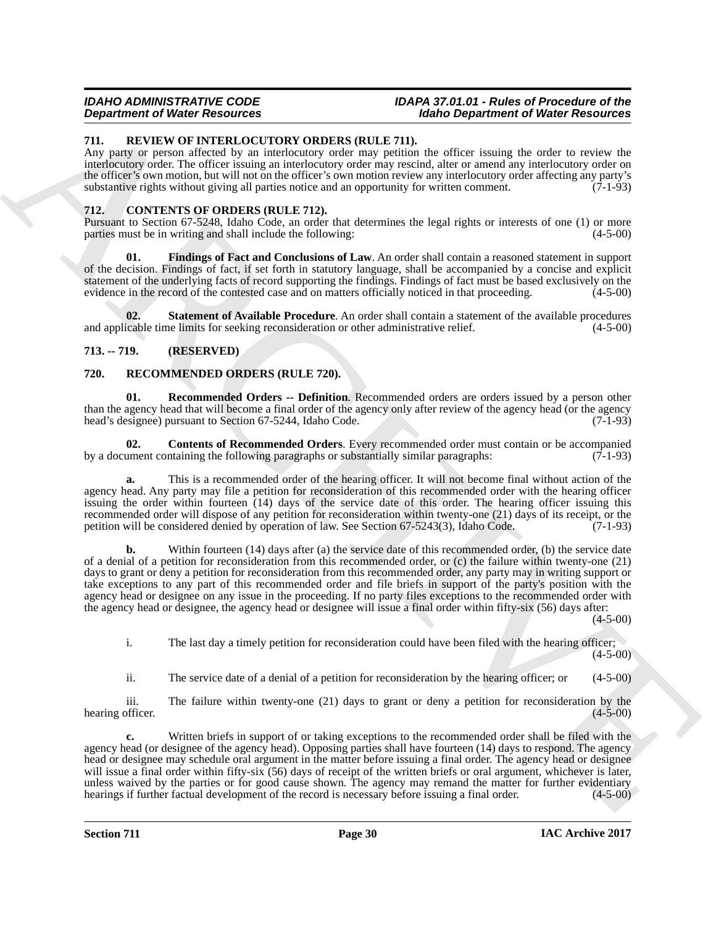## <span id="page-29-10"></span><span id="page-29-0"></span>**711. REVIEW OF INTERLOCUTORY ORDERS (RULE 711).**

Any party or person affected by an interlocutory order may petition the officer issuing the order to review the interlocutory order. The officer issuing an interlocutory order may rescind, alter or amend any interlocutory order on the officer's own motion, but will not on the officer's own motion review any interlocutory order affecting any party's substantive rights without giving all parties notice and an opportunity for written comment. (7-1-93)

## <span id="page-29-4"></span><span id="page-29-1"></span>**712. CONTENTS OF ORDERS (RULE 712).**

Pursuant to Section 67-5248, Idaho Code, an order that determines the legal rights or interests of one (1) or more parties must be in writing and shall include the following: (4-5-00) (4-5-00)

<span id="page-29-5"></span>**01. Findings of Fact and Conclusions of Law**. An order shall contain a reasoned statement in support of the decision. Findings of fact, if set forth in statutory language, shall be accompanied by a concise and explicit statement of the underlying facts of record supporting the findings. Findings of fact must be based exclusively on the evidence in the record of the contested case and on matters officially noticed in that proceeding. (4-5-00)

<span id="page-29-6"></span>**02. Statement of Available Procedure**. An order shall contain a statement of the available procedures icable time limits for seeking reconsideration or other administrative relief. (4-5-00) and applicable time limits for seeking reconsideration or other administrative relief.

## <span id="page-29-2"></span>**713. -- 719. (RESERVED)**

## <span id="page-29-7"></span><span id="page-29-3"></span>**720. RECOMMENDED ORDERS (RULE 720).**

<span id="page-29-9"></span>**01. Recommended Orders -- Definition**. Recommended orders are orders issued by a person other than the agency head that will become a final order of the agency only after review of the agency head (or the agency head's designee) pursuant to Section 67-5244, Idaho Code. (7-1-93)

<span id="page-29-8"></span>**02. Contents of Recommended Orders**. Every recommended order must contain or be accompanied by a document containing the following paragraphs or substantially similar paragraphs: (7-1-93)

**a.** This is a recommended order of the hearing officer. It will not become final without action of the agency head. Any party may file a petition for reconsideration of this recommended order with the hearing officer issuing the order within fourteen (14) days of the service date of this order. The hearing officer issuing this recommended order will dispose of any petition for reconsideration within twenty-one (21) days of its receipt, or the petition will be considered denied by operation of law. See Section 67-5243(3), Idaho Code. (7-1-93)

**Experimental Of New York 2000 COLUMN 2000 CONSULTS (RULE 211).**<br>
ARCHIVERY THE STRAIGHT OF THE STRAIGHT OF THE STRAIGHT OF THE STRAIGHT OF THE STRAIGHT OF THE STRAIGHT OF THE STRAIGHT OF THE STRAIGHT OF THE STRAIGHT OF T **b.** Within fourteen (14) days after (a) the service date of this recommended order, (b) the service date of a denial of a petition for reconsideration from this recommended order, or (c) the failure within twenty-one (21) days to grant or deny a petition for reconsideration from this recommended order, any party may in writing support or take exceptions to any part of this recommended order and file briefs in support of the party's position with the agency head or designee on any issue in the proceeding. If no party files exceptions to the recommended order with the agency head or designee, the agency head or designee will issue a final order within fifty-six (56) days after:

 $(4-5-00)$ 

i. The last day a timely petition for reconsideration could have been filed with the hearing officer;  $(4 - 5 - 00)$ 

ii. The service date of a denial of a petition for reconsideration by the hearing officer; or (4-5-00)

iii. The failure within twenty-one  $(21)$  days to grant or deny a petition for reconsideration by the  $(4-5-00)$ hearing officer.

**c.** Written briefs in support of or taking exceptions to the recommended order shall be filed with the agency head (or designee of the agency head). Opposing parties shall have fourteen (14) days to respond. The agency head or designee may schedule oral argument in the matter before issuing a final order. The agency head or designee will issue a final order within fifty-six (56) days of receipt of the written briefs or oral argument, whichever is later, unless waived by the parties or for good cause shown. The agency may remand the matter for further evidentiary<br>hearings if further factual development of the record is necessary before issuing a final order. (4-5-00) hearings if further factual development of the record is necessary before issuing a final order.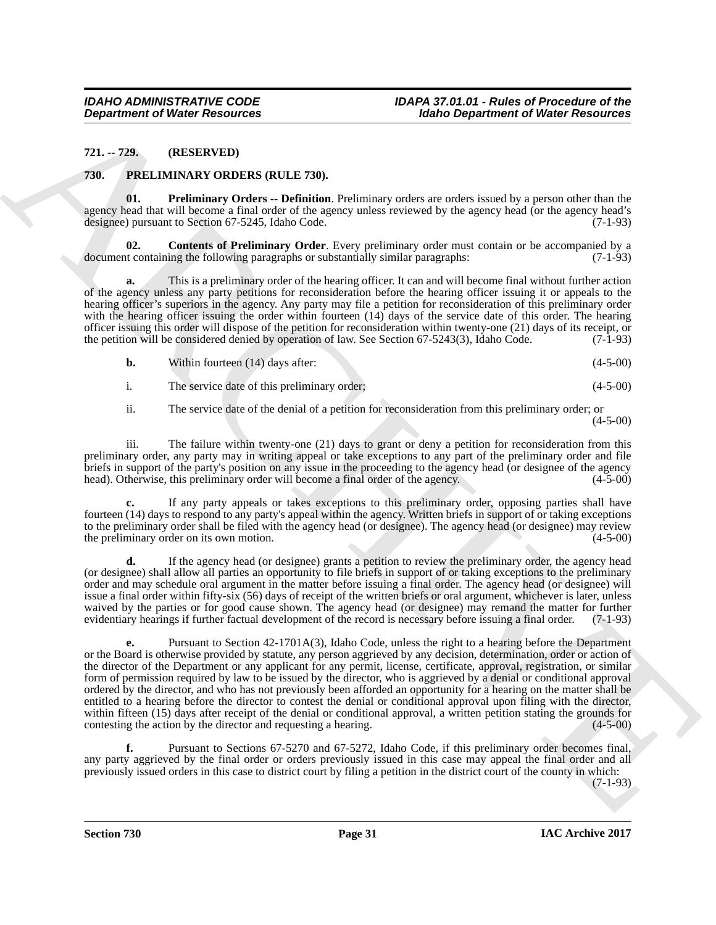## <span id="page-30-0"></span>**721. -- 729. (RESERVED)**

## <span id="page-30-2"></span><span id="page-30-1"></span>**730. PRELIMINARY ORDERS (RULE 730).**

<span id="page-30-4"></span>**01. Preliminary Orders -- Definition**. Preliminary orders are orders issued by a person other than the agency head that will become a final order of the agency unless reviewed by the agency head (or the agency head's designee) pursuant to Section 67-5245, Idaho Code. (7-1-93)

<span id="page-30-3"></span>**Contents of Preliminary Order**. Every preliminary order must contain or be accompanied by a document containing the following paragraphs or substantially similar paragraphs: (7-1-93)

**a.** This is a preliminary order of the hearing officer. It can and will become final without further action of the agency unless any party petitions for reconsideration before the hearing officer issuing it or appeals to the hearing officer's superiors in the agency. Any party may file a petition for reconsideration of this preliminary order with the hearing officer issuing the order within fourteen (14) days of the service date of this order. The hearing officer issuing this order will dispose of the petition for reconsideration within twenty-one (21) days of its receipt, or the petition will be considered denied by operation of law. See Section  $67-5243(3)$ , Idaho Code. the petition will be considered denied by operation of law. See Section 67-5243(3), Idaho Code.

| b. | Within fourteen (14) days after: |  | $(4-5-00)$ |
|----|----------------------------------|--|------------|
|----|----------------------------------|--|------------|

i. The service date of this preliminary order; (4-5-00)

ii. The service date of the denial of a petition for reconsideration from this preliminary order; or  $(4-5-00)$ 

iii. The failure within twenty-one (21) days to grant or deny a petition for reconsideration from this preliminary order, any party may in writing appeal or take exceptions to any part of the preliminary order and file briefs in support of the party's position on any issue in the proceeding to the agency head (or designee of the agency head). Otherwise, this preliminary order will become a final order of the agency. (4-5-00) head). Otherwise, this preliminary order will become a final order of the agency.

**c.** If any party appeals or takes exceptions to this preliminary order, opposing parties shall have fourteen (14) days to respond to any party's appeal within the agency. Written briefs in support of or taking exceptions to the preliminary order shall be filed with the agency head (or designee). The agency head (or designee) may review<br>the preliminary order on its own motion. (4-5-00) the preliminary order on its own motion.

**d.** If the agency head (or designee) grants a petition to review the preliminary order, the agency head (or designee) shall allow all parties an opportunity to file briefs in support of or taking exceptions to the preliminary order and may schedule oral argument in the matter before issuing a final order. The agency head (or designee) will issue a final order within fifty-six (56) days of receipt of the written briefs or oral argument, whichever is later, unless waived by the parties or for good cause shown. The agency head (or designee) may remand the matter for further evidentiary hearings if further factual development of the record is necessary before issuing a final order. (7-1-93)

**Department of Weiler Research 19. In the case of the European Comparison of Weiler Research 21.1-739.**<br>
21.1-729. **CERENTS ARCHIVES (RULE 750).**<br>
23. **PRELENTS ARCHIVES (RULE 750).**<br>
23. **PRELENTS ARCHIVES (RULE 750).**<br> **e.** Pursuant to Section 42-1701A(3), Idaho Code, unless the right to a hearing before the Department or the Board is otherwise provided by statute, any person aggrieved by any decision, determination, order or action of the director of the Department or any applicant for any permit, license, certificate, approval, registration, or similar form of permission required by law to be issued by the director, who is aggrieved by a denial or conditional approval ordered by the director, and who has not previously been afforded an opportunity for a hearing on the matter shall be entitled to a hearing before the director to contest the denial or conditional approval upon filing with the director, within fifteen (15) days after receipt of the denial or conditional approval, a written petition stating the grounds for contesting the action by the director and requesting a hearing.  $(4-5-00)$ contesting the action by the director and requesting a hearing.

**f.** Pursuant to Sections 67-5270 and 67-5272, Idaho Code, if this preliminary order becomes final, any party aggrieved by the final order or orders previously issued in this case may appeal the final order and all previously issued orders in this case to district court by filing a petition in the district court of the county in which:

(7-1-93)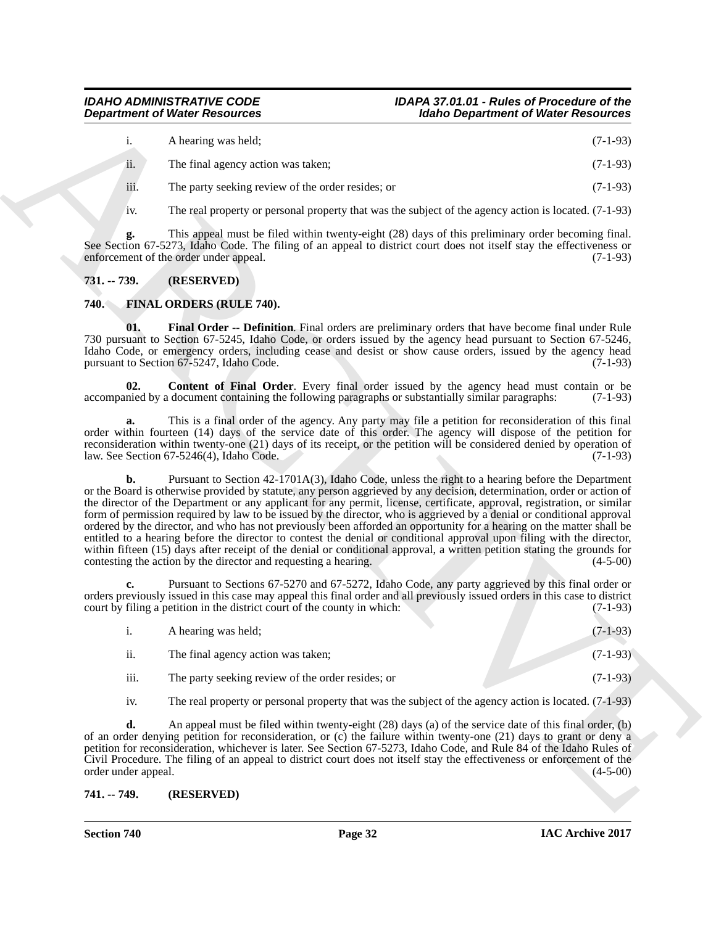|     | A hearing was held;                | $(7-1-93)$ |
|-----|------------------------------------|------------|
| ii. | The final agency action was taken; | $(7-1-93)$ |

- iii. The party seeking review of the order resides; or (7-1-93)
- iv. The real property or personal property that was the subject of the agency action is located. (7-1-93)

**g.** This appeal must be filed within twenty-eight (28) days of this preliminary order becoming final. See Section 67-5273, Idaho Code. The filing of an appeal to district court does not itself stay the effectiveness or enforcement of the order under appeal. (7-1-93) enforcement of the order under appeal.

## <span id="page-31-0"></span>**731. -- 739. (RESERVED)**

## <span id="page-31-3"></span><span id="page-31-1"></span>**740. FINAL ORDERS (RULE 740).**

<span id="page-31-5"></span>**01. Final Order -- Definition**. Final orders are preliminary orders that have become final under Rule 730 pursuant to Section 67-5245, Idaho Code, or orders issued by the agency head pursuant to Section 67-5246, Idaho Code, or emergency orders, including cease and desist or show cause orders, issued by the agency head pursuant to Section 67-5247. Idaho Code. (7-1-93) pursuant to Section  $67-5247$ , Idaho Code.

<span id="page-31-4"></span>**02. Content of Final Order**. Every final order issued by the agency head must contain or be nied by a document containing the following paragraphs or substantially similar paragraphs: (7-1-93) accompanied by a document containing the following paragraphs or substantially similar paragraphs:

**a.** This is a final order of the agency. Any party may file a petition for reconsideration of this final order within fourteen (14) days of the service date of this order. The agency will dispose of the petition for reconsideration within twenty-one (21) days of its receipt, or the petition will be considered denied by operation of law. See Section 67-5246(4). Idaho Code. (7-1-93) law. See Section  $67-5246(4)$ , Idaho Code.

**Expansion of Weier Resolution**<br> **ARCHIVE CONSULTER CONSULTER (2008)**<br> **ARCHIVE CONSULTER CONSULTER CONSULTER CONSULTER CONSULTER CONSULTER CONSULTER CONSULTER CONSULTER CONSULTER (3)**<br> **ARCHIVE CONSULTER CONSULTER CONSUL b.** Pursuant to Section 42-1701A(3), Idaho Code, unless the right to a hearing before the Department or the Board is otherwise provided by statute, any person aggrieved by any decision, determination, order or action of the director of the Department or any applicant for any permit, license, certificate, approval, registration, or similar form of permission required by law to be issued by the director, who is aggrieved by a denial or conditional approval ordered by the director, and who has not previously been afforded an opportunity for a hearing on the matter shall be entitled to a hearing before the director to contest the denial or conditional approval upon filing with the director, within fifteen (15) days after receipt of the denial or conditional approval, a written petition stating the grounds for contesting the action by the director and requesting a hearing. (4-5-00)

**c.** Pursuant to Sections 67-5270 and 67-5272, Idaho Code, any party aggrieved by this final order or orders previously issued in this case may appeal this final order and all previously issued orders in this case to district court by filing a petition in the district court of the county in which: (7-1-93)

|      | A hearing was held;                               | $(7-1-93)$ |
|------|---------------------------------------------------|------------|
| ii.  | The final agency action was taken;                | $(7-1-93)$ |
| iii. | The party seeking review of the order resides; or | $(7-1-93)$ |

iv. The real property or personal property that was the subject of the agency action is located. (7-1-93)

**d.** An appeal must be filed within twenty-eight (28) days (a) of the service date of this final order, (b) of an order denying petition for reconsideration, or (c) the failure within twenty-one (21) days to grant or deny a petition for reconsideration, whichever is later. See Section 67-5273, Idaho Code, and Rule 84 of the Idaho Rules of Civil Procedure. The filing of an appeal to district court does not itself stay the effectiveness or enforcement of the order under appeal. (4-5-00)

## <span id="page-31-2"></span>**741. -- 749. (RESERVED)**

**Section 740 Page 32**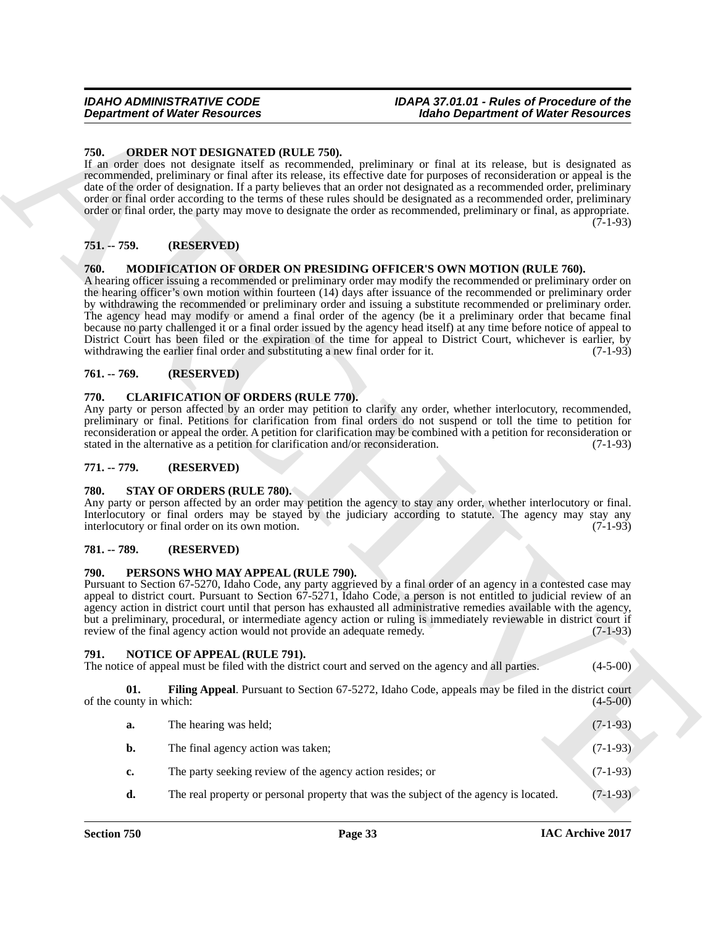## <span id="page-32-14"></span><span id="page-32-0"></span>**750. ORDER NOT DESIGNATED (RULE 750).**

## <span id="page-32-1"></span>**751. -- 759. (RESERVED)**

## <span id="page-32-11"></span><span id="page-32-2"></span>**760. MODIFICATION OF ORDER ON PRESIDING OFFICER'S OWN MOTION (RULE 760).**

## <span id="page-32-3"></span>**761. -- 769. (RESERVED)**

## <span id="page-32-10"></span><span id="page-32-4"></span>**770. CLARIFICATION OF ORDERS (RULE 770).**

### <span id="page-32-5"></span>**771. -- 779. (RESERVED)**

### <span id="page-32-16"></span><span id="page-32-6"></span>**780. STAY OF ORDERS (RULE 780).**

## <span id="page-32-7"></span>**781. -- 789. (RESERVED)**

### <span id="page-32-15"></span><span id="page-32-8"></span>**790. PERSONS WHO MAY APPEAL (RULE 790).**

## <span id="page-32-13"></span><span id="page-32-12"></span><span id="page-32-9"></span>**791. NOTICE OF APPEAL (RULE 791).**

| <b>Department of Water Resources</b>                    |                                                                                                                                 | <b>Idaho Department of Water Resources</b>                                                                                                                                                                                                                                                                                                                                                                                                                                                                                                                                                                                                                                                                                                                                                      |            |
|---------------------------------------------------------|---------------------------------------------------------------------------------------------------------------------------------|-------------------------------------------------------------------------------------------------------------------------------------------------------------------------------------------------------------------------------------------------------------------------------------------------------------------------------------------------------------------------------------------------------------------------------------------------------------------------------------------------------------------------------------------------------------------------------------------------------------------------------------------------------------------------------------------------------------------------------------------------------------------------------------------------|------------|
| 750.                                                    | ORDER NOT DESIGNATED (RULE 750).                                                                                                | If an order does not designate itself as recommended, preliminary or final at its release, but is designated as<br>recommended, preliminary or final after its release, its effective date for purposes of reconsideration or appeal is the<br>date of the order of designation. If a party believes that an order not designated as a recommended order, preliminary<br>order or final order according to the terms of these rules should be designated as a recommended order, preliminary<br>order or final order, the party may move to designate the order as recommended, preliminary or final, as appropriate.                                                                                                                                                                           | $(7-1-93)$ |
| 751. -- 759.                                            | (RESERVED)                                                                                                                      |                                                                                                                                                                                                                                                                                                                                                                                                                                                                                                                                                                                                                                                                                                                                                                                                 |            |
| 760.                                                    | withdrawing the earlier final order and substituting a new final order for it.                                                  | MODIFICATION OF ORDER ON PRESIDING OFFICER'S OWN MOTION (RULE 760).<br>A hearing officer issuing a recommended or preliminary order may modify the recommended or preliminary order on<br>the hearing officer's own motion within fourteen (14) days after issuance of the recommended or preliminary order<br>by withdrawing the recommended or preliminary order and issuing a substitute recommended or preliminary order.<br>The agency head may modify or amend a final order of the agency (be it a preliminary order that became final<br>because no party challenged it or a final order issued by the agency head itself) at any time before notice of appeal to<br>District Court has been filed or the expiration of the time for appeal to District Court, whichever is earlier, by | $(7-1-93)$ |
| $761. - 769.$                                           | (RESERVED)                                                                                                                      |                                                                                                                                                                                                                                                                                                                                                                                                                                                                                                                                                                                                                                                                                                                                                                                                 |            |
| 770.                                                    | <b>CLARIFICATION OF ORDERS (RULE 770).</b><br>stated in the alternative as a petition for clarification and/or reconsideration. | Any party or person affected by an order may petition to clarify any order, whether interlocutory, recommended,<br>preliminary or final. Petitions for clarification from final orders do not suspend or toll the time to petition for<br>reconsideration or appeal the order. A petition for clarification may be combined with a petition for reconsideration or                                                                                                                                                                                                                                                                                                                                                                                                                              | $(7-1-93)$ |
| 771. -- 779.                                            | (RESERVED)                                                                                                                      |                                                                                                                                                                                                                                                                                                                                                                                                                                                                                                                                                                                                                                                                                                                                                                                                 |            |
| 780.<br>interlocutory or final order on its own motion. | <b>STAY OF ORDERS (RULE 780).</b>                                                                                               | Any party or person affected by an order may petition the agency to stay any order, whether interlocutory or final.<br>Interlocutory or final orders may be stayed by the judiciary according to statute. The agency may stay any                                                                                                                                                                                                                                                                                                                                                                                                                                                                                                                                                               | $(7-1-93)$ |
| 781. -- 789.                                            | (RESERVED)                                                                                                                      |                                                                                                                                                                                                                                                                                                                                                                                                                                                                                                                                                                                                                                                                                                                                                                                                 |            |
| 790.                                                    | PERSONS WHO MAY APPEAL (RULE 790).<br>review of the final agency action would not provide an adequate remedy.                   | Pursuant to Section 67-5270, Idaho Code, any party aggrieved by a final order of an agency in a contested case may<br>appeal to district court. Pursuant to Section 67-5271, Idaho Code, a person is not entitled to judicial review of an<br>agency action in district court until that person has exhausted all administrative remedies available with the agency,<br>but a preliminary, procedural, or intermediate agency action or ruling is immediately reviewable in district court if                                                                                                                                                                                                                                                                                                   | $(7-1-93)$ |
| 791.                                                    | <b>NOTICE OF APPEAL (RULE 791).</b>                                                                                             | The notice of appeal must be filed with the district court and served on the agency and all parties.                                                                                                                                                                                                                                                                                                                                                                                                                                                                                                                                                                                                                                                                                            | $(4-5-00)$ |
| 01.<br>of the county in which:                          |                                                                                                                                 | Filing Appeal. Pursuant to Section 67-5272, Idaho Code, appeals may be filed in the district court                                                                                                                                                                                                                                                                                                                                                                                                                                                                                                                                                                                                                                                                                              | $(4-5-00)$ |
| a.                                                      | The hearing was held;                                                                                                           |                                                                                                                                                                                                                                                                                                                                                                                                                                                                                                                                                                                                                                                                                                                                                                                                 | $(7-1-93)$ |
| b.                                                      | The final agency action was taken;                                                                                              |                                                                                                                                                                                                                                                                                                                                                                                                                                                                                                                                                                                                                                                                                                                                                                                                 | $(7-1-93)$ |
| c.                                                      | The party seeking review of the agency action resides; or                                                                       |                                                                                                                                                                                                                                                                                                                                                                                                                                                                                                                                                                                                                                                                                                                                                                                                 | $(7-1-93)$ |
| d.                                                      |                                                                                                                                 | The real property or personal property that was the subject of the agency is located.                                                                                                                                                                                                                                                                                                                                                                                                                                                                                                                                                                                                                                                                                                           | $(7-1-93)$ |
|                                                         |                                                                                                                                 |                                                                                                                                                                                                                                                                                                                                                                                                                                                                                                                                                                                                                                                                                                                                                                                                 |            |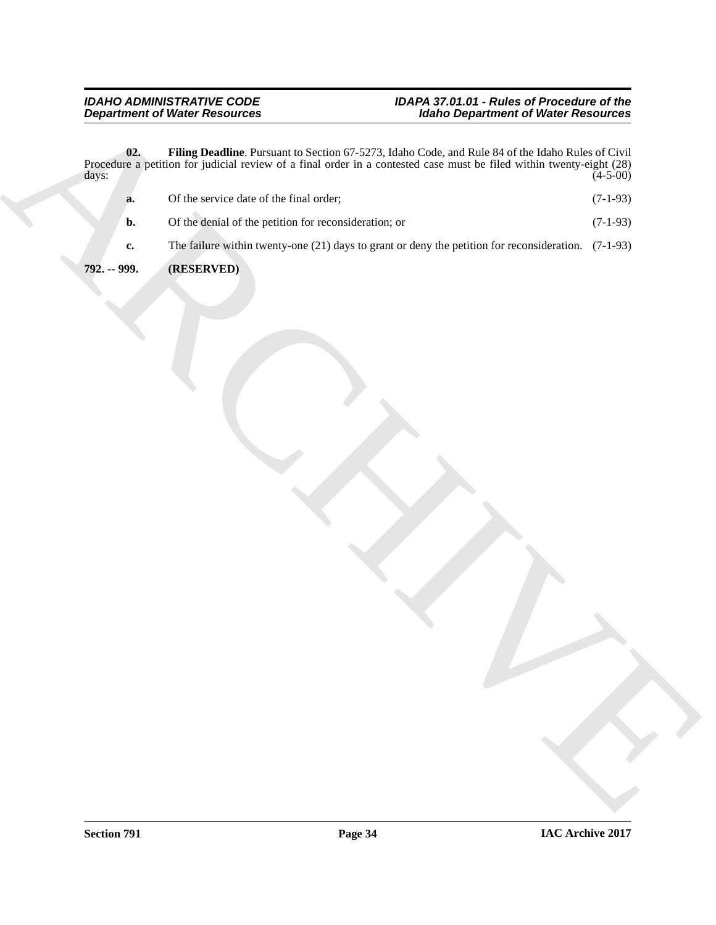<span id="page-33-1"></span><span id="page-33-0"></span>**02. Filing Deadline**. Pursuant to Section 67-5273, Idaho Code, and Rule 84 of the Idaho Rules of Civil Procedure a petition for judicial review of a final order in a contested case must be filed within twenty-eight (28)  $\frac{1}{4}$  days: (4-5-00)

- Department of Water Residences<br>
Procedure **The Department of Water Residences**<br>
Procedure product with the service of the state and the service of the service of the service of the service of the service of the service of **a.** Of the service date of the final order; (7-1-93) **b.** Of the denial of the petition for reconsideration; or (7-1-93) **c.** The failure within twenty-one (21) days to grant or deny the petition for reconsideration. (7-1-93)
	- **792. -- 999. (RESERVED)**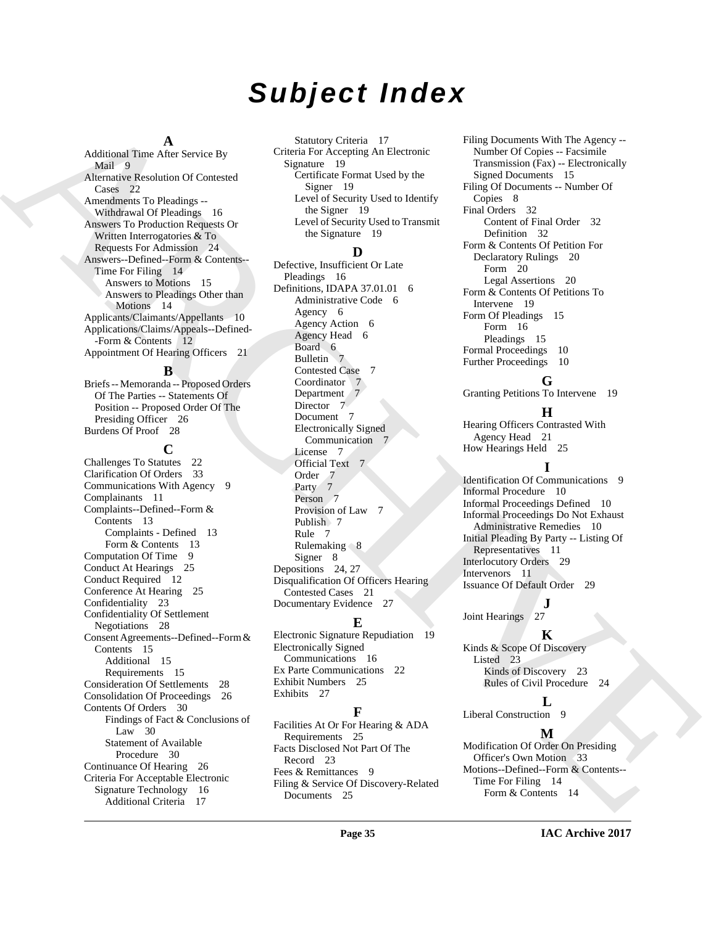# *Subject Index*

#### **A**

Additional Time After Service By Mail 9 Alternative Resolution Of Contested Cases 22 Amendments To Pleadings -- Withdrawal Of Pleadings 16 Answers To Production Requests Or Written Interrogatories & To Requests For Admission 24 Answers--Defined--Form & Contents-- Time For Filing 14 Answers to Motions 15 Answers to Pleadings Other than Motions 14 Applicants/Claimants/Appellants 10 Applications/Claims/Appeals--Defined- -Form & Contents 12 Appointment Of Hearing Officers 21

#### **B**

Briefs -- Memoranda -- Proposed Orders Of The Parties -- Statements Of Position -- Proposed Order Of The Presiding Officer 26 Burdens Of Proof 28

## **C**

Additional First Anti-Schedule [C](#page-25-11)ompany Constant Representation (Figure 2)<br>
Mathematics Schedule Company Company of the stress of the stress of the stress of the stress of the stress of the stress of the stress of the stre Challenges To Statutes 22 Clarification Of Orders 33 Communications With Agency 9 Complainants 11 Complaints--Defined--Form & Contents 13 Complaints - Defined 13 Form & Contents 13 Computation Of Time 9 Conduct At Hearings 25 Conduct Required 12 Conference At Hearing 25 Confidentiality 23 Confidentiality Of Settlement Negotiations 28 Consent Agreements--Defined--Form & Contents 15 Additional 15 Requirements 15 Consideration Of Settlements 28 Consolidation Of Proceedings 26 Contents Of Orders 30 Findings of Fact & Conclusions of Law 30 Statement of Available Procedure 30 Continuance Of Hearing 26 Criteria For Acceptable Electronic Signature Technology 16 Additional Criteria 17

Statutory Criteria 17 Criteria For Accepting An Electronic Signature 19 Certificate Format Used by the Signer 19 Level of Security Used to Identify the Signer 19 Level of Security Used to Transmit the Signature 19

### **D**

Defective, Insufficient Or Late Pleadings 16 Definitions, IDAPA 37.01.01 6 Administrative Code 6 Agency 6 Agency Action 6 Agency Head 6 Board 6 Bulletin 7 Contested Case 7 Coordinator Department 7 Director 7 Document 7 Electronically Signed Communication 7 License 7 Official Text 7 Order<sub>7</sub> Party 7 Person<sub>7</sub> Provision of Law 7 Publish 7 Rule 7 Rulemaking  $8$ Signer 8 Depositions 24, 27 Disqualification Of Officers Hearing Contested Cases 21 Documentary Evidence 27

## **E**

Electronic Signature Repudiation 19 Electronically Signed Communications 16 Ex Parte Communications 22 Exhibit Numbers 25 Exhibits 27

## **F**

Facilities At Or For Hearing & ADA Requirements 25 Facts Disclosed Not Part Of The Record 23 Fees & Remittances 9 Filing & Service Of Discovery-Related Documents 25

Filing Documents With The Agency -- Number Of Copies -- Facsimile Transmission (Fax) -- Electronically Signed Documents 15 Filing Of Documents -- Number Of Copies 8 Final Orders 32 Content of Final Order 32 Definition 32 Form & Contents Of Petition For Declaratory Rulings 20 Form 20 Legal Assertions 20 Form & Contents Of Petitions To Intervene 19 Form Of Pleadings 15 Form 16 Pleadings 15 Formal Proceedings 10 Further Proceedings 10

## **G**

Granting Petitions To Intervene 19

## **H**

Hearing Officers Contrasted With Agency Head 21 How Hearings Held 25

## **I**

Identification Of Communications 9 Informal Procedure 10 Informal Proceedings Defined 10 Informal Proceedings Do Not Exhaust Administrative Remedies 10 Initial Pleading By Party -- Listing Of Representatives 11 Interlocutory Orders 29 Intervenors 11 Issuance Of Default Order 29

## $\int_{27}$ **J**

Joint Hearings

## **K**

Kinds & Scope Of Discovery Listed 23 Kinds of Discovery 23 Rules of Civil Procedure 24

## **L**

Liberal Construction 9

## **M**

Modification Of Order On Presiding Officer's Own Motion 33 Motions--Defined--Form & Contents-- Time For Filing 14 Form & Contents 14